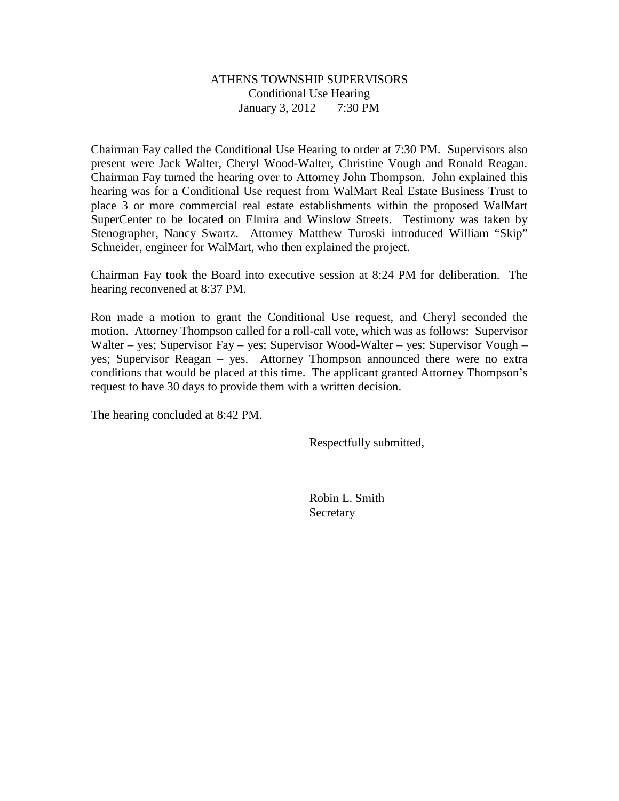#### ATHENS TOWNSHIP SUPERVISORS Conditional Use Hearing January 3, 2012 7:30 PM

Chairman Fay called the Conditional Use Hearing to order at 7:30 PM. Supervisors also present were Jack Walter, Cheryl Wood-Walter, Christine Vough and Ronald Reagan. Chairman Fay turned the hearing over to Attorney John Thompson. John explained this hearing was for a Conditional Use request from WalMart Real Estate Business Trust to place 3 or more commercial real estate establishments within the proposed WalMart SuperCenter to be located on Elmira and Winslow Streets. Testimony was taken by Stenographer, Nancy Swartz. Attorney Matthew Turoski introduced William "Skip" Schneider, engineer for WalMart, who then explained the project.

Chairman Fay took the Board into executive session at 8:24 PM for deliberation. The hearing reconvened at 8:37 PM.

Ron made a motion to grant the Conditional Use request, and Cheryl seconded the motion. Attorney Thompson called for a roll-call vote, which was as follows: Supervisor Walter – yes; Supervisor Fay – yes; Supervisor Wood-Walter – yes; Supervisor Vough – yes; Supervisor Reagan – yes. Attorney Thompson announced there were no extra conditions that would be placed at this time. The applicant granted Attorney Thompson's request to have 30 days to provide them with a written decision.

The hearing concluded at 8:42 PM.

Respectfully submitted,

 Robin L. Smith Secretary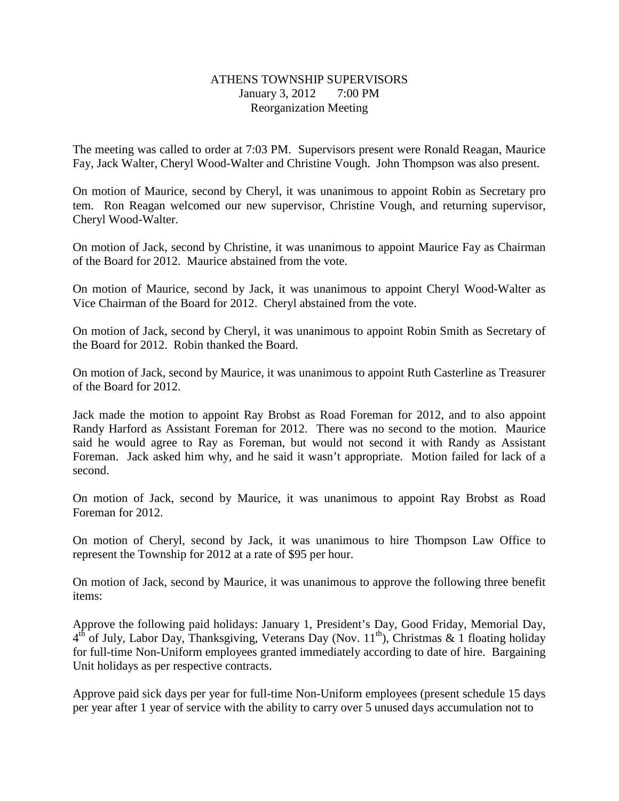## ATHENS TOWNSHIP SUPERVISORS January 3, 2012 7:00 PM Reorganization Meeting

The meeting was called to order at 7:03 PM. Supervisors present were Ronald Reagan, Maurice Fay, Jack Walter, Cheryl Wood-Walter and Christine Vough. John Thompson was also present.

On motion of Maurice, second by Cheryl, it was unanimous to appoint Robin as Secretary pro tem. Ron Reagan welcomed our new supervisor, Christine Vough, and returning supervisor, Cheryl Wood-Walter.

On motion of Jack, second by Christine, it was unanimous to appoint Maurice Fay as Chairman of the Board for 2012. Maurice abstained from the vote.

On motion of Maurice, second by Jack, it was unanimous to appoint Cheryl Wood-Walter as Vice Chairman of the Board for 2012. Cheryl abstained from the vote.

On motion of Jack, second by Cheryl, it was unanimous to appoint Robin Smith as Secretary of the Board for 2012. Robin thanked the Board.

On motion of Jack, second by Maurice, it was unanimous to appoint Ruth Casterline as Treasurer of the Board for 2012.

Jack made the motion to appoint Ray Brobst as Road Foreman for 2012, and to also appoint Randy Harford as Assistant Foreman for 2012. There was no second to the motion. Maurice said he would agree to Ray as Foreman, but would not second it with Randy as Assistant Foreman. Jack asked him why, and he said it wasn't appropriate. Motion failed for lack of a second.

On motion of Jack, second by Maurice, it was unanimous to appoint Ray Brobst as Road Foreman for 2012.

On motion of Cheryl, second by Jack, it was unanimous to hire Thompson Law Office to represent the Township for 2012 at a rate of \$95 per hour.

On motion of Jack, second by Maurice, it was unanimous to approve the following three benefit items:

Approve the following paid holidays: January 1, President's Day, Good Friday, Memorial Day,  $4<sup>th</sup>$  of July, Labor Day, Thanksgiving, Veterans Day (Nov. 11<sup>th</sup>), Christmas & 1 floating holiday for full-time Non-Uniform employees granted immediately according to date of hire. Bargaining Unit holidays as per respective contracts.

Approve paid sick days per year for full-time Non-Uniform employees (present schedule 15 days per year after 1 year of service with the ability to carry over 5 unused days accumulation not to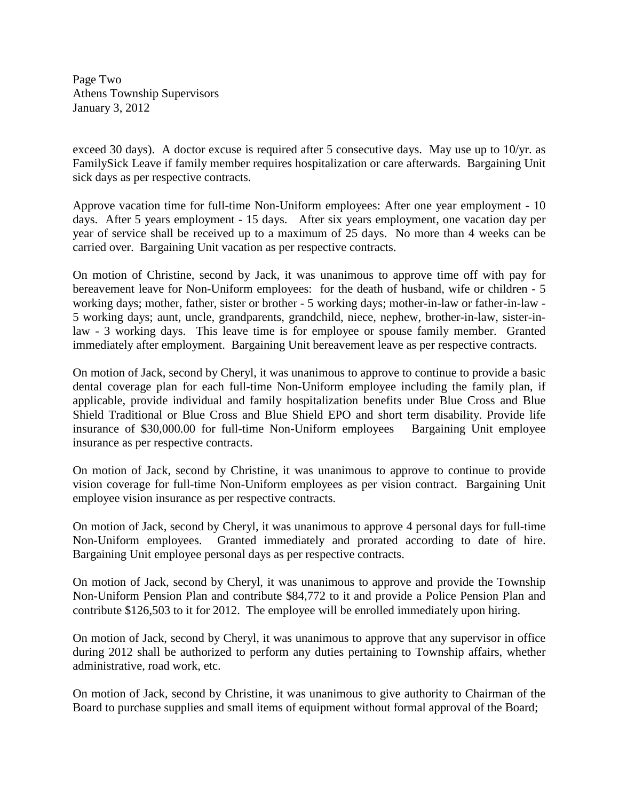Page Two Athens Township Supervisors January 3, 2012

exceed 30 days). A doctor excuse is required after 5 consecutive days. May use up to 10/yr. as FamilySick Leave if family member requires hospitalization or care afterwards. Bargaining Unit sick days as per respective contracts.

Approve vacation time for full-time Non-Uniform employees: After one year employment - 10 days. After 5 years employment - 15 days. After six years employment, one vacation day per year of service shall be received up to a maximum of 25 days. No more than 4 weeks can be carried over. Bargaining Unit vacation as per respective contracts.

On motion of Christine, second by Jack, it was unanimous to approve time off with pay for bereavement leave for Non-Uniform employees: for the death of husband, wife or children - 5 working days; mother, father, sister or brother - 5 working days; mother-in-law or father-in-law - 5 working days; aunt, uncle, grandparents, grandchild, niece, nephew, brother-in-law, sister-inlaw - 3 working days. This leave time is for employee or spouse family member. Granted immediately after employment. Bargaining Unit bereavement leave as per respective contracts.

On motion of Jack, second by Cheryl, it was unanimous to approve to continue to provide a basic dental coverage plan for each full-time Non-Uniform employee including the family plan, if applicable, provide individual and family hospitalization benefits under Blue Cross and Blue Shield Traditional or Blue Cross and Blue Shield EPO and short term disability. Provide life insurance of \$30,000.00 for full-time Non-Uniform employees Bargaining Unit employee insurance as per respective contracts.

On motion of Jack, second by Christine, it was unanimous to approve to continue to provide vision coverage for full-time Non-Uniform employees as per vision contract. Bargaining Unit employee vision insurance as per respective contracts.

On motion of Jack, second by Cheryl, it was unanimous to approve 4 personal days for full-time Non-Uniform employees. Granted immediately and prorated according to date of hire. Bargaining Unit employee personal days as per respective contracts.

On motion of Jack, second by Cheryl, it was unanimous to approve and provide the Township Non-Uniform Pension Plan and contribute \$84,772 to it and provide a Police Pension Plan and contribute \$126,503 to it for 2012. The employee will be enrolled immediately upon hiring.

On motion of Jack, second by Cheryl, it was unanimous to approve that any supervisor in office during 2012 shall be authorized to perform any duties pertaining to Township affairs, whether administrative, road work, etc.

On motion of Jack, second by Christine, it was unanimous to give authority to Chairman of the Board to purchase supplies and small items of equipment without formal approval of the Board;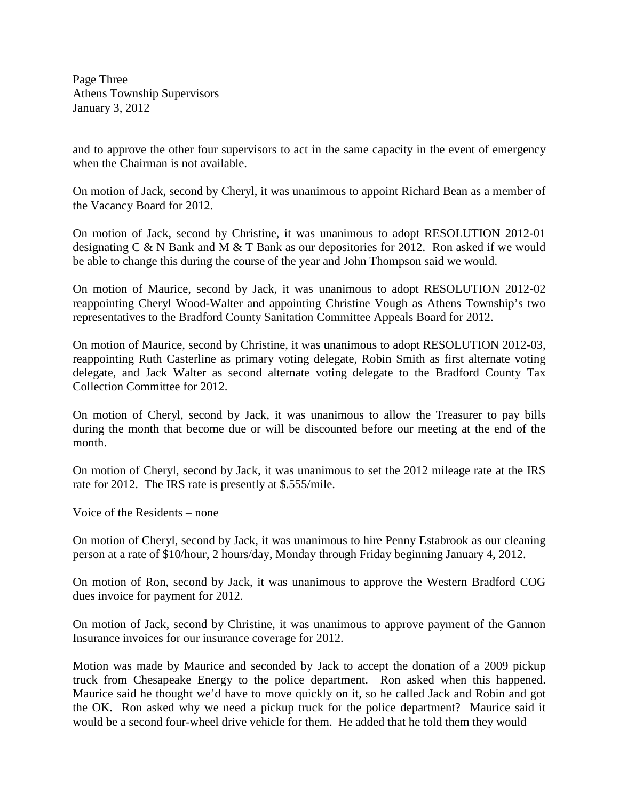Page Three Athens Township Supervisors January 3, 2012

and to approve the other four supervisors to act in the same capacity in the event of emergency when the Chairman is not available.

On motion of Jack, second by Cheryl, it was unanimous to appoint Richard Bean as a member of the Vacancy Board for 2012.

On motion of Jack, second by Christine, it was unanimous to adopt RESOLUTION 2012-01 designating C & N Bank and M & T Bank as our depositories for 2012. Ron asked if we would be able to change this during the course of the year and John Thompson said we would.

On motion of Maurice, second by Jack, it was unanimous to adopt RESOLUTION 2012-02 reappointing Cheryl Wood-Walter and appointing Christine Vough as Athens Township's two representatives to the Bradford County Sanitation Committee Appeals Board for 2012.

On motion of Maurice, second by Christine, it was unanimous to adopt RESOLUTION 2012-03, reappointing Ruth Casterline as primary voting delegate, Robin Smith as first alternate voting delegate, and Jack Walter as second alternate voting delegate to the Bradford County Tax Collection Committee for 2012.

On motion of Cheryl, second by Jack, it was unanimous to allow the Treasurer to pay bills during the month that become due or will be discounted before our meeting at the end of the month.

On motion of Cheryl, second by Jack, it was unanimous to set the 2012 mileage rate at the IRS rate for 2012. The IRS rate is presently at \$.555/mile.

Voice of the Residents – none

On motion of Cheryl, second by Jack, it was unanimous to hire Penny Estabrook as our cleaning person at a rate of \$10/hour, 2 hours/day, Monday through Friday beginning January 4, 2012.

On motion of Ron, second by Jack, it was unanimous to approve the Western Bradford COG dues invoice for payment for 2012.

On motion of Jack, second by Christine, it was unanimous to approve payment of the Gannon Insurance invoices for our insurance coverage for 2012.

Motion was made by Maurice and seconded by Jack to accept the donation of a 2009 pickup truck from Chesapeake Energy to the police department. Ron asked when this happened. Maurice said he thought we'd have to move quickly on it, so he called Jack and Robin and got the OK. Ron asked why we need a pickup truck for the police department? Maurice said it would be a second four-wheel drive vehicle for them. He added that he told them they would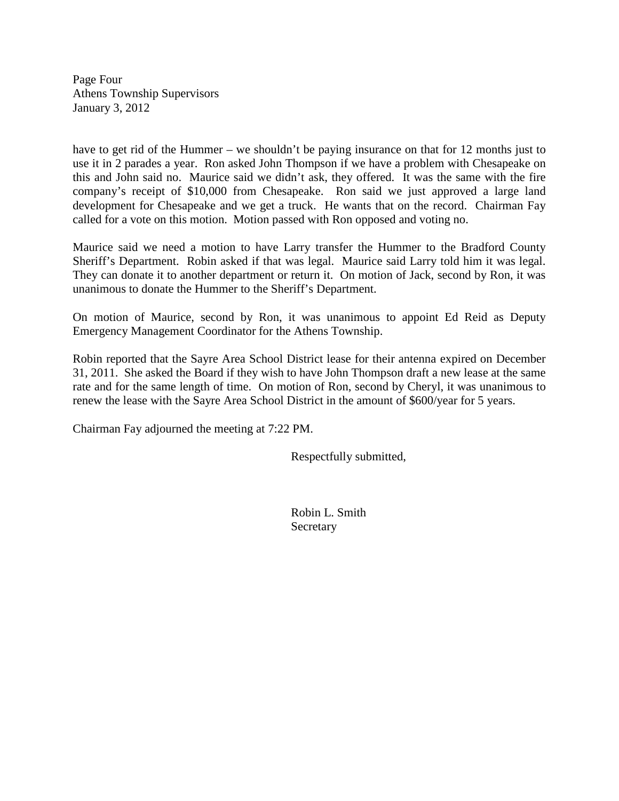Page Four Athens Township Supervisors January 3, 2012

have to get rid of the Hummer – we shouldn't be paying insurance on that for 12 months just to use it in 2 parades a year. Ron asked John Thompson if we have a problem with Chesapeake on this and John said no. Maurice said we didn't ask, they offered. It was the same with the fire company's receipt of \$10,000 from Chesapeake. Ron said we just approved a large land development for Chesapeake and we get a truck. He wants that on the record. Chairman Fay called for a vote on this motion. Motion passed with Ron opposed and voting no.

Maurice said we need a motion to have Larry transfer the Hummer to the Bradford County Sheriff's Department. Robin asked if that was legal. Maurice said Larry told him it was legal. They can donate it to another department or return it. On motion of Jack, second by Ron, it was unanimous to donate the Hummer to the Sheriff's Department.

On motion of Maurice, second by Ron, it was unanimous to appoint Ed Reid as Deputy Emergency Management Coordinator for the Athens Township.

Robin reported that the Sayre Area School District lease for their antenna expired on December 31, 2011. She asked the Board if they wish to have John Thompson draft a new lease at the same rate and for the same length of time. On motion of Ron, second by Cheryl, it was unanimous to renew the lease with the Sayre Area School District in the amount of \$600/year for 5 years.

Chairman Fay adjourned the meeting at 7:22 PM.

Respectfully submitted,

 Robin L. Smith Secretary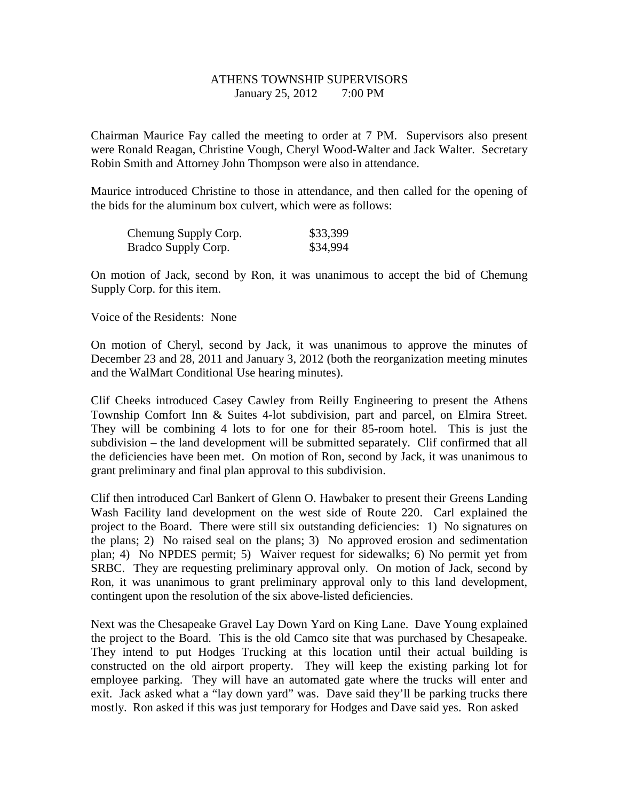## ATHENS TOWNSHIP SUPERVISORS January 25, 2012 7:00 PM

Chairman Maurice Fay called the meeting to order at 7 PM. Supervisors also present were Ronald Reagan, Christine Vough, Cheryl Wood-Walter and Jack Walter. Secretary Robin Smith and Attorney John Thompson were also in attendance.

Maurice introduced Christine to those in attendance, and then called for the opening of the bids for the aluminum box culvert, which were as follows:

| Chemung Supply Corp. | \$33,399 |
|----------------------|----------|
| Bradco Supply Corp.  | \$34,994 |

On motion of Jack, second by Ron, it was unanimous to accept the bid of Chemung Supply Corp. for this item.

Voice of the Residents: None

On motion of Cheryl, second by Jack, it was unanimous to approve the minutes of December 23 and 28, 2011 and January 3, 2012 (both the reorganization meeting minutes and the WalMart Conditional Use hearing minutes).

Clif Cheeks introduced Casey Cawley from Reilly Engineering to present the Athens Township Comfort Inn & Suites 4-lot subdivision, part and parcel, on Elmira Street. They will be combining 4 lots to for one for their 85-room hotel. This is just the subdivision – the land development will be submitted separately. Clif confirmed that all the deficiencies have been met. On motion of Ron, second by Jack, it was unanimous to grant preliminary and final plan approval to this subdivision.

Clif then introduced Carl Bankert of Glenn O. Hawbaker to present their Greens Landing Wash Facility land development on the west side of Route 220. Carl explained the project to the Board. There were still six outstanding deficiencies: 1) No signatures on the plans; 2) No raised seal on the plans; 3) No approved erosion and sedimentation plan; 4) No NPDES permit; 5) Waiver request for sidewalks; 6) No permit yet from SRBC. They are requesting preliminary approval only. On motion of Jack, second by Ron, it was unanimous to grant preliminary approval only to this land development, contingent upon the resolution of the six above-listed deficiencies.

Next was the Chesapeake Gravel Lay Down Yard on King Lane. Dave Young explained the project to the Board. This is the old Camco site that was purchased by Chesapeake. They intend to put Hodges Trucking at this location until their actual building is constructed on the old airport property. They will keep the existing parking lot for employee parking. They will have an automated gate where the trucks will enter and exit. Jack asked what a "lay down yard" was. Dave said they'll be parking trucks there mostly. Ron asked if this was just temporary for Hodges and Dave said yes. Ron asked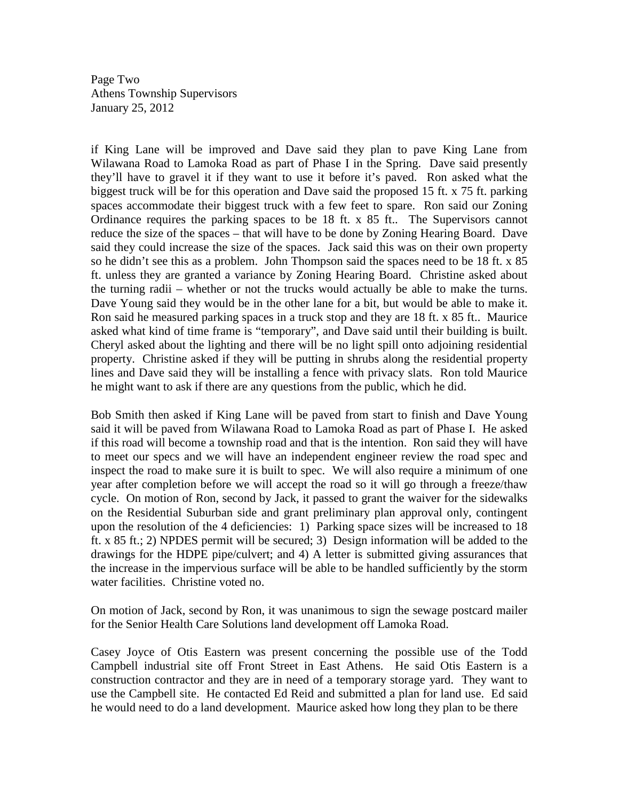Page Two Athens Township Supervisors January 25, 2012

if King Lane will be improved and Dave said they plan to pave King Lane from Wilawana Road to Lamoka Road as part of Phase I in the Spring. Dave said presently they'll have to gravel it if they want to use it before it's paved. Ron asked what the biggest truck will be for this operation and Dave said the proposed 15 ft. x 75 ft. parking spaces accommodate their biggest truck with a few feet to spare. Ron said our Zoning Ordinance requires the parking spaces to be 18 ft. x 85 ft.. The Supervisors cannot reduce the size of the spaces – that will have to be done by Zoning Hearing Board. Dave said they could increase the size of the spaces. Jack said this was on their own property so he didn't see this as a problem. John Thompson said the spaces need to be 18 ft. x 85 ft. unless they are granted a variance by Zoning Hearing Board. Christine asked about the turning radii – whether or not the trucks would actually be able to make the turns. Dave Young said they would be in the other lane for a bit, but would be able to make it. Ron said he measured parking spaces in a truck stop and they are 18 ft. x 85 ft.. Maurice asked what kind of time frame is "temporary", and Dave said until their building is built. Cheryl asked about the lighting and there will be no light spill onto adjoining residential property. Christine asked if they will be putting in shrubs along the residential property lines and Dave said they will be installing a fence with privacy slats. Ron told Maurice he might want to ask if there are any questions from the public, which he did.

Bob Smith then asked if King Lane will be paved from start to finish and Dave Young said it will be paved from Wilawana Road to Lamoka Road as part of Phase I. He asked if this road will become a township road and that is the intention. Ron said they will have to meet our specs and we will have an independent engineer review the road spec and inspect the road to make sure it is built to spec. We will also require a minimum of one year after completion before we will accept the road so it will go through a freeze/thaw cycle. On motion of Ron, second by Jack, it passed to grant the waiver for the sidewalks on the Residential Suburban side and grant preliminary plan approval only, contingent upon the resolution of the 4 deficiencies: 1) Parking space sizes will be increased to 18 ft. x 85 ft.; 2) NPDES permit will be secured; 3) Design information will be added to the drawings for the HDPE pipe/culvert; and 4) A letter is submitted giving assurances that the increase in the impervious surface will be able to be handled sufficiently by the storm water facilities. Christine voted no.

On motion of Jack, second by Ron, it was unanimous to sign the sewage postcard mailer for the Senior Health Care Solutions land development off Lamoka Road.

Casey Joyce of Otis Eastern was present concerning the possible use of the Todd Campbell industrial site off Front Street in East Athens. He said Otis Eastern is a construction contractor and they are in need of a temporary storage yard. They want to use the Campbell site. He contacted Ed Reid and submitted a plan for land use. Ed said he would need to do a land development. Maurice asked how long they plan to be there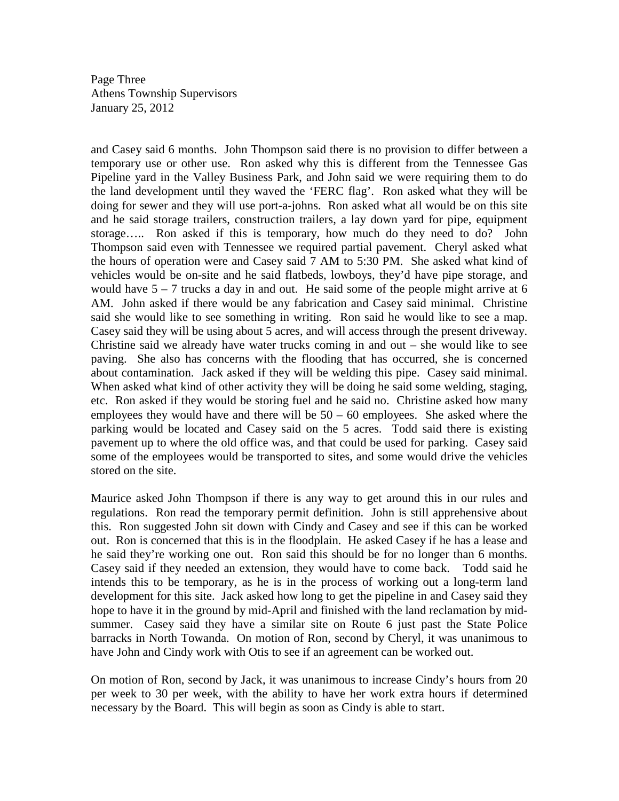Page Three Athens Township Supervisors January 25, 2012

and Casey said 6 months. John Thompson said there is no provision to differ between a temporary use or other use. Ron asked why this is different from the Tennessee Gas Pipeline yard in the Valley Business Park, and John said we were requiring them to do the land development until they waved the 'FERC flag'. Ron asked what they will be doing for sewer and they will use port-a-johns. Ron asked what all would be on this site and he said storage trailers, construction trailers, a lay down yard for pipe, equipment storage….. Ron asked if this is temporary, how much do they need to do? John Thompson said even with Tennessee we required partial pavement. Cheryl asked what the hours of operation were and Casey said 7 AM to 5:30 PM. She asked what kind of vehicles would be on-site and he said flatbeds, lowboys, they'd have pipe storage, and would have  $5 - 7$  trucks a day in and out. He said some of the people might arrive at 6 AM. John asked if there would be any fabrication and Casey said minimal. Christine said she would like to see something in writing. Ron said he would like to see a map. Casey said they will be using about 5 acres, and will access through the present driveway. Christine said we already have water trucks coming in and out  $-$  she would like to see paving. She also has concerns with the flooding that has occurred, she is concerned about contamination. Jack asked if they will be welding this pipe. Casey said minimal. When asked what kind of other activity they will be doing he said some welding, staging, etc. Ron asked if they would be storing fuel and he said no. Christine asked how many employees they would have and there will be  $50 - 60$  employees. She asked where the parking would be located and Casey said on the 5 acres. Todd said there is existing pavement up to where the old office was, and that could be used for parking. Casey said some of the employees would be transported to sites, and some would drive the vehicles stored on the site.

Maurice asked John Thompson if there is any way to get around this in our rules and regulations. Ron read the temporary permit definition. John is still apprehensive about this. Ron suggested John sit down with Cindy and Casey and see if this can be worked out. Ron is concerned that this is in the floodplain. He asked Casey if he has a lease and he said they're working one out. Ron said this should be for no longer than 6 months. Casey said if they needed an extension, they would have to come back. Todd said he intends this to be temporary, as he is in the process of working out a long-term land development for this site. Jack asked how long to get the pipeline in and Casey said they hope to have it in the ground by mid-April and finished with the land reclamation by midsummer. Casey said they have a similar site on Route 6 just past the State Police barracks in North Towanda. On motion of Ron, second by Cheryl, it was unanimous to have John and Cindy work with Otis to see if an agreement can be worked out.

On motion of Ron, second by Jack, it was unanimous to increase Cindy's hours from 20 per week to 30 per week, with the ability to have her work extra hours if determined necessary by the Board. This will begin as soon as Cindy is able to start.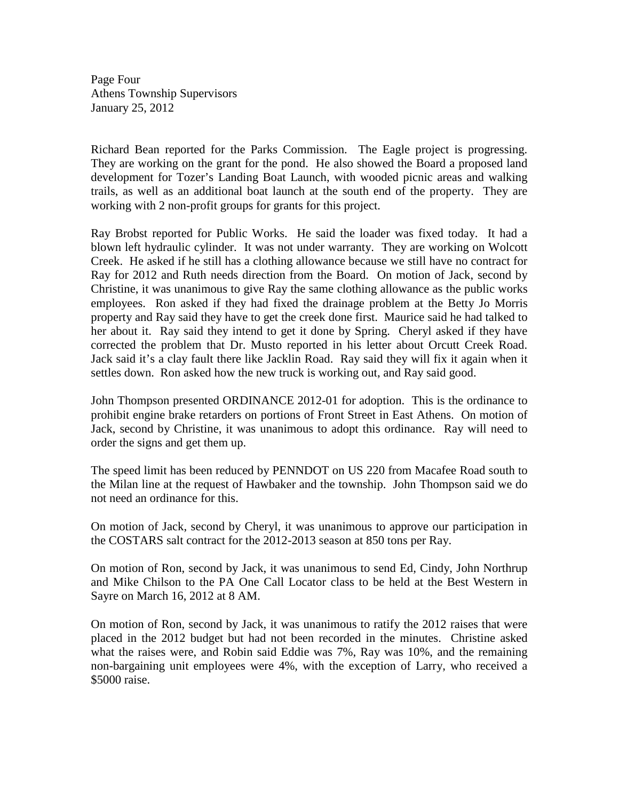Page Four Athens Township Supervisors January 25, 2012

Richard Bean reported for the Parks Commission. The Eagle project is progressing. They are working on the grant for the pond. He also showed the Board a proposed land development for Tozer's Landing Boat Launch, with wooded picnic areas and walking trails, as well as an additional boat launch at the south end of the property. They are working with 2 non-profit groups for grants for this project.

Ray Brobst reported for Public Works. He said the loader was fixed today. It had a blown left hydraulic cylinder. It was not under warranty. They are working on Wolcott Creek. He asked if he still has a clothing allowance because we still have no contract for Ray for 2012 and Ruth needs direction from the Board. On motion of Jack, second by Christine, it was unanimous to give Ray the same clothing allowance as the public works employees. Ron asked if they had fixed the drainage problem at the Betty Jo Morris property and Ray said they have to get the creek done first. Maurice said he had talked to her about it. Ray said they intend to get it done by Spring. Cheryl asked if they have corrected the problem that Dr. Musto reported in his letter about Orcutt Creek Road. Jack said it's a clay fault there like Jacklin Road. Ray said they will fix it again when it settles down. Ron asked how the new truck is working out, and Ray said good.

John Thompson presented ORDINANCE 2012-01 for adoption. This is the ordinance to prohibit engine brake retarders on portions of Front Street in East Athens. On motion of Jack, second by Christine, it was unanimous to adopt this ordinance. Ray will need to order the signs and get them up.

The speed limit has been reduced by PENNDOT on US 220 from Macafee Road south to the Milan line at the request of Hawbaker and the township. John Thompson said we do not need an ordinance for this.

On motion of Jack, second by Cheryl, it was unanimous to approve our participation in the COSTARS salt contract for the 2012-2013 season at 850 tons per Ray.

On motion of Ron, second by Jack, it was unanimous to send Ed, Cindy, John Northrup and Mike Chilson to the PA One Call Locator class to be held at the Best Western in Sayre on March 16, 2012 at 8 AM.

On motion of Ron, second by Jack, it was unanimous to ratify the 2012 raises that were placed in the 2012 budget but had not been recorded in the minutes. Christine asked what the raises were, and Robin said Eddie was 7%, Ray was 10%, and the remaining non-bargaining unit employees were 4%, with the exception of Larry, who received a \$5000 raise.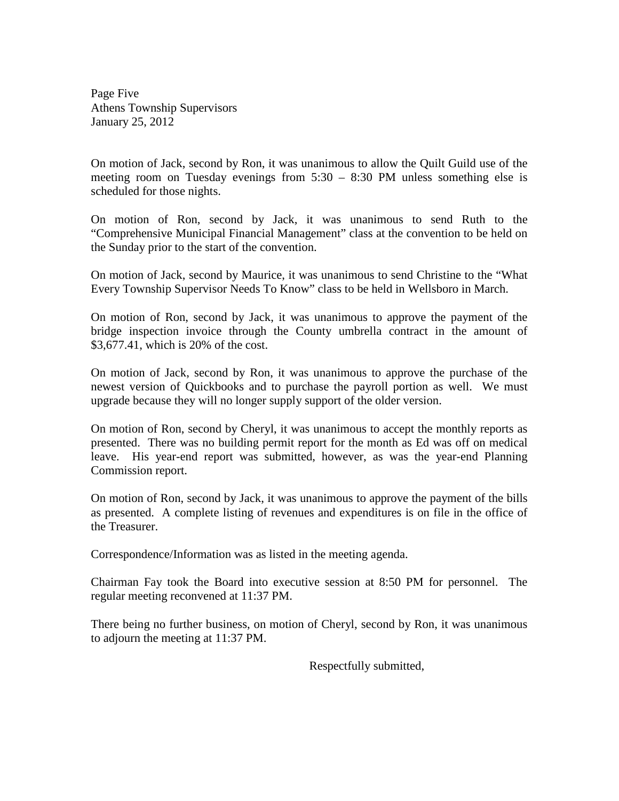Page Five Athens Township Supervisors January 25, 2012

On motion of Jack, second by Ron, it was unanimous to allow the Quilt Guild use of the meeting room on Tuesday evenings from 5:30 – 8:30 PM unless something else is scheduled for those nights.

On motion of Ron, second by Jack, it was unanimous to send Ruth to the "Comprehensive Municipal Financial Management" class at the convention to be held on the Sunday prior to the start of the convention.

On motion of Jack, second by Maurice, it was unanimous to send Christine to the "What Every Township Supervisor Needs To Know" class to be held in Wellsboro in March.

On motion of Ron, second by Jack, it was unanimous to approve the payment of the bridge inspection invoice through the County umbrella contract in the amount of \$3,677.41, which is 20% of the cost.

On motion of Jack, second by Ron, it was unanimous to approve the purchase of the newest version of Quickbooks and to purchase the payroll portion as well. We must upgrade because they will no longer supply support of the older version.

On motion of Ron, second by Cheryl, it was unanimous to accept the monthly reports as presented. There was no building permit report for the month as Ed was off on medical leave. His year-end report was submitted, however, as was the year-end Planning Commission report.

On motion of Ron, second by Jack, it was unanimous to approve the payment of the bills as presented. A complete listing of revenues and expenditures is on file in the office of the Treasurer.

Correspondence/Information was as listed in the meeting agenda.

Chairman Fay took the Board into executive session at 8:50 PM for personnel. The regular meeting reconvened at 11:37 PM.

There being no further business, on motion of Cheryl, second by Ron, it was unanimous to adjourn the meeting at 11:37 PM.

Respectfully submitted,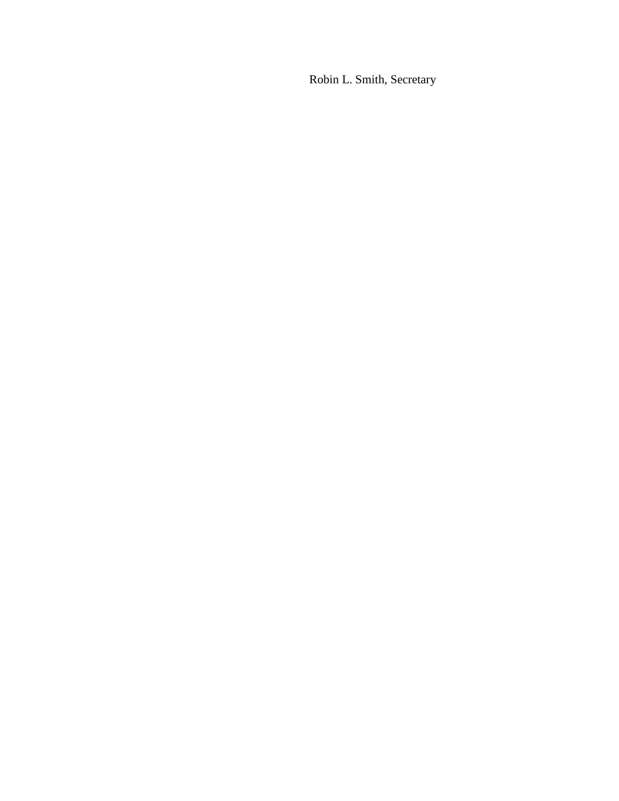Robin L. Smith, Secretary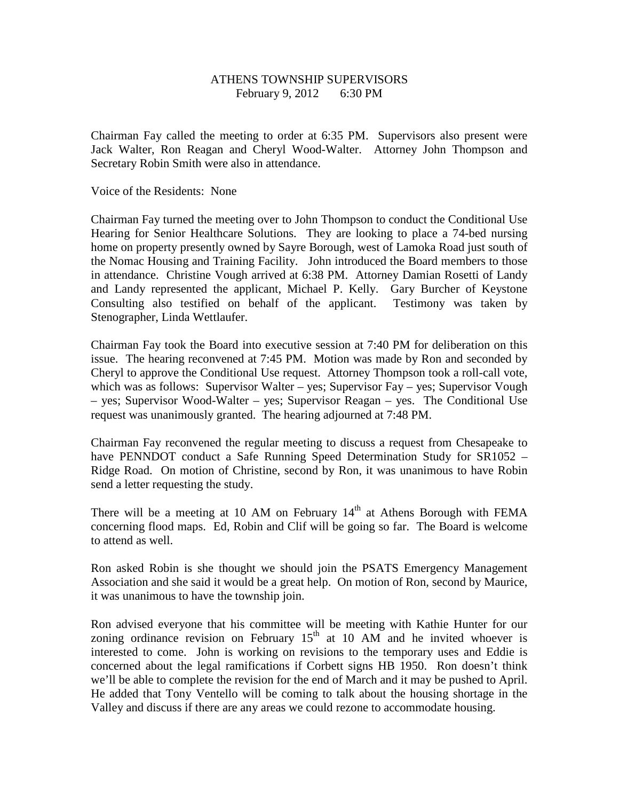# ATHENS TOWNSHIP SUPERVISORS February 9, 2012 6:30 PM

Chairman Fay called the meeting to order at 6:35 PM. Supervisors also present were Jack Walter, Ron Reagan and Cheryl Wood-Walter. Attorney John Thompson and Secretary Robin Smith were also in attendance.

Voice of the Residents: None

Chairman Fay turned the meeting over to John Thompson to conduct the Conditional Use Hearing for Senior Healthcare Solutions. They are looking to place a 74-bed nursing home on property presently owned by Sayre Borough, west of Lamoka Road just south of the Nomac Housing and Training Facility. John introduced the Board members to those in attendance. Christine Vough arrived at 6:38 PM. Attorney Damian Rosetti of Landy and Landy represented the applicant, Michael P. Kelly. Gary Burcher of Keystone Consulting also testified on behalf of the applicant. Testimony was taken by Stenographer, Linda Wettlaufer.

Chairman Fay took the Board into executive session at 7:40 PM for deliberation on this issue. The hearing reconvened at 7:45 PM. Motion was made by Ron and seconded by Cheryl to approve the Conditional Use request. Attorney Thompson took a roll-call vote, which was as follows: Supervisor Walter – yes; Supervisor Fay – yes; Supervisor Vough – yes; Supervisor Wood-Walter – yes; Supervisor Reagan – yes. The Conditional Use request was unanimously granted. The hearing adjourned at 7:48 PM.

Chairman Fay reconvened the regular meeting to discuss a request from Chesapeake to have PENNDOT conduct a Safe Running Speed Determination Study for SR1052 – Ridge Road. On motion of Christine, second by Ron, it was unanimous to have Robin send a letter requesting the study.

There will be a meeting at 10 AM on February  $14<sup>th</sup>$  at Athens Borough with FEMA concerning flood maps. Ed, Robin and Clif will be going so far. The Board is welcome to attend as well.

Ron asked Robin is she thought we should join the PSATS Emergency Management Association and she said it would be a great help. On motion of Ron, second by Maurice, it was unanimous to have the township join.

Ron advised everyone that his committee will be meeting with Kathie Hunter for our zoning ordinance revision on February  $15<sup>th</sup>$  at 10 AM and he invited whoever is interested to come. John is working on revisions to the temporary uses and Eddie is concerned about the legal ramifications if Corbett signs HB 1950. Ron doesn't think we'll be able to complete the revision for the end of March and it may be pushed to April. He added that Tony Ventello will be coming to talk about the housing shortage in the Valley and discuss if there are any areas we could rezone to accommodate housing.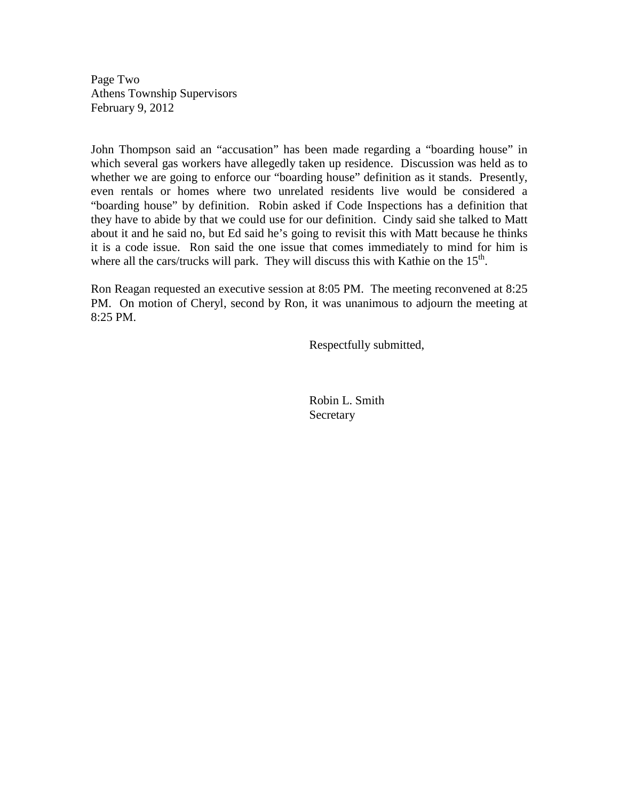Page Two Athens Township Supervisors February 9, 2012

John Thompson said an "accusation" has been made regarding a "boarding house" in which several gas workers have allegedly taken up residence. Discussion was held as to whether we are going to enforce our "boarding house" definition as it stands. Presently, even rentals or homes where two unrelated residents live would be considered a "boarding house" by definition. Robin asked if Code Inspections has a definition that they have to abide by that we could use for our definition. Cindy said she talked to Matt about it and he said no, but Ed said he's going to revisit this with Matt because he thinks it is a code issue. Ron said the one issue that comes immediately to mind for him is where all the cars/trucks will park. They will discuss this with Kathie on the  $15<sup>th</sup>$ .

Ron Reagan requested an executive session at 8:05 PM. The meeting reconvened at 8:25 PM. On motion of Cheryl, second by Ron, it was unanimous to adjourn the meeting at 8:25 PM.

Respectfully submitted,

 Robin L. Smith Secretary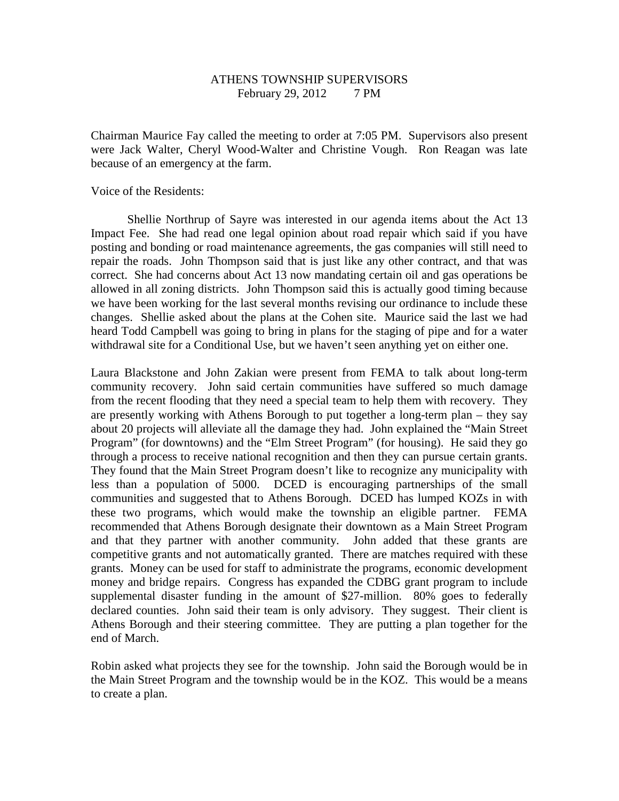# ATHENS TOWNSHIP SUPERVISORS February 29, 2012 7 PM

Chairman Maurice Fay called the meeting to order at 7:05 PM. Supervisors also present were Jack Walter, Cheryl Wood-Walter and Christine Vough. Ron Reagan was late because of an emergency at the farm.

Voice of the Residents:

 Shellie Northrup of Sayre was interested in our agenda items about the Act 13 Impact Fee. She had read one legal opinion about road repair which said if you have posting and bonding or road maintenance agreements, the gas companies will still need to repair the roads. John Thompson said that is just like any other contract, and that was correct. She had concerns about Act 13 now mandating certain oil and gas operations be allowed in all zoning districts. John Thompson said this is actually good timing because we have been working for the last several months revising our ordinance to include these changes. Shellie asked about the plans at the Cohen site. Maurice said the last we had heard Todd Campbell was going to bring in plans for the staging of pipe and for a water withdrawal site for a Conditional Use, but we haven't seen anything yet on either one.

Laura Blackstone and John Zakian were present from FEMA to talk about long-term community recovery. John said certain communities have suffered so much damage from the recent flooding that they need a special team to help them with recovery. They are presently working with Athens Borough to put together a long-term plan – they say about 20 projects will alleviate all the damage they had. John explained the "Main Street Program" (for downtowns) and the "Elm Street Program" (for housing). He said they go through a process to receive national recognition and then they can pursue certain grants. They found that the Main Street Program doesn't like to recognize any municipality with less than a population of 5000. DCED is encouraging partnerships of the small communities and suggested that to Athens Borough. DCED has lumped KOZs in with these two programs, which would make the township an eligible partner. FEMA recommended that Athens Borough designate their downtown as a Main Street Program and that they partner with another community. John added that these grants are competitive grants and not automatically granted. There are matches required with these grants. Money can be used for staff to administrate the programs, economic development money and bridge repairs. Congress has expanded the CDBG grant program to include supplemental disaster funding in the amount of \$27-million. 80% goes to federally declared counties. John said their team is only advisory. They suggest. Their client is Athens Borough and their steering committee. They are putting a plan together for the end of March.

Robin asked what projects they see for the township. John said the Borough would be in the Main Street Program and the township would be in the KOZ. This would be a means to create a plan.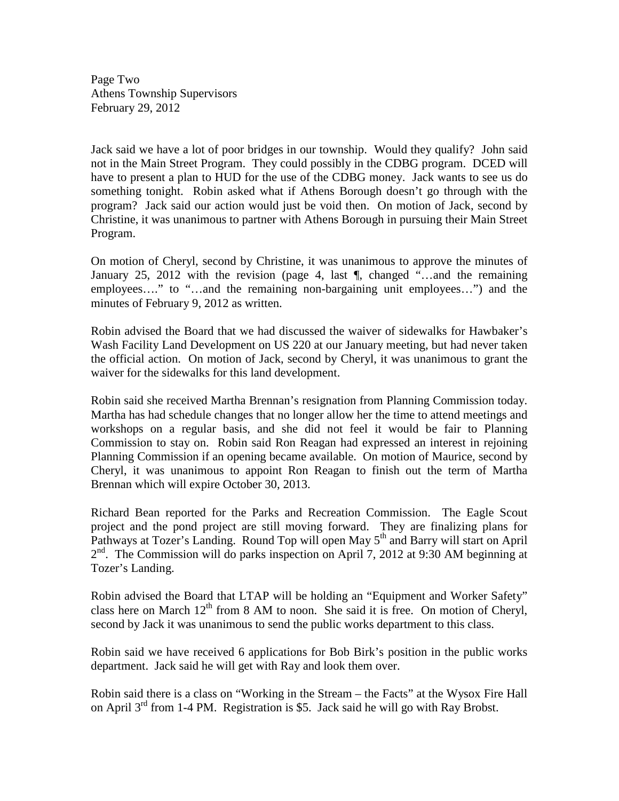Page Two Athens Township Supervisors February 29, 2012

Jack said we have a lot of poor bridges in our township. Would they qualify? John said not in the Main Street Program. They could possibly in the CDBG program. DCED will have to present a plan to HUD for the use of the CDBG money. Jack wants to see us do something tonight. Robin asked what if Athens Borough doesn't go through with the program? Jack said our action would just be void then. On motion of Jack, second by Christine, it was unanimous to partner with Athens Borough in pursuing their Main Street Program.

On motion of Cheryl, second by Christine, it was unanimous to approve the minutes of January 25, 2012 with the revision (page 4, last ¶, changed "…and the remaining employees…." to "…and the remaining non-bargaining unit employees…") and the minutes of February 9, 2012 as written.

Robin advised the Board that we had discussed the waiver of sidewalks for Hawbaker's Wash Facility Land Development on US 220 at our January meeting, but had never taken the official action. On motion of Jack, second by Cheryl, it was unanimous to grant the waiver for the sidewalks for this land development.

Robin said she received Martha Brennan's resignation from Planning Commission today. Martha has had schedule changes that no longer allow her the time to attend meetings and workshops on a regular basis, and she did not feel it would be fair to Planning Commission to stay on. Robin said Ron Reagan had expressed an interest in rejoining Planning Commission if an opening became available. On motion of Maurice, second by Cheryl, it was unanimous to appoint Ron Reagan to finish out the term of Martha Brennan which will expire October 30, 2013.

Richard Bean reported for the Parks and Recreation Commission. The Eagle Scout project and the pond project are still moving forward. They are finalizing plans for Pathways at Tozer's Landing. Round Top will open May 5<sup>th</sup> and Barry will start on April 2<sup>nd</sup>. The Commission will do parks inspection on April 7, 2012 at 9:30 AM beginning at Tozer's Landing.

Robin advised the Board that LTAP will be holding an "Equipment and Worker Safety" class here on March  $12<sup>th</sup>$  from 8 AM to noon. She said it is free. On motion of Cheryl, second by Jack it was unanimous to send the public works department to this class.

Robin said we have received 6 applications for Bob Birk's position in the public works department. Jack said he will get with Ray and look them over.

Robin said there is a class on "Working in the Stream – the Facts" at the Wysox Fire Hall on April  $3^{rd}$  from 1-4 PM. Registration is \$5. Jack said he will go with Ray Brobst.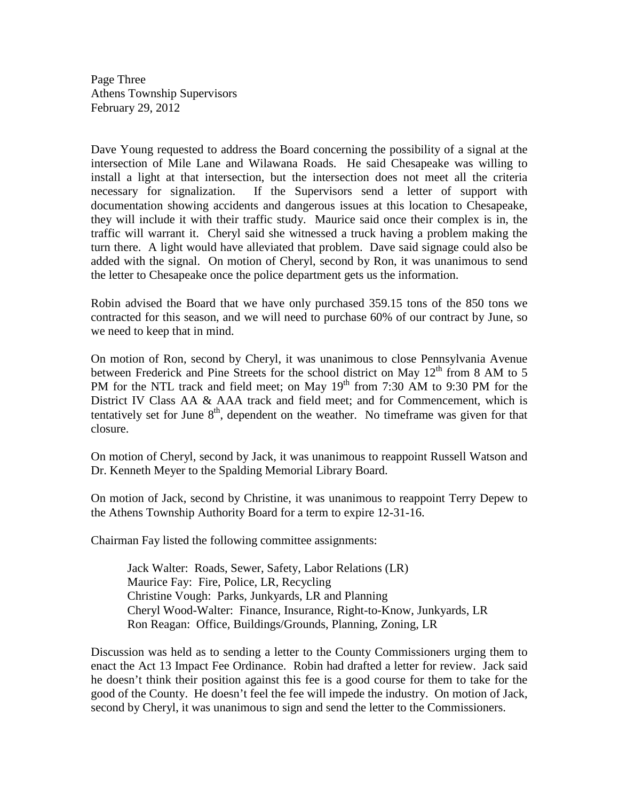Page Three Athens Township Supervisors February 29, 2012

Dave Young requested to address the Board concerning the possibility of a signal at the intersection of Mile Lane and Wilawana Roads. He said Chesapeake was willing to install a light at that intersection, but the intersection does not meet all the criteria necessary for signalization. If the Supervisors send a letter of support with documentation showing accidents and dangerous issues at this location to Chesapeake, they will include it with their traffic study. Maurice said once their complex is in, the traffic will warrant it. Cheryl said she witnessed a truck having a problem making the turn there. A light would have alleviated that problem. Dave said signage could also be added with the signal. On motion of Cheryl, second by Ron, it was unanimous to send the letter to Chesapeake once the police department gets us the information.

Robin advised the Board that we have only purchased 359.15 tons of the 850 tons we contracted for this season, and we will need to purchase 60% of our contract by June, so we need to keep that in mind.

On motion of Ron, second by Cheryl, it was unanimous to close Pennsylvania Avenue between Frederick and Pine Streets for the school district on May  $12<sup>th</sup>$  from 8 AM to 5 PM for the NTL track and field meet; on May  $19<sup>th</sup>$  from 7:30 AM to 9:30 PM for the District IV Class AA & AAA track and field meet; and for Commencement, which is tentatively set for June  $8<sup>th</sup>$ , dependent on the weather. No timeframe was given for that closure.

On motion of Cheryl, second by Jack, it was unanimous to reappoint Russell Watson and Dr. Kenneth Meyer to the Spalding Memorial Library Board.

On motion of Jack, second by Christine, it was unanimous to reappoint Terry Depew to the Athens Township Authority Board for a term to expire 12-31-16.

Chairman Fay listed the following committee assignments:

 Jack Walter: Roads, Sewer, Safety, Labor Relations (LR) Maurice Fay: Fire, Police, LR, Recycling Christine Vough: Parks, Junkyards, LR and Planning Cheryl Wood-Walter: Finance, Insurance, Right-to-Know, Junkyards, LR Ron Reagan: Office, Buildings/Grounds, Planning, Zoning, LR

Discussion was held as to sending a letter to the County Commissioners urging them to enact the Act 13 Impact Fee Ordinance. Robin had drafted a letter for review. Jack said he doesn't think their position against this fee is a good course for them to take for the good of the County. He doesn't feel the fee will impede the industry. On motion of Jack, second by Cheryl, it was unanimous to sign and send the letter to the Commissioners.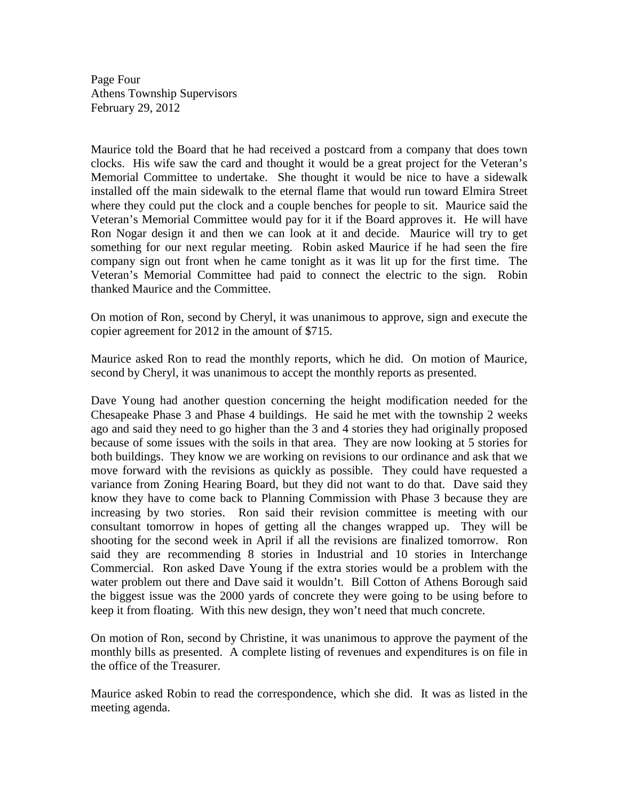Page Four Athens Township Supervisors February 29, 2012

Maurice told the Board that he had received a postcard from a company that does town clocks. His wife saw the card and thought it would be a great project for the Veteran's Memorial Committee to undertake. She thought it would be nice to have a sidewalk installed off the main sidewalk to the eternal flame that would run toward Elmira Street where they could put the clock and a couple benches for people to sit. Maurice said the Veteran's Memorial Committee would pay for it if the Board approves it. He will have Ron Nogar design it and then we can look at it and decide. Maurice will try to get something for our next regular meeting. Robin asked Maurice if he had seen the fire company sign out front when he came tonight as it was lit up for the first time. The Veteran's Memorial Committee had paid to connect the electric to the sign. Robin thanked Maurice and the Committee.

On motion of Ron, second by Cheryl, it was unanimous to approve, sign and execute the copier agreement for 2012 in the amount of \$715.

Maurice asked Ron to read the monthly reports, which he did. On motion of Maurice, second by Cheryl, it was unanimous to accept the monthly reports as presented.

Dave Young had another question concerning the height modification needed for the Chesapeake Phase 3 and Phase 4 buildings. He said he met with the township 2 weeks ago and said they need to go higher than the 3 and 4 stories they had originally proposed because of some issues with the soils in that area. They are now looking at 5 stories for both buildings. They know we are working on revisions to our ordinance and ask that we move forward with the revisions as quickly as possible. They could have requested a variance from Zoning Hearing Board, but they did not want to do that. Dave said they know they have to come back to Planning Commission with Phase 3 because they are increasing by two stories. Ron said their revision committee is meeting with our consultant tomorrow in hopes of getting all the changes wrapped up. They will be shooting for the second week in April if all the revisions are finalized tomorrow. Ron said they are recommending 8 stories in Industrial and 10 stories in Interchange Commercial. Ron asked Dave Young if the extra stories would be a problem with the water problem out there and Dave said it wouldn't. Bill Cotton of Athens Borough said the biggest issue was the 2000 yards of concrete they were going to be using before to keep it from floating. With this new design, they won't need that much concrete.

On motion of Ron, second by Christine, it was unanimous to approve the payment of the monthly bills as presented. A complete listing of revenues and expenditures is on file in the office of the Treasurer.

Maurice asked Robin to read the correspondence, which she did. It was as listed in the meeting agenda.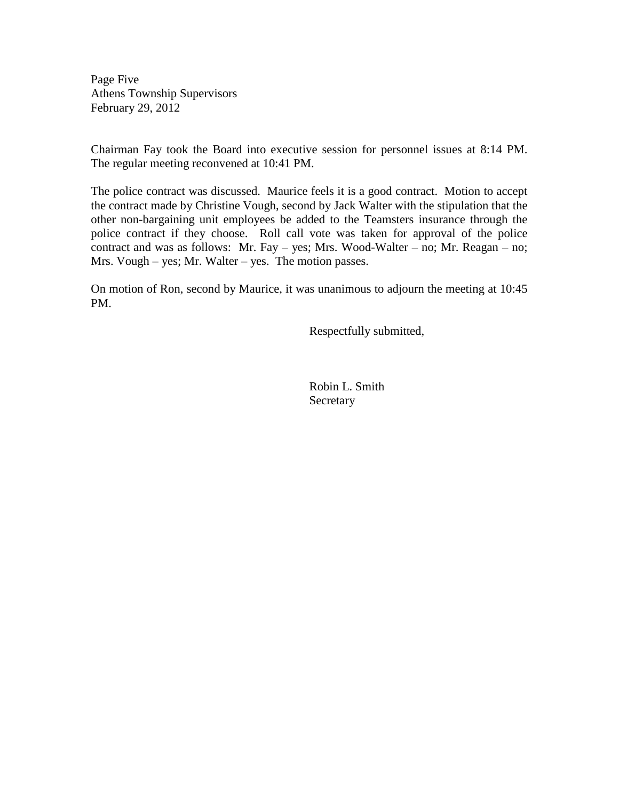Page Five Athens Township Supervisors February 29, 2012

Chairman Fay took the Board into executive session for personnel issues at 8:14 PM. The regular meeting reconvened at 10:41 PM.

The police contract was discussed. Maurice feels it is a good contract. Motion to accept the contract made by Christine Vough, second by Jack Walter with the stipulation that the other non-bargaining unit employees be added to the Teamsters insurance through the police contract if they choose. Roll call vote was taken for approval of the police contract and was as follows: Mr. Fay – yes; Mrs. Wood-Walter – no; Mr. Reagan – no; Mrs. Vough – yes; Mr. Walter – yes. The motion passes.

On motion of Ron, second by Maurice, it was unanimous to adjourn the meeting at 10:45 PM.

Respectfully submitted,

 Robin L. Smith Secretary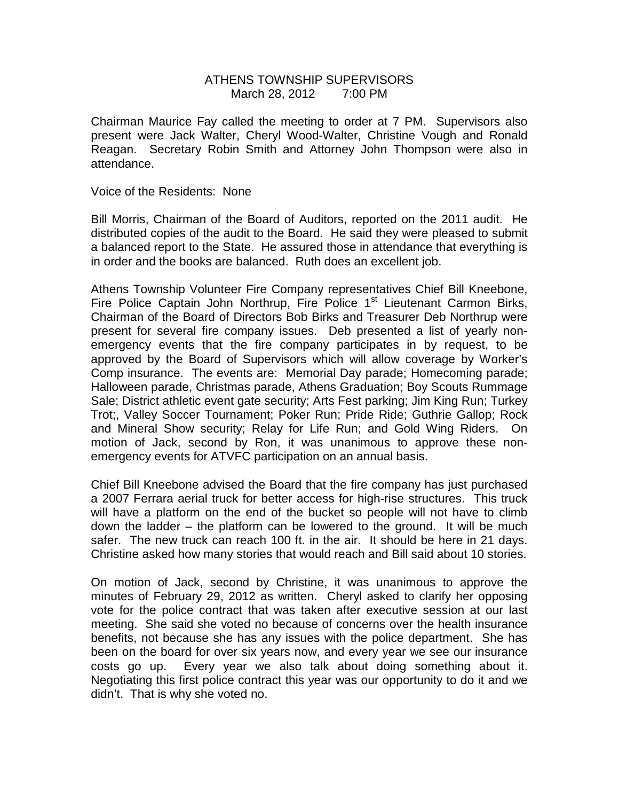# ATHENS TOWNSHIP SUPERVISORS March 28, 2012 7:00 PM

Chairman Maurice Fay called the meeting to order at 7 PM. Supervisors also present were Jack Walter, Cheryl Wood-Walter, Christine Vough and Ronald Reagan. Secretary Robin Smith and Attorney John Thompson were also in attendance.

Voice of the Residents: None

Bill Morris, Chairman of the Board of Auditors, reported on the 2011 audit. He distributed copies of the audit to the Board. He said they were pleased to submit a balanced report to the State. He assured those in attendance that everything is in order and the books are balanced. Ruth does an excellent job.

Athens Township Volunteer Fire Company representatives Chief Bill Kneebone, Fire Police Captain John Northrup, Fire Police  $1<sup>st</sup>$  Lieutenant Carmon Birks, Chairman of the Board of Directors Bob Birks and Treasurer Deb Northrup were present for several fire company issues. Deb presented a list of yearly nonemergency events that the fire company participates in by request, to be approved by the Board of Supervisors which will allow coverage by Worker's Comp insurance. The events are: Memorial Day parade; Homecoming parade; Halloween parade, Christmas parade, Athens Graduation; Boy Scouts Rummage Sale; District athletic event gate security; Arts Fest parking; Jim King Run; Turkey Trot;, Valley Soccer Tournament; Poker Run; Pride Ride; Guthrie Gallop; Rock and Mineral Show security; Relay for Life Run; and Gold Wing Riders. On motion of Jack, second by Ron, it was unanimous to approve these nonemergency events for ATVFC participation on an annual basis.

Chief Bill Kneebone advised the Board that the fire company has just purchased a 2007 Ferrara aerial truck for better access for high-rise structures. This truck will have a platform on the end of the bucket so people will not have to climb down the ladder – the platform can be lowered to the ground. It will be much safer. The new truck can reach 100 ft. in the air. It should be here in 21 days. Christine asked how many stories that would reach and Bill said about 10 stories.

On motion of Jack, second by Christine, it was unanimous to approve the minutes of February 29, 2012 as written. Cheryl asked to clarify her opposing vote for the police contract that was taken after executive session at our last meeting. She said she voted no because of concerns over the health insurance benefits, not because she has any issues with the police department. She has been on the board for over six years now, and every year we see our insurance costs go up. Every year we also talk about doing something about it. Negotiating this first police contract this year was our opportunity to do it and we didn't. That is why she voted no.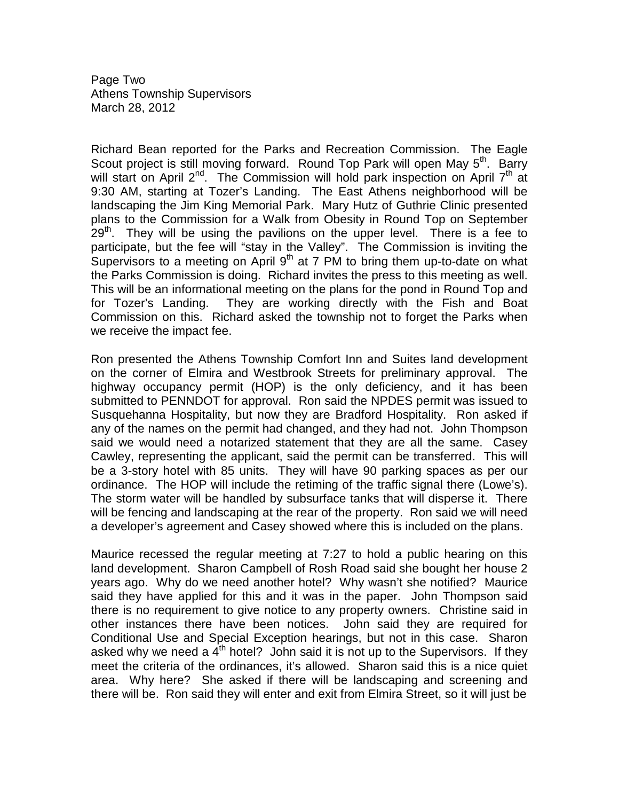Page Two Athens Township Supervisors March 28, 2012

Richard Bean reported for the Parks and Recreation Commission. The Eagle Scout project is still moving forward. Round Top Park will open May 5<sup>th</sup>. Barry will start on April 2<sup>nd</sup>. The Commission will hold park inspection on April  $7<sup>th</sup>$  at 9:30 AM, starting at Tozer's Landing. The East Athens neighborhood will be landscaping the Jim King Memorial Park. Mary Hutz of Guthrie Clinic presented plans to the Commission for a Walk from Obesity in Round Top on September  $29<sup>th</sup>$ . They will be using the pavilions on the upper level. There is a fee to participate, but the fee will "stay in the Valley". The Commission is inviting the Supervisors to a meeting on April  $9<sup>th</sup>$  at 7 PM to bring them up-to-date on what the Parks Commission is doing. Richard invites the press to this meeting as well. This will be an informational meeting on the plans for the pond in Round Top and for Tozer's Landing. They are working directly with the Fish and Boat Commission on this. Richard asked the township not to forget the Parks when we receive the impact fee.

Ron presented the Athens Township Comfort Inn and Suites land development on the corner of Elmira and Westbrook Streets for preliminary approval. The highway occupancy permit (HOP) is the only deficiency, and it has been submitted to PENNDOT for approval. Ron said the NPDES permit was issued to Susquehanna Hospitality, but now they are Bradford Hospitality. Ron asked if any of the names on the permit had changed, and they had not. John Thompson said we would need a notarized statement that they are all the same. Casey Cawley, representing the applicant, said the permit can be transferred. This will be a 3-story hotel with 85 units. They will have 90 parking spaces as per our ordinance. The HOP will include the retiming of the traffic signal there (Lowe's). The storm water will be handled by subsurface tanks that will disperse it. There will be fencing and landscaping at the rear of the property. Ron said we will need a developer's agreement and Casey showed where this is included on the plans.

Maurice recessed the regular meeting at 7:27 to hold a public hearing on this land development. Sharon Campbell of Rosh Road said she bought her house 2 years ago. Why do we need another hotel? Why wasn't she notified? Maurice said they have applied for this and it was in the paper. John Thompson said there is no requirement to give notice to any property owners. Christine said in other instances there have been notices. John said they are required for Conditional Use and Special Exception hearings, but not in this case. Sharon asked why we need a  $4<sup>th</sup>$  hotel? John said it is not up to the Supervisors. If they meet the criteria of the ordinances, it's allowed. Sharon said this is a nice quiet area. Why here? She asked if there will be landscaping and screening and there will be. Ron said they will enter and exit from Elmira Street, so it will just be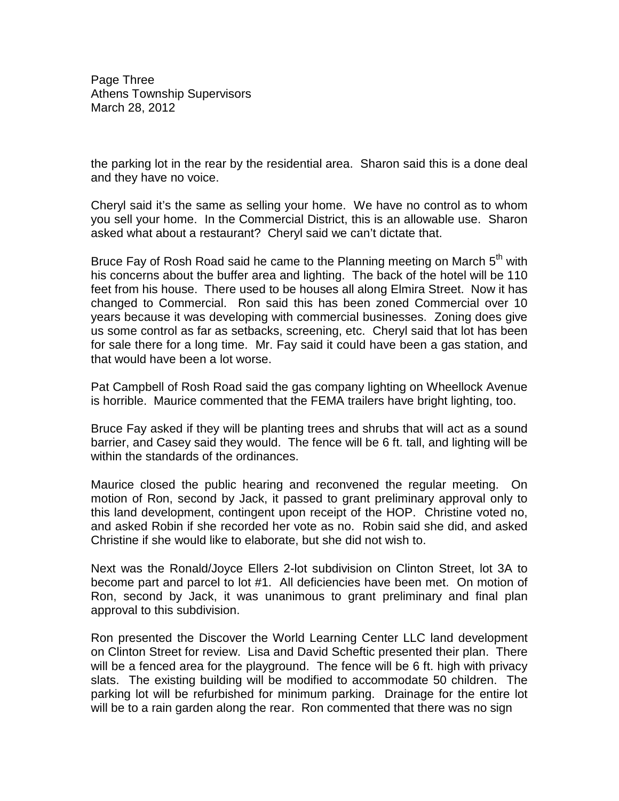Page Three Athens Township Supervisors March 28, 2012

the parking lot in the rear by the residential area. Sharon said this is a done deal and they have no voice.

Cheryl said it's the same as selling your home. We have no control as to whom you sell your home. In the Commercial District, this is an allowable use. Sharon asked what about a restaurant? Cheryl said we can't dictate that.

Bruce Fay of Rosh Road said he came to the Planning meeting on March  $5<sup>th</sup>$  with his concerns about the buffer area and lighting. The back of the hotel will be 110 feet from his house. There used to be houses all along Elmira Street. Now it has changed to Commercial. Ron said this has been zoned Commercial over 10 years because it was developing with commercial businesses. Zoning does give us some control as far as setbacks, screening, etc. Cheryl said that lot has been for sale there for a long time. Mr. Fay said it could have been a gas station, and that would have been a lot worse.

Pat Campbell of Rosh Road said the gas company lighting on Wheellock Avenue is horrible. Maurice commented that the FEMA trailers have bright lighting, too.

Bruce Fay asked if they will be planting trees and shrubs that will act as a sound barrier, and Casey said they would. The fence will be 6 ft. tall, and lighting will be within the standards of the ordinances.

Maurice closed the public hearing and reconvened the regular meeting. On motion of Ron, second by Jack, it passed to grant preliminary approval only to this land development, contingent upon receipt of the HOP. Christine voted no, and asked Robin if she recorded her vote as no. Robin said she did, and asked Christine if she would like to elaborate, but she did not wish to.

Next was the Ronald/Joyce Ellers 2-lot subdivision on Clinton Street, lot 3A to become part and parcel to lot #1. All deficiencies have been met. On motion of Ron, second by Jack, it was unanimous to grant preliminary and final plan approval to this subdivision.

Ron presented the Discover the World Learning Center LLC land development on Clinton Street for review. Lisa and David Scheftic presented their plan. There will be a fenced area for the playground. The fence will be 6 ft. high with privacy slats. The existing building will be modified to accommodate 50 children. The parking lot will be refurbished for minimum parking. Drainage for the entire lot will be to a rain garden along the rear. Ron commented that there was no sign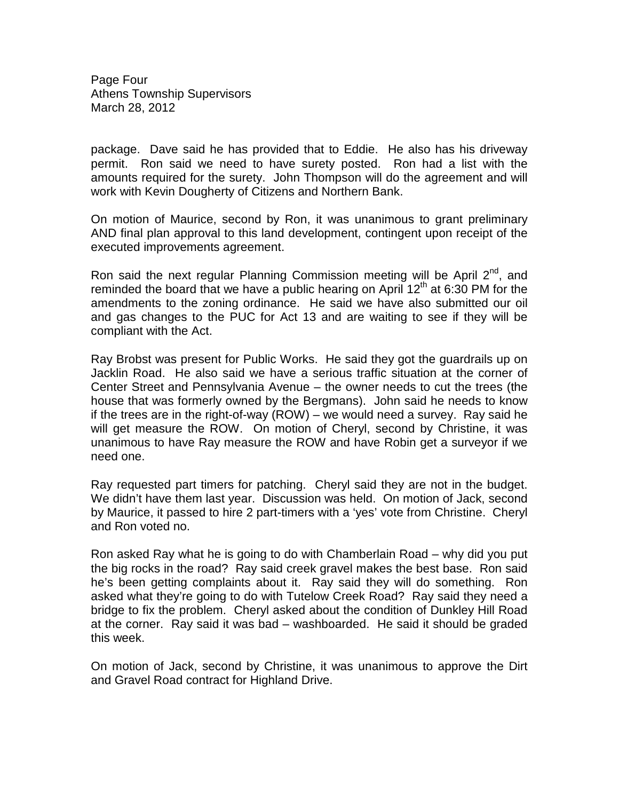Page Four Athens Township Supervisors March 28, 2012

package. Dave said he has provided that to Eddie. He also has his driveway permit. Ron said we need to have surety posted. Ron had a list with the amounts required for the surety. John Thompson will do the agreement and will work with Kevin Dougherty of Citizens and Northern Bank.

On motion of Maurice, second by Ron, it was unanimous to grant preliminary AND final plan approval to this land development, contingent upon receipt of the executed improvements agreement.

Ron said the next regular Planning Commission meeting will be April  $2^{nd}$ , and reminded the board that we have a public hearing on April  $12<sup>th</sup>$  at 6:30 PM for the amendments to the zoning ordinance. He said we have also submitted our oil and gas changes to the PUC for Act 13 and are waiting to see if they will be compliant with the Act.

Ray Brobst was present for Public Works. He said they got the guardrails up on Jacklin Road. He also said we have a serious traffic situation at the corner of Center Street and Pennsylvania Avenue – the owner needs to cut the trees (the house that was formerly owned by the Bergmans). John said he needs to know if the trees are in the right-of-way (ROW) – we would need a survey. Ray said he will get measure the ROW. On motion of Cheryl, second by Christine, it was unanimous to have Ray measure the ROW and have Robin get a surveyor if we need one.

Ray requested part timers for patching. Cheryl said they are not in the budget. We didn't have them last year. Discussion was held. On motion of Jack, second by Maurice, it passed to hire 2 part-timers with a 'yes' vote from Christine. Cheryl and Ron voted no.

Ron asked Ray what he is going to do with Chamberlain Road – why did you put the big rocks in the road? Ray said creek gravel makes the best base. Ron said he's been getting complaints about it. Ray said they will do something. Ron asked what they're going to do with Tutelow Creek Road? Ray said they need a bridge to fix the problem. Cheryl asked about the condition of Dunkley Hill Road at the corner. Ray said it was bad – washboarded. He said it should be graded this week.

On motion of Jack, second by Christine, it was unanimous to approve the Dirt and Gravel Road contract for Highland Drive.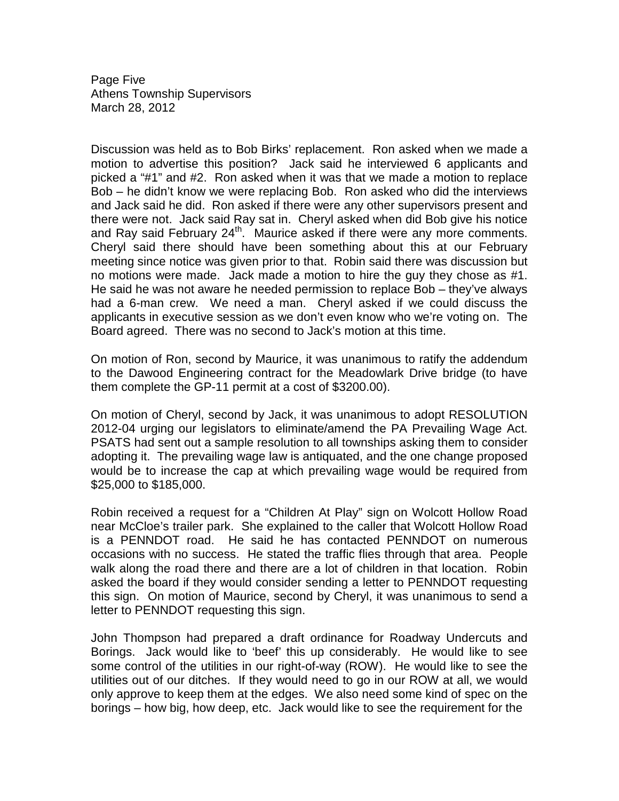Page Five Athens Township Supervisors March 28, 2012

Discussion was held as to Bob Birks' replacement. Ron asked when we made a motion to advertise this position? Jack said he interviewed 6 applicants and picked a "#1" and #2. Ron asked when it was that we made a motion to replace Bob – he didn't know we were replacing Bob. Ron asked who did the interviews and Jack said he did. Ron asked if there were any other supervisors present and there were not. Jack said Ray sat in. Cheryl asked when did Bob give his notice and Ray said February 24<sup>th</sup>. Maurice asked if there were any more comments. Cheryl said there should have been something about this at our February meeting since notice was given prior to that. Robin said there was discussion but no motions were made. Jack made a motion to hire the guy they chose as #1. He said he was not aware he needed permission to replace Bob – they've always had a 6-man crew. We need a man. Cheryl asked if we could discuss the applicants in executive session as we don't even know who we're voting on. The Board agreed. There was no second to Jack's motion at this time.

On motion of Ron, second by Maurice, it was unanimous to ratify the addendum to the Dawood Engineering contract for the Meadowlark Drive bridge (to have them complete the GP-11 permit at a cost of \$3200.00).

On motion of Cheryl, second by Jack, it was unanimous to adopt RESOLUTION 2012-04 urging our legislators to eliminate/amend the PA Prevailing Wage Act. PSATS had sent out a sample resolution to all townships asking them to consider adopting it. The prevailing wage law is antiquated, and the one change proposed would be to increase the cap at which prevailing wage would be required from \$25,000 to \$185,000.

Robin received a request for a "Children At Play" sign on Wolcott Hollow Road near McCloe's trailer park. She explained to the caller that Wolcott Hollow Road is a PENNDOT road. He said he has contacted PENNDOT on numerous occasions with no success. He stated the traffic flies through that area. People walk along the road there and there are a lot of children in that location. Robin asked the board if they would consider sending a letter to PENNDOT requesting this sign. On motion of Maurice, second by Cheryl, it was unanimous to send a letter to PENNDOT requesting this sign.

John Thompson had prepared a draft ordinance for Roadway Undercuts and Borings. Jack would like to 'beef' this up considerably. He would like to see some control of the utilities in our right-of-way (ROW). He would like to see the utilities out of our ditches. If they would need to go in our ROW at all, we would only approve to keep them at the edges. We also need some kind of spec on the borings – how big, how deep, etc. Jack would like to see the requirement for the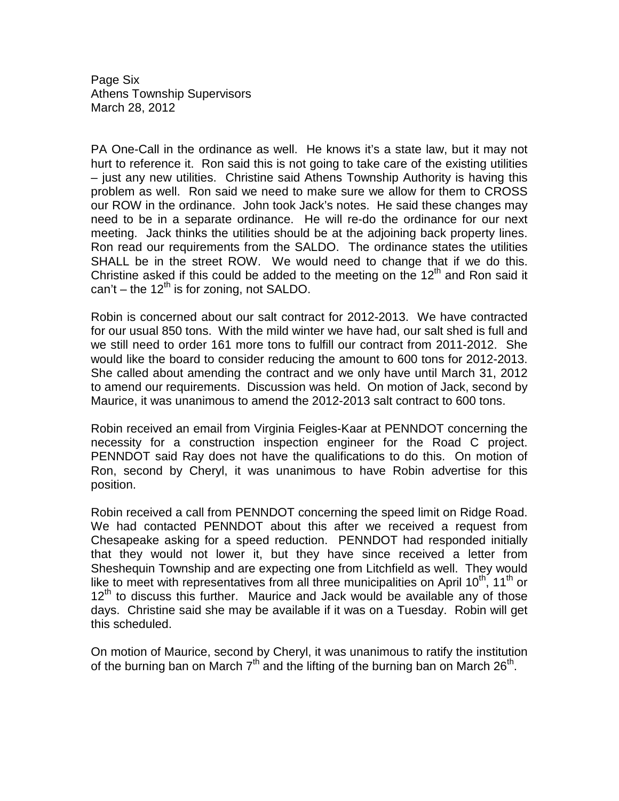Page Six Athens Township Supervisors March 28, 2012

PA One-Call in the ordinance as well. He knows it's a state law, but it may not hurt to reference it. Ron said this is not going to take care of the existing utilities – just any new utilities. Christine said Athens Township Authority is having this problem as well. Ron said we need to make sure we allow for them to CROSS our ROW in the ordinance. John took Jack's notes. He said these changes may need to be in a separate ordinance. He will re-do the ordinance for our next meeting. Jack thinks the utilities should be at the adjoining back property lines. Ron read our requirements from the SALDO. The ordinance states the utilities SHALL be in the street ROW. We would need to change that if we do this. Christine asked if this could be added to the meeting on the  $12<sup>th</sup>$  and Ron said it can't – the  $12^{th}$  is for zoning, not SALDO.

Robin is concerned about our salt contract for 2012-2013. We have contracted for our usual 850 tons. With the mild winter we have had, our salt shed is full and we still need to order 161 more tons to fulfill our contract from 2011-2012. She would like the board to consider reducing the amount to 600 tons for 2012-2013. She called about amending the contract and we only have until March 31, 2012 to amend our requirements. Discussion was held. On motion of Jack, second by Maurice, it was unanimous to amend the 2012-2013 salt contract to 600 tons.

Robin received an email from Virginia Feigles-Kaar at PENNDOT concerning the necessity for a construction inspection engineer for the Road C project. PENNDOT said Ray does not have the qualifications to do this. On motion of Ron, second by Cheryl, it was unanimous to have Robin advertise for this position.

Robin received a call from PENNDOT concerning the speed limit on Ridge Road. We had contacted PENNDOT about this after we received a request from Chesapeake asking for a speed reduction. PENNDOT had responded initially that they would not lower it, but they have since received a letter from Sheshequin Township and are expecting one from Litchfield as well. They would like to meet with representatives from all three municipalities on April  $10^{th}$ ,  $11^{th}$  or  $12<sup>th</sup>$  to discuss this further. Maurice and Jack would be available any of those days. Christine said she may be available if it was on a Tuesday. Robin will get this scheduled.

On motion of Maurice, second by Cheryl, it was unanimous to ratify the institution of the burning ban on March  $7<sup>th</sup>$  and the lifting of the burning ban on March 26<sup>th</sup>.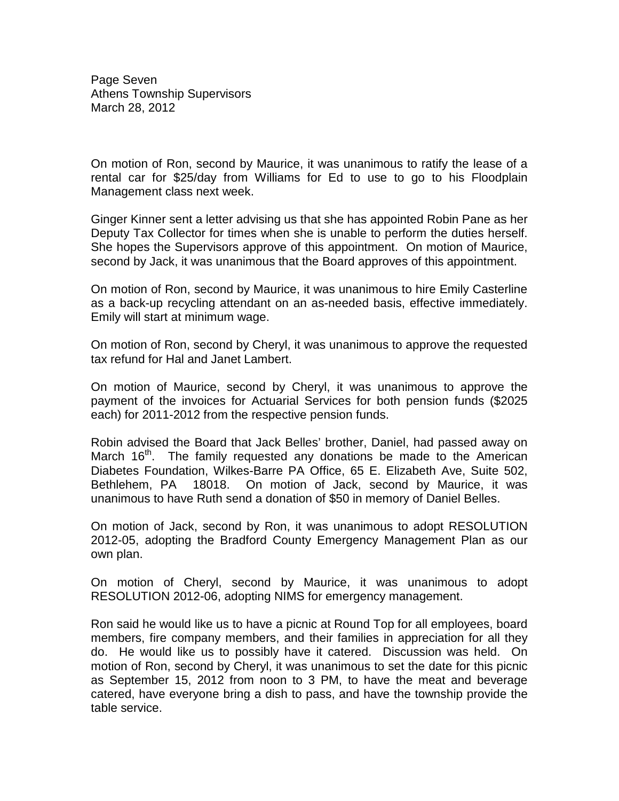Page Seven Athens Township Supervisors March 28, 2012

On motion of Ron, second by Maurice, it was unanimous to ratify the lease of a rental car for \$25/day from Williams for Ed to use to go to his Floodplain Management class next week.

Ginger Kinner sent a letter advising us that she has appointed Robin Pane as her Deputy Tax Collector for times when she is unable to perform the duties herself. She hopes the Supervisors approve of this appointment. On motion of Maurice, second by Jack, it was unanimous that the Board approves of this appointment.

On motion of Ron, second by Maurice, it was unanimous to hire Emily Casterline as a back-up recycling attendant on an as-needed basis, effective immediately. Emily will start at minimum wage.

On motion of Ron, second by Cheryl, it was unanimous to approve the requested tax refund for Hal and Janet Lambert.

On motion of Maurice, second by Cheryl, it was unanimous to approve the payment of the invoices for Actuarial Services for both pension funds (\$2025 each) for 2011-2012 from the respective pension funds.

Robin advised the Board that Jack Belles' brother, Daniel, had passed away on March 16<sup>th</sup>. The family requested any donations be made to the American Diabetes Foundation, Wilkes-Barre PA Office, 65 E. Elizabeth Ave, Suite 502, Bethlehem, PA 18018. On motion of Jack, second by Maurice, it was unanimous to have Ruth send a donation of \$50 in memory of Daniel Belles.

On motion of Jack, second by Ron, it was unanimous to adopt RESOLUTION 2012-05, adopting the Bradford County Emergency Management Plan as our own plan.

On motion of Cheryl, second by Maurice, it was unanimous to adopt RESOLUTION 2012-06, adopting NIMS for emergency management.

Ron said he would like us to have a picnic at Round Top for all employees, board members, fire company members, and their families in appreciation for all they do. He would like us to possibly have it catered. Discussion was held. On motion of Ron, second by Cheryl, it was unanimous to set the date for this picnic as September 15, 2012 from noon to 3 PM, to have the meat and beverage catered, have everyone bring a dish to pass, and have the township provide the table service.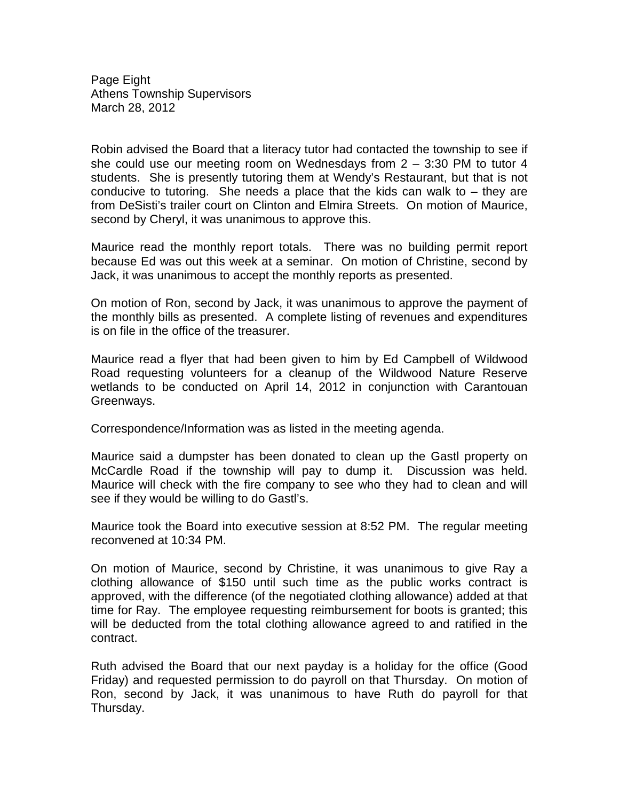Page Eight Athens Township Supervisors March 28, 2012

Robin advised the Board that a literacy tutor had contacted the township to see if she could use our meeting room on Wednesdays from  $2 - 3:30$  PM to tutor 4 students. She is presently tutoring them at Wendy's Restaurant, but that is not conducive to tutoring. She needs a place that the kids can walk to  $-$  they are from DeSisti's trailer court on Clinton and Elmira Streets. On motion of Maurice, second by Cheryl, it was unanimous to approve this.

Maurice read the monthly report totals. There was no building permit report because Ed was out this week at a seminar. On motion of Christine, second by Jack, it was unanimous to accept the monthly reports as presented.

On motion of Ron, second by Jack, it was unanimous to approve the payment of the monthly bills as presented. A complete listing of revenues and expenditures is on file in the office of the treasurer.

Maurice read a flyer that had been given to him by Ed Campbell of Wildwood Road requesting volunteers for a cleanup of the Wildwood Nature Reserve wetlands to be conducted on April 14, 2012 in conjunction with Carantouan Greenways.

Correspondence/Information was as listed in the meeting agenda.

Maurice said a dumpster has been donated to clean up the Gastl property on McCardle Road if the township will pay to dump it. Discussion was held. Maurice will check with the fire company to see who they had to clean and will see if they would be willing to do Gastl's.

Maurice took the Board into executive session at 8:52 PM. The regular meeting reconvened at 10:34 PM.

On motion of Maurice, second by Christine, it was unanimous to give Ray a clothing allowance of \$150 until such time as the public works contract is approved, with the difference (of the negotiated clothing allowance) added at that time for Ray. The employee requesting reimbursement for boots is granted; this will be deducted from the total clothing allowance agreed to and ratified in the contract.

Ruth advised the Board that our next payday is a holiday for the office (Good Friday) and requested permission to do payroll on that Thursday. On motion of Ron, second by Jack, it was unanimous to have Ruth do payroll for that Thursday.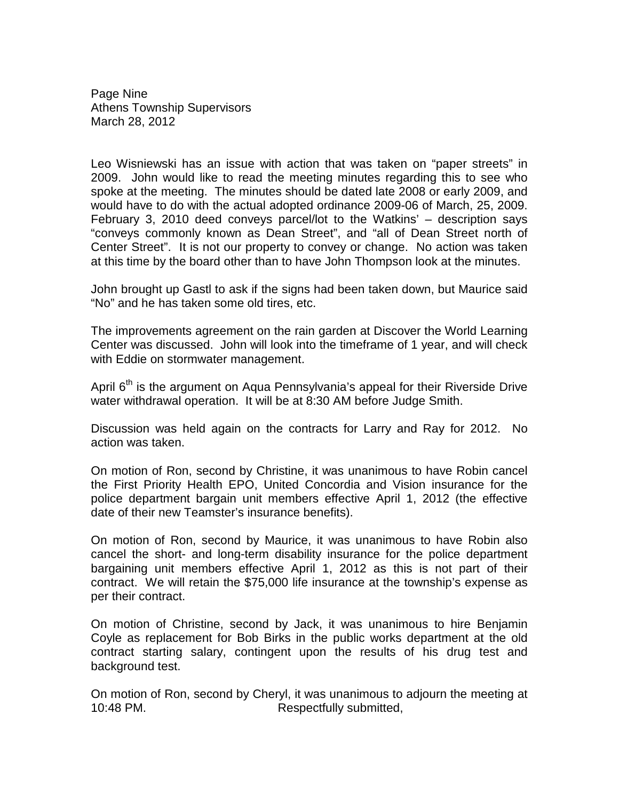Page Nine Athens Township Supervisors March 28, 2012

Leo Wisniewski has an issue with action that was taken on "paper streets" in 2009. John would like to read the meeting minutes regarding this to see who spoke at the meeting. The minutes should be dated late 2008 or early 2009, and would have to do with the actual adopted ordinance 2009-06 of March, 25, 2009. February 3, 2010 deed conveys parcel/lot to the Watkins' – description says "conveys commonly known as Dean Street", and "all of Dean Street north of Center Street". It is not our property to convey or change. No action was taken at this time by the board other than to have John Thompson look at the minutes.

John brought up Gastl to ask if the signs had been taken down, but Maurice said "No" and he has taken some old tires, etc.

The improvements agreement on the rain garden at Discover the World Learning Center was discussed. John will look into the timeframe of 1 year, and will check with Eddie on stormwater management.

April  $6<sup>th</sup>$  is the argument on Aqua Pennsylvania's appeal for their Riverside Drive water withdrawal operation. It will be at 8:30 AM before Judge Smith.

Discussion was held again on the contracts for Larry and Ray for 2012. No action was taken.

On motion of Ron, second by Christine, it was unanimous to have Robin cancel the First Priority Health EPO, United Concordia and Vision insurance for the police department bargain unit members effective April 1, 2012 (the effective date of their new Teamster's insurance benefits).

On motion of Ron, second by Maurice, it was unanimous to have Robin also cancel the short- and long-term disability insurance for the police department bargaining unit members effective April 1, 2012 as this is not part of their contract. We will retain the \$75,000 life insurance at the township's expense as per their contract.

On motion of Christine, second by Jack, it was unanimous to hire Benjamin Coyle as replacement for Bob Birks in the public works department at the old contract starting salary, contingent upon the results of his drug test and background test.

On motion of Ron, second by Cheryl, it was unanimous to adjourn the meeting at 10:48 PM. Respectfully submitted,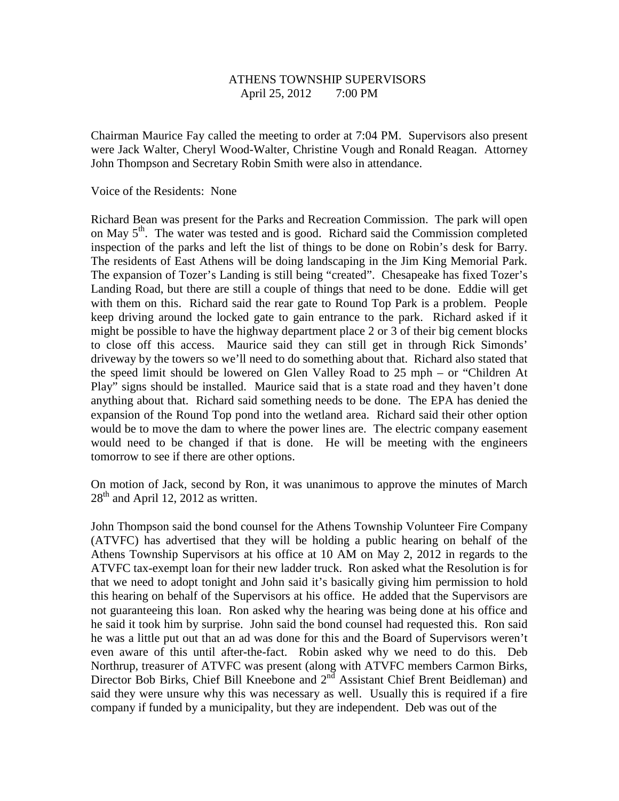# ATHENS TOWNSHIP SUPERVISORS April 25, 2012 7:00 PM

Chairman Maurice Fay called the meeting to order at 7:04 PM. Supervisors also present were Jack Walter, Cheryl Wood-Walter, Christine Vough and Ronald Reagan. Attorney John Thompson and Secretary Robin Smith were also in attendance.

Voice of the Residents: None

Richard Bean was present for the Parks and Recreation Commission. The park will open on May 5<sup>th</sup>. The water was tested and is good. Richard said the Commission completed inspection of the parks and left the list of things to be done on Robin's desk for Barry. The residents of East Athens will be doing landscaping in the Jim King Memorial Park. The expansion of Tozer's Landing is still being "created". Chesapeake has fixed Tozer's Landing Road, but there are still a couple of things that need to be done. Eddie will get with them on this. Richard said the rear gate to Round Top Park is a problem. People keep driving around the locked gate to gain entrance to the park. Richard asked if it might be possible to have the highway department place 2 or 3 of their big cement blocks to close off this access. Maurice said they can still get in through Rick Simonds' driveway by the towers so we'll need to do something about that. Richard also stated that the speed limit should be lowered on Glen Valley Road to 25 mph – or "Children At Play" signs should be installed. Maurice said that is a state road and they haven't done anything about that. Richard said something needs to be done. The EPA has denied the expansion of the Round Top pond into the wetland area. Richard said their other option would be to move the dam to where the power lines are. The electric company easement would need to be changed if that is done. He will be meeting with the engineers tomorrow to see if there are other options.

On motion of Jack, second by Ron, it was unanimous to approve the minutes of March  $28<sup>th</sup>$  and April 12, 2012 as written.

John Thompson said the bond counsel for the Athens Township Volunteer Fire Company (ATVFC) has advertised that they will be holding a public hearing on behalf of the Athens Township Supervisors at his office at 10 AM on May 2, 2012 in regards to the ATVFC tax-exempt loan for their new ladder truck. Ron asked what the Resolution is for that we need to adopt tonight and John said it's basically giving him permission to hold this hearing on behalf of the Supervisors at his office. He added that the Supervisors are not guaranteeing this loan. Ron asked why the hearing was being done at his office and he said it took him by surprise. John said the bond counsel had requested this. Ron said he was a little put out that an ad was done for this and the Board of Supervisors weren't even aware of this until after-the-fact. Robin asked why we need to do this. Deb Northrup, treasurer of ATVFC was present (along with ATVFC members Carmon Birks, Director Bob Birks, Chief Bill Kneebone and 2<sup>nd</sup> Assistant Chief Brent Beidleman) and said they were unsure why this was necessary as well. Usually this is required if a fire company if funded by a municipality, but they are independent. Deb was out of the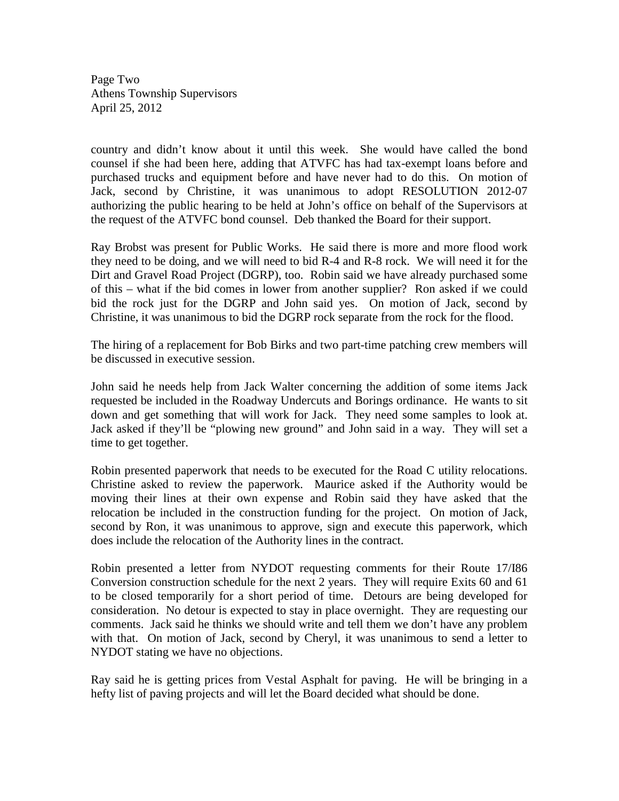Page Two Athens Township Supervisors April 25, 2012

country and didn't know about it until this week. She would have called the bond counsel if she had been here, adding that ATVFC has had tax-exempt loans before and purchased trucks and equipment before and have never had to do this. On motion of Jack, second by Christine, it was unanimous to adopt RESOLUTION 2012-07 authorizing the public hearing to be held at John's office on behalf of the Supervisors at the request of the ATVFC bond counsel. Deb thanked the Board for their support.

Ray Brobst was present for Public Works. He said there is more and more flood work they need to be doing, and we will need to bid R-4 and R-8 rock. We will need it for the Dirt and Gravel Road Project (DGRP), too. Robin said we have already purchased some of this – what if the bid comes in lower from another supplier? Ron asked if we could bid the rock just for the DGRP and John said yes. On motion of Jack, second by Christine, it was unanimous to bid the DGRP rock separate from the rock for the flood.

The hiring of a replacement for Bob Birks and two part-time patching crew members will be discussed in executive session.

John said he needs help from Jack Walter concerning the addition of some items Jack requested be included in the Roadway Undercuts and Borings ordinance. He wants to sit down and get something that will work for Jack. They need some samples to look at. Jack asked if they'll be "plowing new ground" and John said in a way. They will set a time to get together.

Robin presented paperwork that needs to be executed for the Road C utility relocations. Christine asked to review the paperwork. Maurice asked if the Authority would be moving their lines at their own expense and Robin said they have asked that the relocation be included in the construction funding for the project. On motion of Jack, second by Ron, it was unanimous to approve, sign and execute this paperwork, which does include the relocation of the Authority lines in the contract.

Robin presented a letter from NYDOT requesting comments for their Route 17/I86 Conversion construction schedule for the next 2 years. They will require Exits 60 and 61 to be closed temporarily for a short period of time. Detours are being developed for consideration. No detour is expected to stay in place overnight. They are requesting our comments. Jack said he thinks we should write and tell them we don't have any problem with that. On motion of Jack, second by Cheryl, it was unanimous to send a letter to NYDOT stating we have no objections.

Ray said he is getting prices from Vestal Asphalt for paving. He will be bringing in a hefty list of paving projects and will let the Board decided what should be done.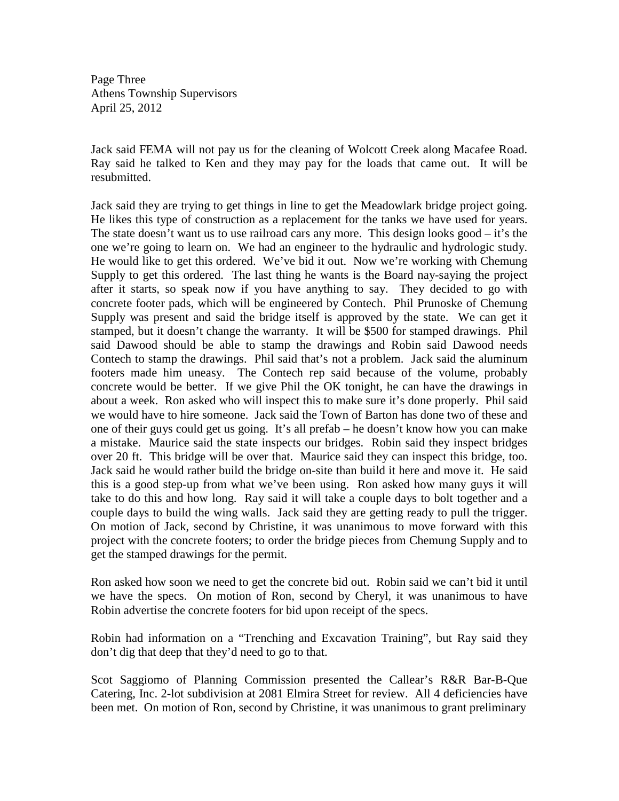Page Three Athens Township Supervisors April 25, 2012

Jack said FEMA will not pay us for the cleaning of Wolcott Creek along Macafee Road. Ray said he talked to Ken and they may pay for the loads that came out. It will be resubmitted.

Jack said they are trying to get things in line to get the Meadowlark bridge project going. He likes this type of construction as a replacement for the tanks we have used for years. The state doesn't want us to use railroad cars any more. This design looks good – it's the one we're going to learn on. We had an engineer to the hydraulic and hydrologic study. He would like to get this ordered. We've bid it out. Now we're working with Chemung Supply to get this ordered. The last thing he wants is the Board nay-saying the project after it starts, so speak now if you have anything to say. They decided to go with concrete footer pads, which will be engineered by Contech. Phil Prunoske of Chemung Supply was present and said the bridge itself is approved by the state. We can get it stamped, but it doesn't change the warranty. It will be \$500 for stamped drawings. Phil said Dawood should be able to stamp the drawings and Robin said Dawood needs Contech to stamp the drawings. Phil said that's not a problem. Jack said the aluminum footers made him uneasy. The Contech rep said because of the volume, probably concrete would be better. If we give Phil the OK tonight, he can have the drawings in about a week. Ron asked who will inspect this to make sure it's done properly. Phil said we would have to hire someone. Jack said the Town of Barton has done two of these and one of their guys could get us going. It's all prefab – he doesn't know how you can make a mistake. Maurice said the state inspects our bridges. Robin said they inspect bridges over 20 ft. This bridge will be over that. Maurice said they can inspect this bridge, too. Jack said he would rather build the bridge on-site than build it here and move it. He said this is a good step-up from what we've been using. Ron asked how many guys it will take to do this and how long. Ray said it will take a couple days to bolt together and a couple days to build the wing walls. Jack said they are getting ready to pull the trigger. On motion of Jack, second by Christine, it was unanimous to move forward with this project with the concrete footers; to order the bridge pieces from Chemung Supply and to get the stamped drawings for the permit.

Ron asked how soon we need to get the concrete bid out. Robin said we can't bid it until we have the specs. On motion of Ron, second by Cheryl, it was unanimous to have Robin advertise the concrete footers for bid upon receipt of the specs.

Robin had information on a "Trenching and Excavation Training", but Ray said they don't dig that deep that they'd need to go to that.

Scot Saggiomo of Planning Commission presented the Callear's R&R Bar-B-Que Catering, Inc. 2-lot subdivision at 2081 Elmira Street for review. All 4 deficiencies have been met. On motion of Ron, second by Christine, it was unanimous to grant preliminary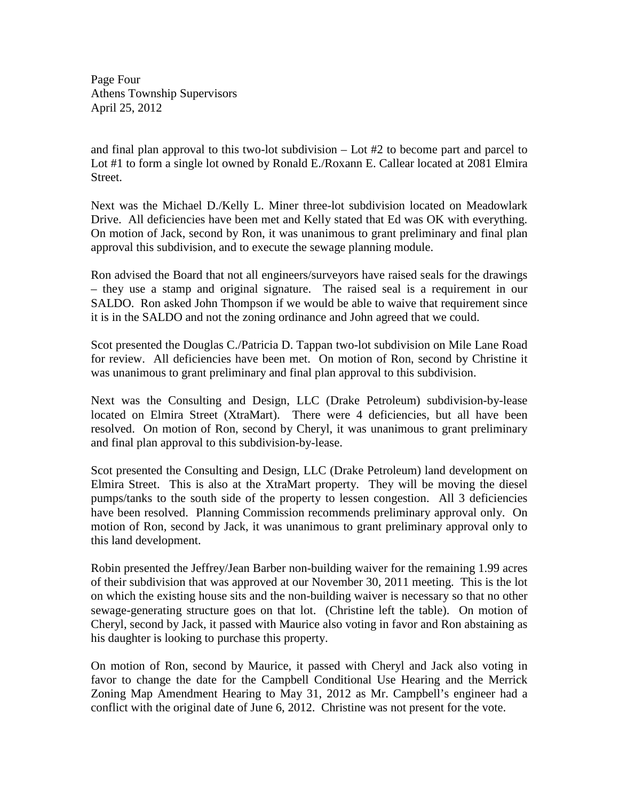Page Four Athens Township Supervisors April 25, 2012

and final plan approval to this two-lot subdivision – Lot #2 to become part and parcel to Lot #1 to form a single lot owned by Ronald E./Roxann E. Callear located at 2081 Elmira Street.

Next was the Michael D./Kelly L. Miner three-lot subdivision located on Meadowlark Drive. All deficiencies have been met and Kelly stated that Ed was OK with everything. On motion of Jack, second by Ron, it was unanimous to grant preliminary and final plan approval this subdivision, and to execute the sewage planning module.

Ron advised the Board that not all engineers/surveyors have raised seals for the drawings – they use a stamp and original signature. The raised seal is a requirement in our SALDO. Ron asked John Thompson if we would be able to waive that requirement since it is in the SALDO and not the zoning ordinance and John agreed that we could.

Scot presented the Douglas C./Patricia D. Tappan two-lot subdivision on Mile Lane Road for review. All deficiencies have been met. On motion of Ron, second by Christine it was unanimous to grant preliminary and final plan approval to this subdivision.

Next was the Consulting and Design, LLC (Drake Petroleum) subdivision-by-lease located on Elmira Street (XtraMart). There were 4 deficiencies, but all have been resolved. On motion of Ron, second by Cheryl, it was unanimous to grant preliminary and final plan approval to this subdivision-by-lease.

Scot presented the Consulting and Design, LLC (Drake Petroleum) land development on Elmira Street. This is also at the XtraMart property. They will be moving the diesel pumps/tanks to the south side of the property to lessen congestion. All 3 deficiencies have been resolved. Planning Commission recommends preliminary approval only. On motion of Ron, second by Jack, it was unanimous to grant preliminary approval only to this land development.

Robin presented the Jeffrey/Jean Barber non-building waiver for the remaining 1.99 acres of their subdivision that was approved at our November 30, 2011 meeting. This is the lot on which the existing house sits and the non-building waiver is necessary so that no other sewage-generating structure goes on that lot. (Christine left the table). On motion of Cheryl, second by Jack, it passed with Maurice also voting in favor and Ron abstaining as his daughter is looking to purchase this property.

On motion of Ron, second by Maurice, it passed with Cheryl and Jack also voting in favor to change the date for the Campbell Conditional Use Hearing and the Merrick Zoning Map Amendment Hearing to May 31, 2012 as Mr. Campbell's engineer had a conflict with the original date of June 6, 2012. Christine was not present for the vote.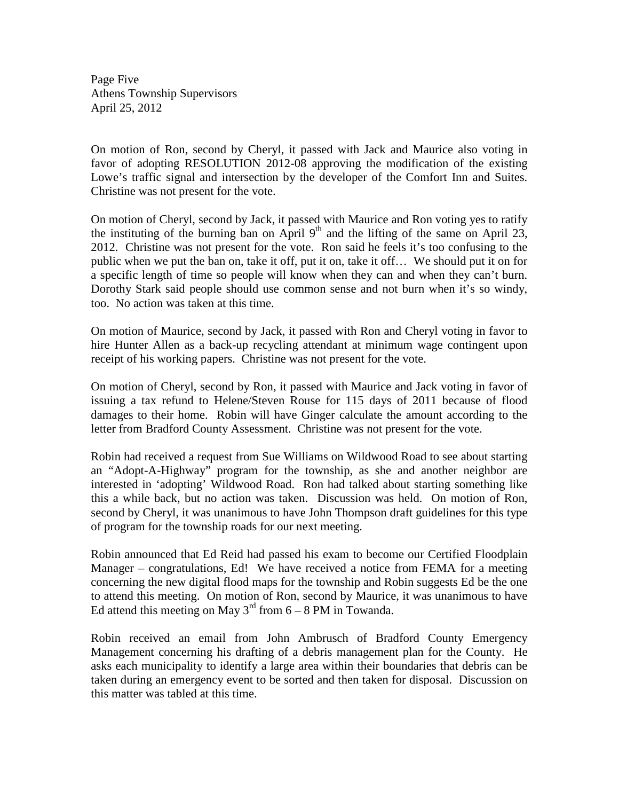Page Five Athens Township Supervisors April 25, 2012

On motion of Ron, second by Cheryl, it passed with Jack and Maurice also voting in favor of adopting RESOLUTION 2012-08 approving the modification of the existing Lowe's traffic signal and intersection by the developer of the Comfort Inn and Suites. Christine was not present for the vote.

On motion of Cheryl, second by Jack, it passed with Maurice and Ron voting yes to ratify the instituting of the burning ban on April  $9<sup>th</sup>$  and the lifting of the same on April 23, 2012. Christine was not present for the vote. Ron said he feels it's too confusing to the public when we put the ban on, take it off, put it on, take it off… We should put it on for a specific length of time so people will know when they can and when they can't burn. Dorothy Stark said people should use common sense and not burn when it's so windy, too. No action was taken at this time.

On motion of Maurice, second by Jack, it passed with Ron and Cheryl voting in favor to hire Hunter Allen as a back-up recycling attendant at minimum wage contingent upon receipt of his working papers. Christine was not present for the vote.

On motion of Cheryl, second by Ron, it passed with Maurice and Jack voting in favor of issuing a tax refund to Helene/Steven Rouse for 115 days of 2011 because of flood damages to their home. Robin will have Ginger calculate the amount according to the letter from Bradford County Assessment. Christine was not present for the vote.

Robin had received a request from Sue Williams on Wildwood Road to see about starting an "Adopt-A-Highway" program for the township, as she and another neighbor are interested in 'adopting' Wildwood Road. Ron had talked about starting something like this a while back, but no action was taken. Discussion was held. On motion of Ron, second by Cheryl, it was unanimous to have John Thompson draft guidelines for this type of program for the township roads for our next meeting.

Robin announced that Ed Reid had passed his exam to become our Certified Floodplain Manager – congratulations, Ed! We have received a notice from FEMA for a meeting concerning the new digital flood maps for the township and Robin suggests Ed be the one to attend this meeting. On motion of Ron, second by Maurice, it was unanimous to have Ed attend this meeting on May  $3<sup>rd</sup>$  from 6 – 8 PM in Towanda.

Robin received an email from John Ambrusch of Bradford County Emergency Management concerning his drafting of a debris management plan for the County. He asks each municipality to identify a large area within their boundaries that debris can be taken during an emergency event to be sorted and then taken for disposal. Discussion on this matter was tabled at this time.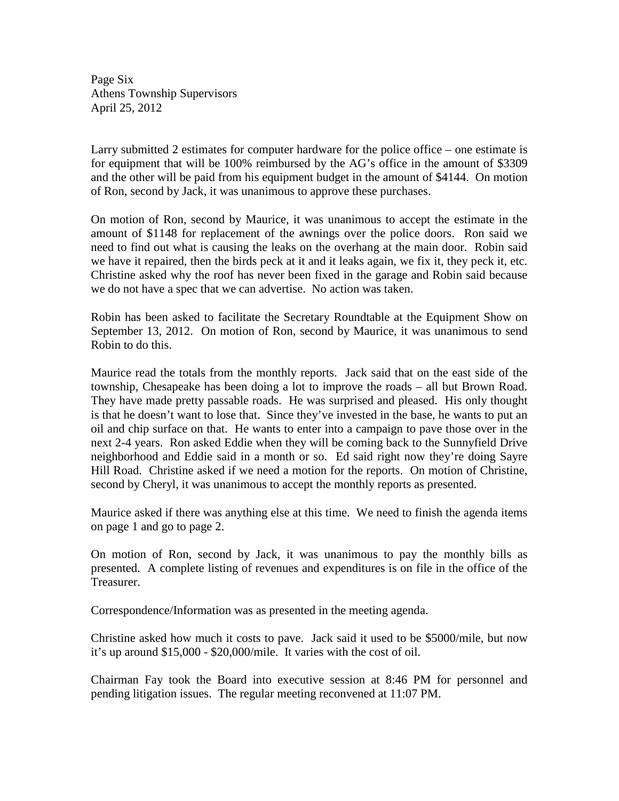Page Six Athens Township Supervisors April 25, 2012

Larry submitted 2 estimates for computer hardware for the police office – one estimate is for equipment that will be 100% reimbursed by the AG's office in the amount of \$3309 and the other will be paid from his equipment budget in the amount of \$4144. On motion of Ron, second by Jack, it was unanimous to approve these purchases.

On motion of Ron, second by Maurice, it was unanimous to accept the estimate in the amount of \$1148 for replacement of the awnings over the police doors. Ron said we need to find out what is causing the leaks on the overhang at the main door. Robin said we have it repaired, then the birds peck at it and it leaks again, we fix it, they peck it, etc. Christine asked why the roof has never been fixed in the garage and Robin said because we do not have a spec that we can advertise. No action was taken.

Robin has been asked to facilitate the Secretary Roundtable at the Equipment Show on September 13, 2012. On motion of Ron, second by Maurice, it was unanimous to send Robin to do this.

Maurice read the totals from the monthly reports. Jack said that on the east side of the township, Chesapeake has been doing a lot to improve the roads – all but Brown Road. They have made pretty passable roads. He was surprised and pleased. His only thought is that he doesn't want to lose that. Since they've invested in the base, he wants to put an oil and chip surface on that. He wants to enter into a campaign to pave those over in the next 2-4 years. Ron asked Eddie when they will be coming back to the Sunnyfield Drive neighborhood and Eddie said in a month or so. Ed said right now they're doing Sayre Hill Road. Christine asked if we need a motion for the reports. On motion of Christine, second by Cheryl, it was unanimous to accept the monthly reports as presented.

Maurice asked if there was anything else at this time. We need to finish the agenda items on page 1 and go to page 2.

On motion of Ron, second by Jack, it was unanimous to pay the monthly bills as presented. A complete listing of revenues and expenditures is on file in the office of the Treasurer.

Correspondence/Information was as presented in the meeting agenda.

Christine asked how much it costs to pave. Jack said it used to be \$5000/mile, but now it's up around \$15,000 - \$20,000/mile. It varies with the cost of oil.

Chairman Fay took the Board into executive session at 8:46 PM for personnel and pending litigation issues. The regular meeting reconvened at 11:07 PM.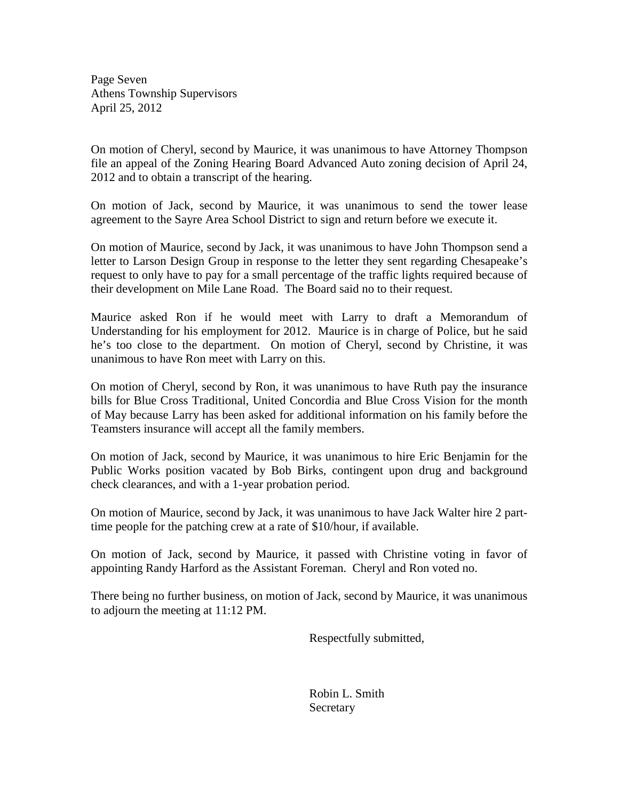Page Seven Athens Township Supervisors April 25, 2012

On motion of Cheryl, second by Maurice, it was unanimous to have Attorney Thompson file an appeal of the Zoning Hearing Board Advanced Auto zoning decision of April 24, 2012 and to obtain a transcript of the hearing.

On motion of Jack, second by Maurice, it was unanimous to send the tower lease agreement to the Sayre Area School District to sign and return before we execute it.

On motion of Maurice, second by Jack, it was unanimous to have John Thompson send a letter to Larson Design Group in response to the letter they sent regarding Chesapeake's request to only have to pay for a small percentage of the traffic lights required because of their development on Mile Lane Road. The Board said no to their request.

Maurice asked Ron if he would meet with Larry to draft a Memorandum of Understanding for his employment for 2012. Maurice is in charge of Police, but he said he's too close to the department. On motion of Cheryl, second by Christine, it was unanimous to have Ron meet with Larry on this.

On motion of Cheryl, second by Ron, it was unanimous to have Ruth pay the insurance bills for Blue Cross Traditional, United Concordia and Blue Cross Vision for the month of May because Larry has been asked for additional information on his family before the Teamsters insurance will accept all the family members.

On motion of Jack, second by Maurice, it was unanimous to hire Eric Benjamin for the Public Works position vacated by Bob Birks, contingent upon drug and background check clearances, and with a 1-year probation period.

On motion of Maurice, second by Jack, it was unanimous to have Jack Walter hire 2 parttime people for the patching crew at a rate of \$10/hour, if available.

On motion of Jack, second by Maurice, it passed with Christine voting in favor of appointing Randy Harford as the Assistant Foreman. Cheryl and Ron voted no.

There being no further business, on motion of Jack, second by Maurice, it was unanimous to adjourn the meeting at 11:12 PM.

Respectfully submitted,

 Robin L. Smith **Secretary**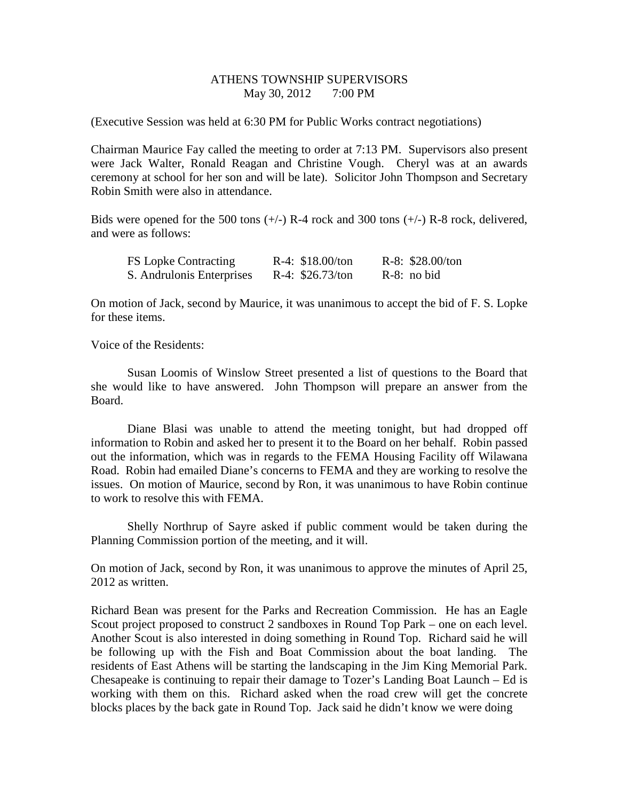#### ATHENS TOWNSHIP SUPERVISORS May 30, 2012 7:00 PM

(Executive Session was held at 6:30 PM for Public Works contract negotiations)

Chairman Maurice Fay called the meeting to order at 7:13 PM. Supervisors also present were Jack Walter, Ronald Reagan and Christine Vough. Cheryl was at an awards ceremony at school for her son and will be late). Solicitor John Thompson and Secretary Robin Smith were also in attendance.

Bids were opened for the 500 tons  $(+/-)$  R-4 rock and 300 tons  $(+/-)$  R-8 rock, delivered, and were as follows:

| <b>FS Lopke Contracting</b> | $R-4$ : \$18.00/ton | $R-8: $28.00/t$ on |
|-----------------------------|---------------------|--------------------|
| S. Andrulonis Enterprises   | R-4: $$26.73/ton$   | $R-8$ : no bid     |

On motion of Jack, second by Maurice, it was unanimous to accept the bid of F. S. Lopke for these items.

Voice of the Residents:

Susan Loomis of Winslow Street presented a list of questions to the Board that she would like to have answered. John Thompson will prepare an answer from the Board.

Diane Blasi was unable to attend the meeting tonight, but had dropped off information to Robin and asked her to present it to the Board on her behalf. Robin passed out the information, which was in regards to the FEMA Housing Facility off Wilawana Road. Robin had emailed Diane's concerns to FEMA and they are working to resolve the issues. On motion of Maurice, second by Ron, it was unanimous to have Robin continue to work to resolve this with FEMA.

Shelly Northrup of Sayre asked if public comment would be taken during the Planning Commission portion of the meeting, and it will.

On motion of Jack, second by Ron, it was unanimous to approve the minutes of April 25, 2012 as written.

Richard Bean was present for the Parks and Recreation Commission. He has an Eagle Scout project proposed to construct 2 sandboxes in Round Top Park – one on each level. Another Scout is also interested in doing something in Round Top. Richard said he will be following up with the Fish and Boat Commission about the boat landing. The residents of East Athens will be starting the landscaping in the Jim King Memorial Park. Chesapeake is continuing to repair their damage to Tozer's Landing Boat Launch – Ed is working with them on this. Richard asked when the road crew will get the concrete blocks places by the back gate in Round Top. Jack said he didn't know we were doing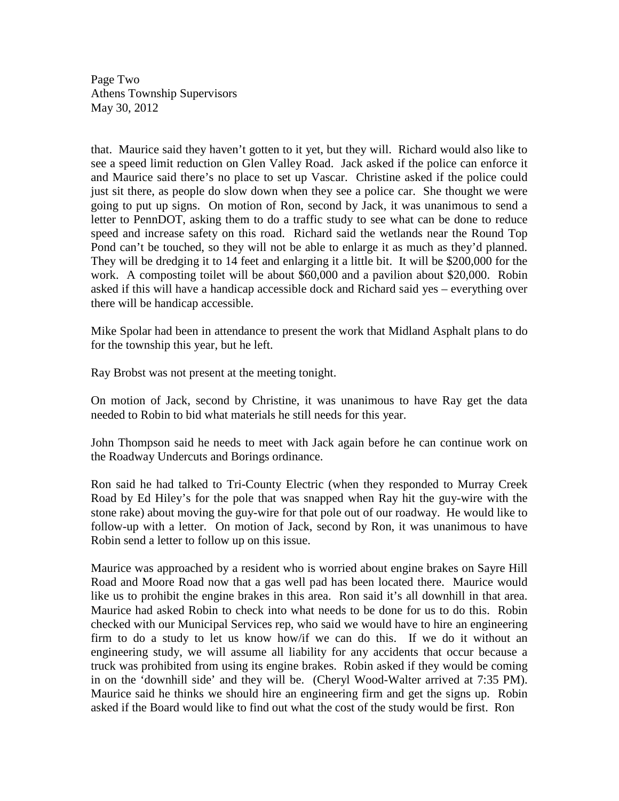Page Two Athens Township Supervisors May 30, 2012

that. Maurice said they haven't gotten to it yet, but they will. Richard would also like to see a speed limit reduction on Glen Valley Road. Jack asked if the police can enforce it and Maurice said there's no place to set up Vascar. Christine asked if the police could just sit there, as people do slow down when they see a police car. She thought we were going to put up signs. On motion of Ron, second by Jack, it was unanimous to send a letter to PennDOT, asking them to do a traffic study to see what can be done to reduce speed and increase safety on this road. Richard said the wetlands near the Round Top Pond can't be touched, so they will not be able to enlarge it as much as they'd planned. They will be dredging it to 14 feet and enlarging it a little bit. It will be \$200,000 for the work. A composting toilet will be about \$60,000 and a pavilion about \$20,000. Robin asked if this will have a handicap accessible dock and Richard said yes – everything over there will be handicap accessible.

Mike Spolar had been in attendance to present the work that Midland Asphalt plans to do for the township this year, but he left.

Ray Brobst was not present at the meeting tonight.

On motion of Jack, second by Christine, it was unanimous to have Ray get the data needed to Robin to bid what materials he still needs for this year.

John Thompson said he needs to meet with Jack again before he can continue work on the Roadway Undercuts and Borings ordinance.

Ron said he had talked to Tri-County Electric (when they responded to Murray Creek Road by Ed Hiley's for the pole that was snapped when Ray hit the guy-wire with the stone rake) about moving the guy-wire for that pole out of our roadway. He would like to follow-up with a letter. On motion of Jack, second by Ron, it was unanimous to have Robin send a letter to follow up on this issue.

Maurice was approached by a resident who is worried about engine brakes on Sayre Hill Road and Moore Road now that a gas well pad has been located there. Maurice would like us to prohibit the engine brakes in this area. Ron said it's all downhill in that area. Maurice had asked Robin to check into what needs to be done for us to do this. Robin checked with our Municipal Services rep, who said we would have to hire an engineering firm to do a study to let us know how/if we can do this. If we do it without an engineering study, we will assume all liability for any accidents that occur because a truck was prohibited from using its engine brakes. Robin asked if they would be coming in on the 'downhill side' and they will be. (Cheryl Wood-Walter arrived at 7:35 PM). Maurice said he thinks we should hire an engineering firm and get the signs up. Robin asked if the Board would like to find out what the cost of the study would be first. Ron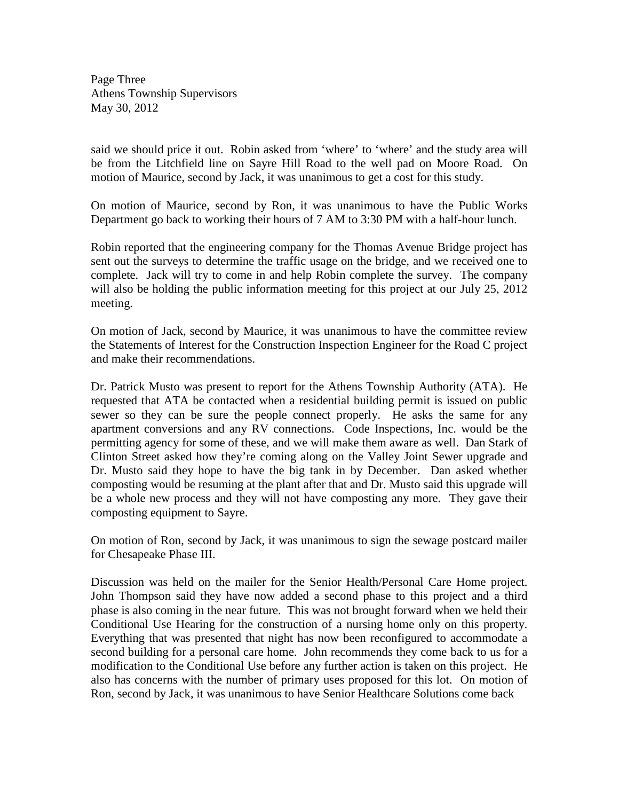Page Three Athens Township Supervisors May 30, 2012

said we should price it out. Robin asked from 'where' to 'where' and the study area will be from the Litchfield line on Sayre Hill Road to the well pad on Moore Road. On motion of Maurice, second by Jack, it was unanimous to get a cost for this study.

On motion of Maurice, second by Ron, it was unanimous to have the Public Works Department go back to working their hours of 7 AM to 3:30 PM with a half-hour lunch.

Robin reported that the engineering company for the Thomas Avenue Bridge project has sent out the surveys to determine the traffic usage on the bridge, and we received one to complete. Jack will try to come in and help Robin complete the survey. The company will also be holding the public information meeting for this project at our July 25, 2012 meeting.

On motion of Jack, second by Maurice, it was unanimous to have the committee review the Statements of Interest for the Construction Inspection Engineer for the Road C project and make their recommendations.

Dr. Patrick Musto was present to report for the Athens Township Authority (ATA). He requested that ATA be contacted when a residential building permit is issued on public sewer so they can be sure the people connect properly. He asks the same for any apartment conversions and any RV connections. Code Inspections, Inc. would be the permitting agency for some of these, and we will make them aware as well. Dan Stark of Clinton Street asked how they're coming along on the Valley Joint Sewer upgrade and Dr. Musto said they hope to have the big tank in by December. Dan asked whether composting would be resuming at the plant after that and Dr. Musto said this upgrade will be a whole new process and they will not have composting any more. They gave their composting equipment to Sayre.

On motion of Ron, second by Jack, it was unanimous to sign the sewage postcard mailer for Chesapeake Phase III.

Discussion was held on the mailer for the Senior Health/Personal Care Home project. John Thompson said they have now added a second phase to this project and a third phase is also coming in the near future. This was not brought forward when we held their Conditional Use Hearing for the construction of a nursing home only on this property. Everything that was presented that night has now been reconfigured to accommodate a second building for a personal care home. John recommends they come back to us for a modification to the Conditional Use before any further action is taken on this project. He also has concerns with the number of primary uses proposed for this lot. On motion of Ron, second by Jack, it was unanimous to have Senior Healthcare Solutions come back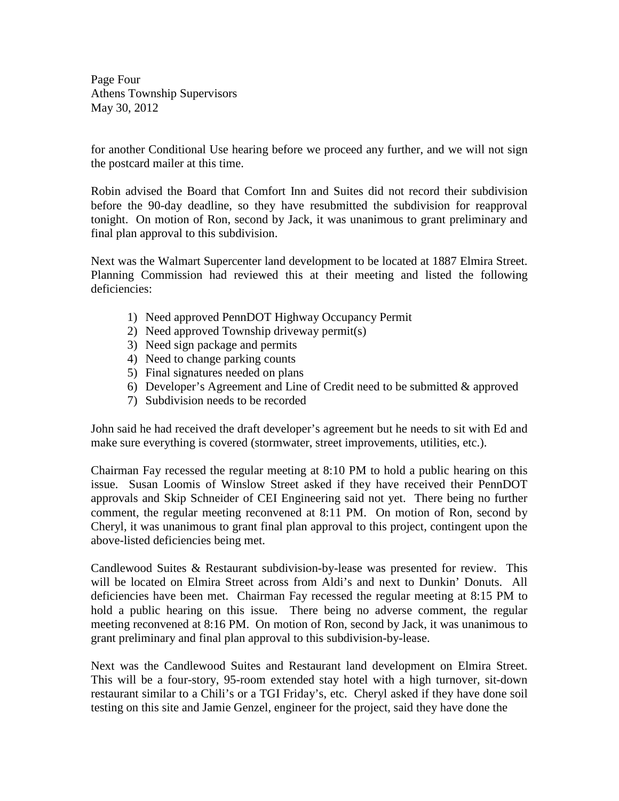Page Four Athens Township Supervisors May 30, 2012

for another Conditional Use hearing before we proceed any further, and we will not sign the postcard mailer at this time.

Robin advised the Board that Comfort Inn and Suites did not record their subdivision before the 90-day deadline, so they have resubmitted the subdivision for reapproval tonight. On motion of Ron, second by Jack, it was unanimous to grant preliminary and final plan approval to this subdivision.

Next was the Walmart Supercenter land development to be located at 1887 Elmira Street. Planning Commission had reviewed this at their meeting and listed the following deficiencies:

- 1) Need approved PennDOT Highway Occupancy Permit
- 2) Need approved Township driveway permit(s)
- 3) Need sign package and permits
- 4) Need to change parking counts
- 5) Final signatures needed on plans
- 6) Developer's Agreement and Line of Credit need to be submitted & approved
- 7) Subdivision needs to be recorded

John said he had received the draft developer's agreement but he needs to sit with Ed and make sure everything is covered (stormwater, street improvements, utilities, etc.).

Chairman Fay recessed the regular meeting at 8:10 PM to hold a public hearing on this issue. Susan Loomis of Winslow Street asked if they have received their PennDOT approvals and Skip Schneider of CEI Engineering said not yet. There being no further comment, the regular meeting reconvened at 8:11 PM. On motion of Ron, second by Cheryl, it was unanimous to grant final plan approval to this project, contingent upon the above-listed deficiencies being met.

Candlewood Suites & Restaurant subdivision-by-lease was presented for review. This will be located on Elmira Street across from Aldi's and next to Dunkin' Donuts. All deficiencies have been met. Chairman Fay recessed the regular meeting at 8:15 PM to hold a public hearing on this issue. There being no adverse comment, the regular meeting reconvened at 8:16 PM. On motion of Ron, second by Jack, it was unanimous to grant preliminary and final plan approval to this subdivision-by-lease.

Next was the Candlewood Suites and Restaurant land development on Elmira Street. This will be a four-story, 95-room extended stay hotel with a high turnover, sit-down restaurant similar to a Chili's or a TGI Friday's, etc. Cheryl asked if they have done soil testing on this site and Jamie Genzel, engineer for the project, said they have done the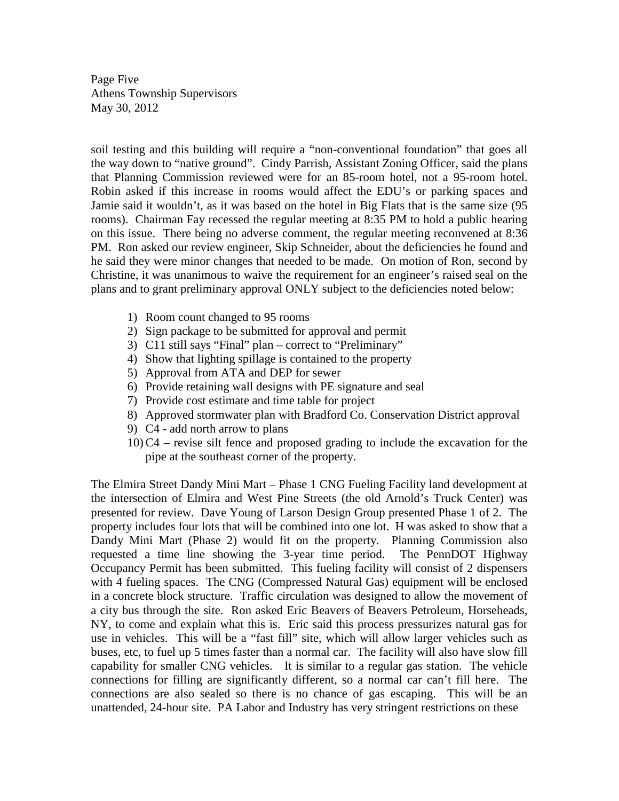Page Five Athens Township Supervisors May 30, 2012

soil testing and this building will require a "non-conventional foundation" that goes all the way down to "native ground". Cindy Parrish, Assistant Zoning Officer, said the plans that Planning Commission reviewed were for an 85-room hotel, not a 95-room hotel. Robin asked if this increase in rooms would affect the EDU's or parking spaces and Jamie said it wouldn't, as it was based on the hotel in Big Flats that is the same size (95 rooms). Chairman Fay recessed the regular meeting at 8:35 PM to hold a public hearing on this issue. There being no adverse comment, the regular meeting reconvened at 8:36 PM. Ron asked our review engineer, Skip Schneider, about the deficiencies he found and he said they were minor changes that needed to be made. On motion of Ron, second by Christine, it was unanimous to waive the requirement for an engineer's raised seal on the plans and to grant preliminary approval ONLY subject to the deficiencies noted below:

- 1) Room count changed to 95 rooms
- 2) Sign package to be submitted for approval and permit
- 3) C11 still says "Final" plan correct to "Preliminary"
- 4) Show that lighting spillage is contained to the property
- 5) Approval from ATA and DEP for sewer
- 6) Provide retaining wall designs with PE signature and seal
- 7) Provide cost estimate and time table for project
- 8) Approved stormwater plan with Bradford Co. Conservation District approval
- 9) C4 add north arrow to plans
- 10) C4 revise silt fence and proposed grading to include the excavation for the pipe at the southeast corner of the property.

The Elmira Street Dandy Mini Mart – Phase 1 CNG Fueling Facility land development at the intersection of Elmira and West Pine Streets (the old Arnold's Truck Center) was presented for review. Dave Young of Larson Design Group presented Phase 1 of 2. The property includes four lots that will be combined into one lot. H was asked to show that a Dandy Mini Mart (Phase 2) would fit on the property. Planning Commission also requested a time line showing the 3-year time period. The PennDOT Highway Occupancy Permit has been submitted. This fueling facility will consist of 2 dispensers with 4 fueling spaces. The CNG (Compressed Natural Gas) equipment will be enclosed in a concrete block structure. Traffic circulation was designed to allow the movement of a city bus through the site. Ron asked Eric Beavers of Beavers Petroleum, Horseheads, NY, to come and explain what this is. Eric said this process pressurizes natural gas for use in vehicles. This will be a "fast fill" site, which will allow larger vehicles such as buses, etc, to fuel up 5 times faster than a normal car. The facility will also have slow fill capability for smaller CNG vehicles. It is similar to a regular gas station. The vehicle connections for filling are significantly different, so a normal car can't fill here. The connections are also sealed so there is no chance of gas escaping. This will be an unattended, 24-hour site. PA Labor and Industry has very stringent restrictions on these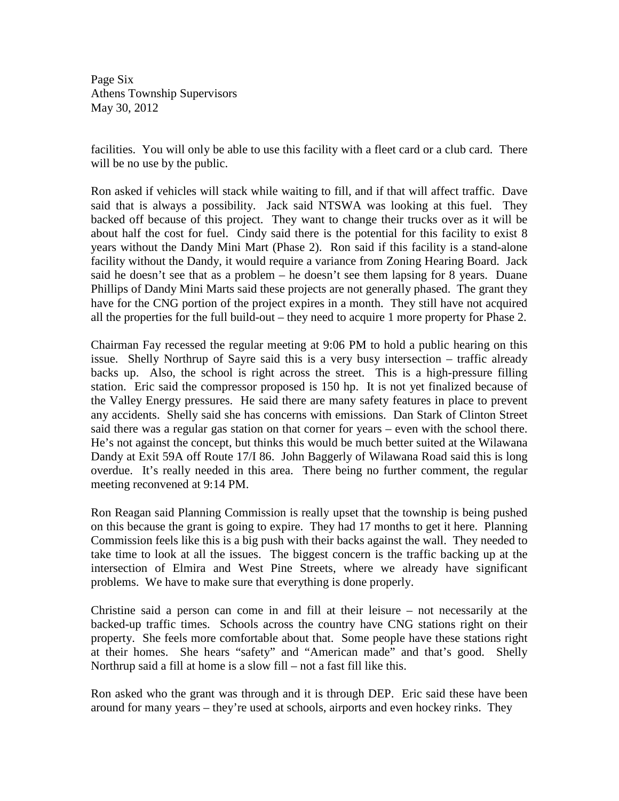Page Six Athens Township Supervisors May 30, 2012

facilities. You will only be able to use this facility with a fleet card or a club card. There will be no use by the public.

Ron asked if vehicles will stack while waiting to fill, and if that will affect traffic. Dave said that is always a possibility. Jack said NTSWA was looking at this fuel. They backed off because of this project. They want to change their trucks over as it will be about half the cost for fuel. Cindy said there is the potential for this facility to exist 8 years without the Dandy Mini Mart (Phase 2). Ron said if this facility is a stand-alone facility without the Dandy, it would require a variance from Zoning Hearing Board. Jack said he doesn't see that as a problem – he doesn't see them lapsing for 8 years. Duane Phillips of Dandy Mini Marts said these projects are not generally phased. The grant they have for the CNG portion of the project expires in a month. They still have not acquired all the properties for the full build-out – they need to acquire 1 more property for Phase 2.

Chairman Fay recessed the regular meeting at 9:06 PM to hold a public hearing on this issue. Shelly Northrup of Sayre said this is a very busy intersection – traffic already backs up. Also, the school is right across the street. This is a high-pressure filling station. Eric said the compressor proposed is 150 hp. It is not yet finalized because of the Valley Energy pressures. He said there are many safety features in place to prevent any accidents. Shelly said she has concerns with emissions. Dan Stark of Clinton Street said there was a regular gas station on that corner for years – even with the school there. He's not against the concept, but thinks this would be much better suited at the Wilawana Dandy at Exit 59A off Route 17/I 86. John Baggerly of Wilawana Road said this is long overdue. It's really needed in this area. There being no further comment, the regular meeting reconvened at 9:14 PM.

Ron Reagan said Planning Commission is really upset that the township is being pushed on this because the grant is going to expire. They had 17 months to get it here. Planning Commission feels like this is a big push with their backs against the wall. They needed to take time to look at all the issues. The biggest concern is the traffic backing up at the intersection of Elmira and West Pine Streets, where we already have significant problems. We have to make sure that everything is done properly.

Christine said a person can come in and fill at their leisure – not necessarily at the backed-up traffic times. Schools across the country have CNG stations right on their property. She feels more comfortable about that. Some people have these stations right at their homes. She hears "safety" and "American made" and that's good. Shelly Northrup said a fill at home is a slow fill – not a fast fill like this.

Ron asked who the grant was through and it is through DEP. Eric said these have been around for many years – they're used at schools, airports and even hockey rinks. They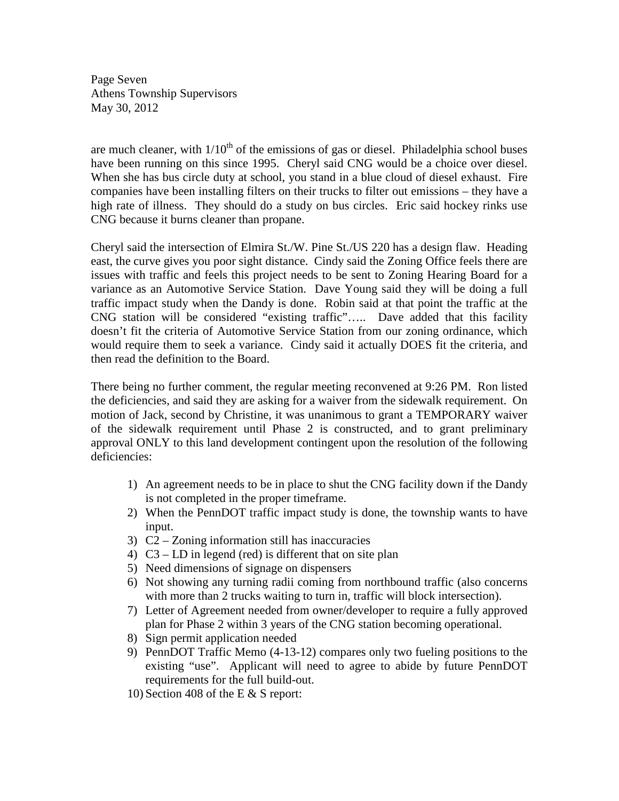Page Seven Athens Township Supervisors May 30, 2012

are much cleaner, with  $1/10^{th}$  of the emissions of gas or diesel. Philadelphia school buses have been running on this since 1995. Cheryl said CNG would be a choice over diesel. When she has bus circle duty at school, you stand in a blue cloud of diesel exhaust. Fire companies have been installing filters on their trucks to filter out emissions – they have a high rate of illness. They should do a study on bus circles. Eric said hockey rinks use CNG because it burns cleaner than propane.

Cheryl said the intersection of Elmira St./W. Pine St./US 220 has a design flaw. Heading east, the curve gives you poor sight distance. Cindy said the Zoning Office feels there are issues with traffic and feels this project needs to be sent to Zoning Hearing Board for a variance as an Automotive Service Station. Dave Young said they will be doing a full traffic impact study when the Dandy is done. Robin said at that point the traffic at the CNG station will be considered "existing traffic"….. Dave added that this facility doesn't fit the criteria of Automotive Service Station from our zoning ordinance, which would require them to seek a variance. Cindy said it actually DOES fit the criteria, and then read the definition to the Board.

There being no further comment, the regular meeting reconvened at 9:26 PM. Ron listed the deficiencies, and said they are asking for a waiver from the sidewalk requirement. On motion of Jack, second by Christine, it was unanimous to grant a TEMPORARY waiver of the sidewalk requirement until Phase 2 is constructed, and to grant preliminary approval ONLY to this land development contingent upon the resolution of the following deficiencies:

- 1) An agreement needs to be in place to shut the CNG facility down if the Dandy is not completed in the proper timeframe.
- 2) When the PennDOT traffic impact study is done, the township wants to have input.
- 3) C2 Zoning information still has inaccuracies
- 4) C3 LD in legend (red) is different that on site plan
- 5) Need dimensions of signage on dispensers
- 6) Not showing any turning radii coming from northbound traffic (also concerns with more than 2 trucks waiting to turn in, traffic will block intersection).
- 7) Letter of Agreement needed from owner/developer to require a fully approved plan for Phase 2 within 3 years of the CNG station becoming operational.
- 8) Sign permit application needed
- 9) PennDOT Traffic Memo (4-13-12) compares only two fueling positions to the existing "use". Applicant will need to agree to abide by future PennDOT requirements for the full build-out.
- 10) Section 408 of the E & S report: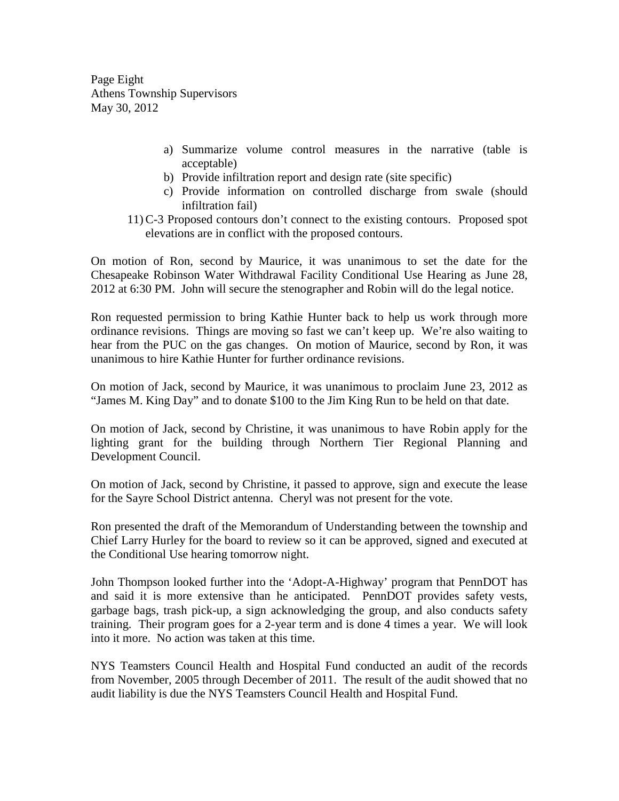Page Eight Athens Township Supervisors May 30, 2012

- a) Summarize volume control measures in the narrative (table is acceptable)
- b) Provide infiltration report and design rate (site specific)
- c) Provide information on controlled discharge from swale (should infiltration fail)
- 11) C-3 Proposed contours don't connect to the existing contours. Proposed spot elevations are in conflict with the proposed contours.

On motion of Ron, second by Maurice, it was unanimous to set the date for the Chesapeake Robinson Water Withdrawal Facility Conditional Use Hearing as June 28, 2012 at 6:30 PM. John will secure the stenographer and Robin will do the legal notice.

Ron requested permission to bring Kathie Hunter back to help us work through more ordinance revisions. Things are moving so fast we can't keep up. We're also waiting to hear from the PUC on the gas changes. On motion of Maurice, second by Ron, it was unanimous to hire Kathie Hunter for further ordinance revisions.

On motion of Jack, second by Maurice, it was unanimous to proclaim June 23, 2012 as "James M. King Day" and to donate \$100 to the Jim King Run to be held on that date.

On motion of Jack, second by Christine, it was unanimous to have Robin apply for the lighting grant for the building through Northern Tier Regional Planning and Development Council.

On motion of Jack, second by Christine, it passed to approve, sign and execute the lease for the Sayre School District antenna. Cheryl was not present for the vote.

Ron presented the draft of the Memorandum of Understanding between the township and Chief Larry Hurley for the board to review so it can be approved, signed and executed at the Conditional Use hearing tomorrow night.

John Thompson looked further into the 'Adopt-A-Highway' program that PennDOT has and said it is more extensive than he anticipated. PennDOT provides safety vests, garbage bags, trash pick-up, a sign acknowledging the group, and also conducts safety training. Their program goes for a 2-year term and is done 4 times a year. We will look into it more. No action was taken at this time.

NYS Teamsters Council Health and Hospital Fund conducted an audit of the records from November, 2005 through December of 2011. The result of the audit showed that no audit liability is due the NYS Teamsters Council Health and Hospital Fund.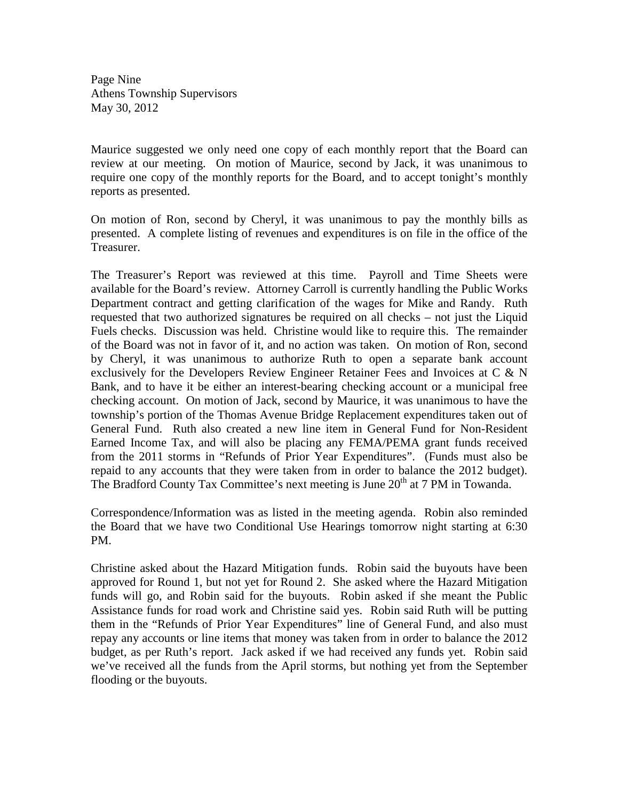Page Nine Athens Township Supervisors May 30, 2012

Maurice suggested we only need one copy of each monthly report that the Board can review at our meeting. On motion of Maurice, second by Jack, it was unanimous to require one copy of the monthly reports for the Board, and to accept tonight's monthly reports as presented.

On motion of Ron, second by Cheryl, it was unanimous to pay the monthly bills as presented. A complete listing of revenues and expenditures is on file in the office of the Treasurer.

The Treasurer's Report was reviewed at this time. Payroll and Time Sheets were available for the Board's review. Attorney Carroll is currently handling the Public Works Department contract and getting clarification of the wages for Mike and Randy. Ruth requested that two authorized signatures be required on all checks – not just the Liquid Fuels checks. Discussion was held. Christine would like to require this. The remainder of the Board was not in favor of it, and no action was taken. On motion of Ron, second by Cheryl, it was unanimous to authorize Ruth to open a separate bank account exclusively for the Developers Review Engineer Retainer Fees and Invoices at C & N Bank, and to have it be either an interest-bearing checking account or a municipal free checking account. On motion of Jack, second by Maurice, it was unanimous to have the township's portion of the Thomas Avenue Bridge Replacement expenditures taken out of General Fund. Ruth also created a new line item in General Fund for Non-Resident Earned Income Tax, and will also be placing any FEMA/PEMA grant funds received from the 2011 storms in "Refunds of Prior Year Expenditures". (Funds must also be repaid to any accounts that they were taken from in order to balance the 2012 budget). The Bradford County Tax Committee's next meeting is June 20<sup>th</sup> at 7 PM in Towanda.

Correspondence/Information was as listed in the meeting agenda. Robin also reminded the Board that we have two Conditional Use Hearings tomorrow night starting at 6:30 PM.

Christine asked about the Hazard Mitigation funds. Robin said the buyouts have been approved for Round 1, but not yet for Round 2. She asked where the Hazard Mitigation funds will go, and Robin said for the buyouts. Robin asked if she meant the Public Assistance funds for road work and Christine said yes. Robin said Ruth will be putting them in the "Refunds of Prior Year Expenditures" line of General Fund, and also must repay any accounts or line items that money was taken from in order to balance the 2012 budget, as per Ruth's report. Jack asked if we had received any funds yet. Robin said we've received all the funds from the April storms, but nothing yet from the September flooding or the buyouts.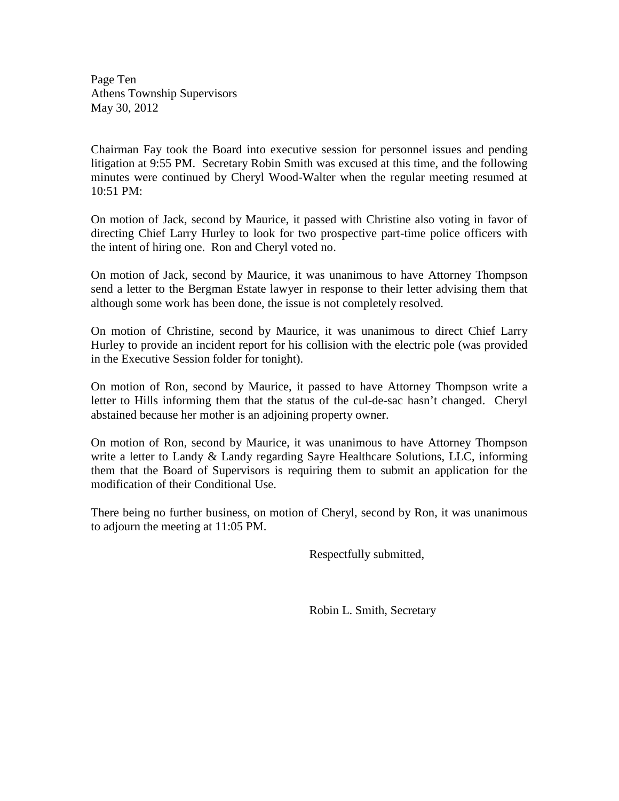Page Ten Athens Township Supervisors May 30, 2012

Chairman Fay took the Board into executive session for personnel issues and pending litigation at 9:55 PM. Secretary Robin Smith was excused at this time, and the following minutes were continued by Cheryl Wood-Walter when the regular meeting resumed at 10:51 PM:

On motion of Jack, second by Maurice, it passed with Christine also voting in favor of directing Chief Larry Hurley to look for two prospective part-time police officers with the intent of hiring one. Ron and Cheryl voted no.

On motion of Jack, second by Maurice, it was unanimous to have Attorney Thompson send a letter to the Bergman Estate lawyer in response to their letter advising them that although some work has been done, the issue is not completely resolved.

On motion of Christine, second by Maurice, it was unanimous to direct Chief Larry Hurley to provide an incident report for his collision with the electric pole (was provided in the Executive Session folder for tonight).

On motion of Ron, second by Maurice, it passed to have Attorney Thompson write a letter to Hills informing them that the status of the cul-de-sac hasn't changed. Cheryl abstained because her mother is an adjoining property owner.

On motion of Ron, second by Maurice, it was unanimous to have Attorney Thompson write a letter to Landy & Landy regarding Sayre Healthcare Solutions, LLC, informing them that the Board of Supervisors is requiring them to submit an application for the modification of their Conditional Use.

There being no further business, on motion of Cheryl, second by Ron, it was unanimous to adjourn the meeting at 11:05 PM.

Respectfully submitted,

Robin L. Smith, Secretary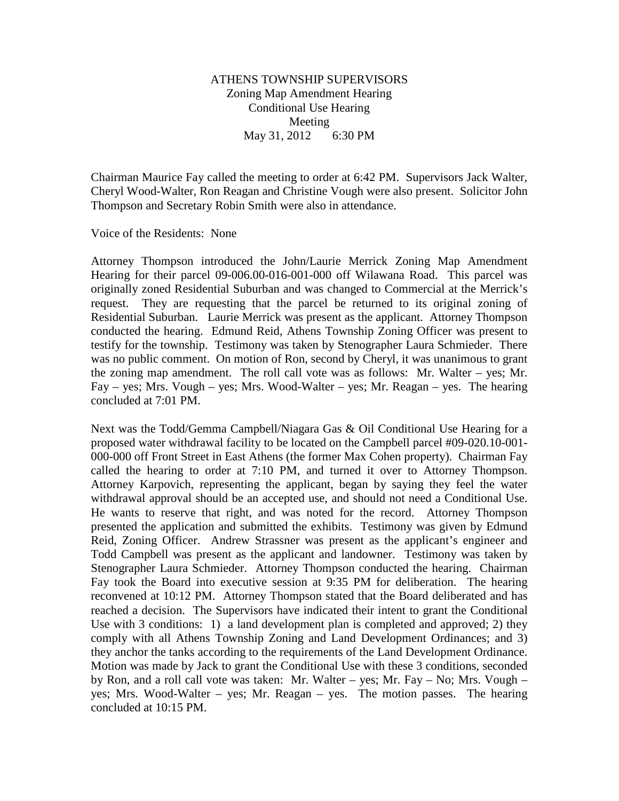# ATHENS TOWNSHIP SUPERVISORS Zoning Map Amendment Hearing Conditional Use Hearing Meeting May 31, 2012 6:30 PM

Chairman Maurice Fay called the meeting to order at 6:42 PM. Supervisors Jack Walter, Cheryl Wood-Walter, Ron Reagan and Christine Vough were also present. Solicitor John Thompson and Secretary Robin Smith were also in attendance.

Voice of the Residents: None

Attorney Thompson introduced the John/Laurie Merrick Zoning Map Amendment Hearing for their parcel 09-006.00-016-001-000 off Wilawana Road. This parcel was originally zoned Residential Suburban and was changed to Commercial at the Merrick's request. They are requesting that the parcel be returned to its original zoning of Residential Suburban. Laurie Merrick was present as the applicant. Attorney Thompson conducted the hearing. Edmund Reid, Athens Township Zoning Officer was present to testify for the township. Testimony was taken by Stenographer Laura Schmieder. There was no public comment. On motion of Ron, second by Cheryl, it was unanimous to grant the zoning map amendment. The roll call vote was as follows: Mr. Walter – yes; Mr. Fay – yes; Mrs. Vough – yes; Mrs. Wood-Walter – yes; Mr. Reagan – yes. The hearing concluded at 7:01 PM.

Next was the Todd/Gemma Campbell/Niagara Gas & Oil Conditional Use Hearing for a proposed water withdrawal facility to be located on the Campbell parcel #09-020.10-001- 000-000 off Front Street in East Athens (the former Max Cohen property). Chairman Fay called the hearing to order at 7:10 PM, and turned it over to Attorney Thompson. Attorney Karpovich, representing the applicant, began by saying they feel the water withdrawal approval should be an accepted use, and should not need a Conditional Use. He wants to reserve that right, and was noted for the record. Attorney Thompson presented the application and submitted the exhibits. Testimony was given by Edmund Reid, Zoning Officer. Andrew Strassner was present as the applicant's engineer and Todd Campbell was present as the applicant and landowner. Testimony was taken by Stenographer Laura Schmieder. Attorney Thompson conducted the hearing. Chairman Fay took the Board into executive session at 9:35 PM for deliberation. The hearing reconvened at 10:12 PM. Attorney Thompson stated that the Board deliberated and has reached a decision. The Supervisors have indicated their intent to grant the Conditional Use with 3 conditions: 1) a land development plan is completed and approved; 2) they comply with all Athens Township Zoning and Land Development Ordinances; and 3) they anchor the tanks according to the requirements of the Land Development Ordinance. Motion was made by Jack to grant the Conditional Use with these 3 conditions, seconded by Ron, and a roll call vote was taken: Mr. Walter – yes; Mr. Fay – No; Mrs. Vough – yes; Mrs. Wood-Walter – yes; Mr. Reagan – yes. The motion passes. The hearing concluded at 10:15 PM.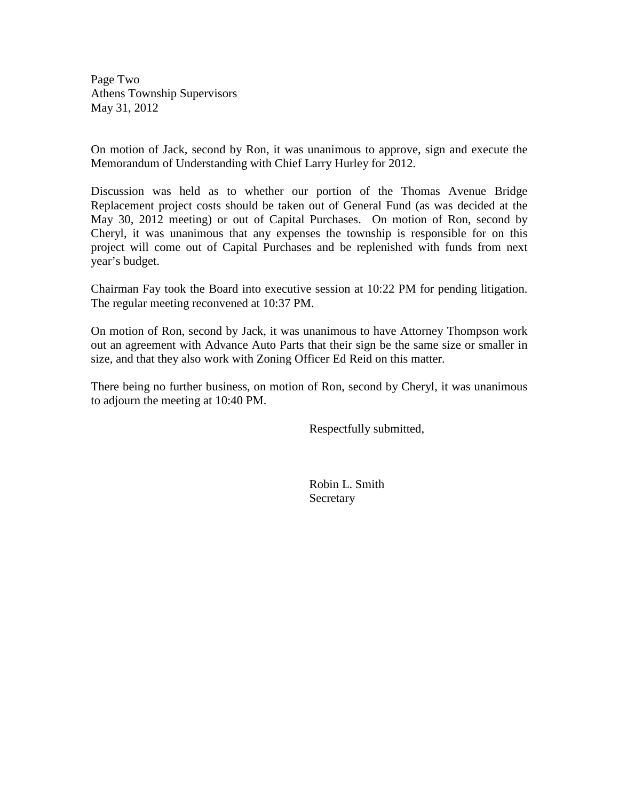Page Two Athens Township Supervisors May 31, 2012

On motion of Jack, second by Ron, it was unanimous to approve, sign and execute the Memorandum of Understanding with Chief Larry Hurley for 2012.

Discussion was held as to whether our portion of the Thomas Avenue Bridge Replacement project costs should be taken out of General Fund (as was decided at the May 30, 2012 meeting) or out of Capital Purchases. On motion of Ron, second by Cheryl, it was unanimous that any expenses the township is responsible for on this project will come out of Capital Purchases and be replenished with funds from next year's budget.

Chairman Fay took the Board into executive session at 10:22 PM for pending litigation. The regular meeting reconvened at 10:37 PM.

On motion of Ron, second by Jack, it was unanimous to have Attorney Thompson work out an agreement with Advance Auto Parts that their sign be the same size or smaller in size, and that they also work with Zoning Officer Ed Reid on this matter.

There being no further business, on motion of Ron, second by Cheryl, it was unanimous to adjourn the meeting at 10:40 PM.

Respectfully submitted,

 Robin L. Smith **Secretary**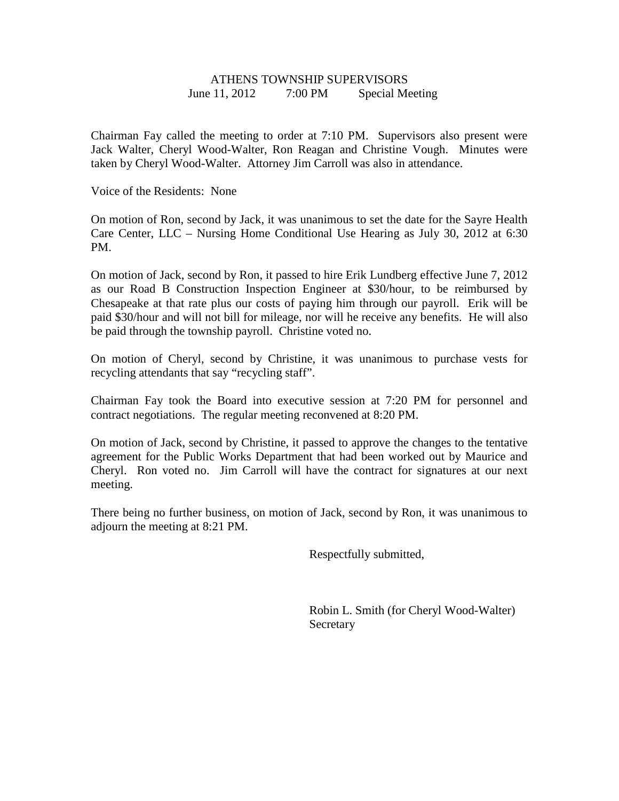# ATHENS TOWNSHIP SUPERVISORS June 11, 2012 7:00 PM Special Meeting

Chairman Fay called the meeting to order at 7:10 PM. Supervisors also present were Jack Walter, Cheryl Wood-Walter, Ron Reagan and Christine Vough. Minutes were taken by Cheryl Wood-Walter. Attorney Jim Carroll was also in attendance.

Voice of the Residents: None

On motion of Ron, second by Jack, it was unanimous to set the date for the Sayre Health Care Center, LLC – Nursing Home Conditional Use Hearing as July 30, 2012 at 6:30 PM.

On motion of Jack, second by Ron, it passed to hire Erik Lundberg effective June 7, 2012 as our Road B Construction Inspection Engineer at \$30/hour, to be reimbursed by Chesapeake at that rate plus our costs of paying him through our payroll. Erik will be paid \$30/hour and will not bill for mileage, nor will he receive any benefits. He will also be paid through the township payroll. Christine voted no.

On motion of Cheryl, second by Christine, it was unanimous to purchase vests for recycling attendants that say "recycling staff".

Chairman Fay took the Board into executive session at 7:20 PM for personnel and contract negotiations. The regular meeting reconvened at 8:20 PM.

On motion of Jack, second by Christine, it passed to approve the changes to the tentative agreement for the Public Works Department that had been worked out by Maurice and Cheryl. Ron voted no. Jim Carroll will have the contract for signatures at our next meeting.

There being no further business, on motion of Jack, second by Ron, it was unanimous to adjourn the meeting at 8:21 PM.

Respectfully submitted,

 Robin L. Smith (for Cheryl Wood-Walter) **Secretary**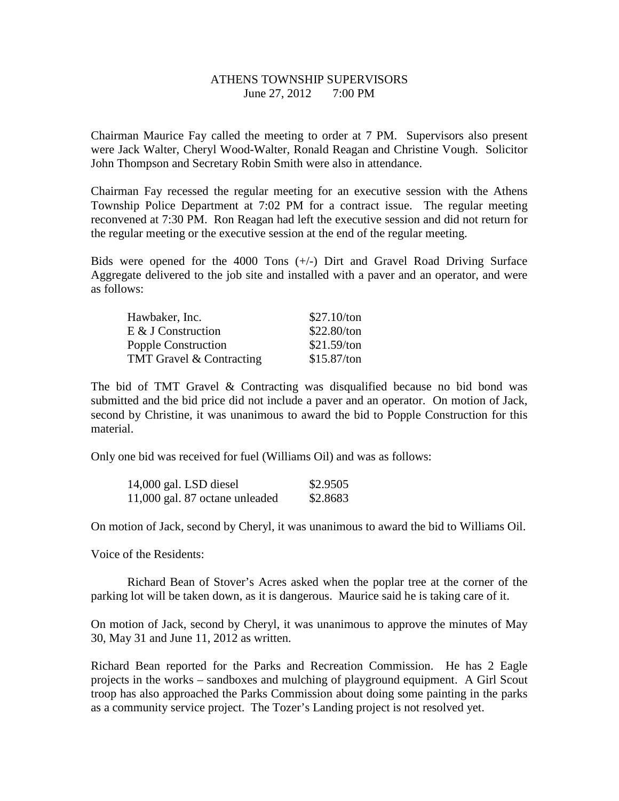# ATHENS TOWNSHIP SUPERVISORS June 27, 2012 7:00 PM

Chairman Maurice Fay called the meeting to order at 7 PM. Supervisors also present were Jack Walter, Cheryl Wood-Walter, Ronald Reagan and Christine Vough. Solicitor John Thompson and Secretary Robin Smith were also in attendance.

Chairman Fay recessed the regular meeting for an executive session with the Athens Township Police Department at 7:02 PM for a contract issue. The regular meeting reconvened at 7:30 PM. Ron Reagan had left the executive session and did not return for the regular meeting or the executive session at the end of the regular meeting.

Bids were opened for the 4000 Tons (+/-) Dirt and Gravel Road Driving Surface Aggregate delivered to the job site and installed with a paver and an operator, and were as follows:

| Hawbaker, Inc.           | \$27.10/ton   |
|--------------------------|---------------|
| $E \& J$ Construction    | \$22.80/ton   |
| Popple Construction      | $$21.59$ /ton |
| TMT Gravel & Contracting | \$15.87/ton   |

The bid of TMT Gravel & Contracting was disqualified because no bid bond was submitted and the bid price did not include a paver and an operator. On motion of Jack, second by Christine, it was unanimous to award the bid to Popple Construction for this material.

Only one bid was received for fuel (Williams Oil) and was as follows:

| 14,000 gal. LSD diesel         | \$2.9505 |
|--------------------------------|----------|
| 11,000 gal. 87 octane unleaded | \$2.8683 |

On motion of Jack, second by Cheryl, it was unanimous to award the bid to Williams Oil.

Voice of the Residents:

 Richard Bean of Stover's Acres asked when the poplar tree at the corner of the parking lot will be taken down, as it is dangerous. Maurice said he is taking care of it.

On motion of Jack, second by Cheryl, it was unanimous to approve the minutes of May 30, May 31 and June 11, 2012 as written.

Richard Bean reported for the Parks and Recreation Commission. He has 2 Eagle projects in the works – sandboxes and mulching of playground equipment. A Girl Scout troop has also approached the Parks Commission about doing some painting in the parks as a community service project. The Tozer's Landing project is not resolved yet.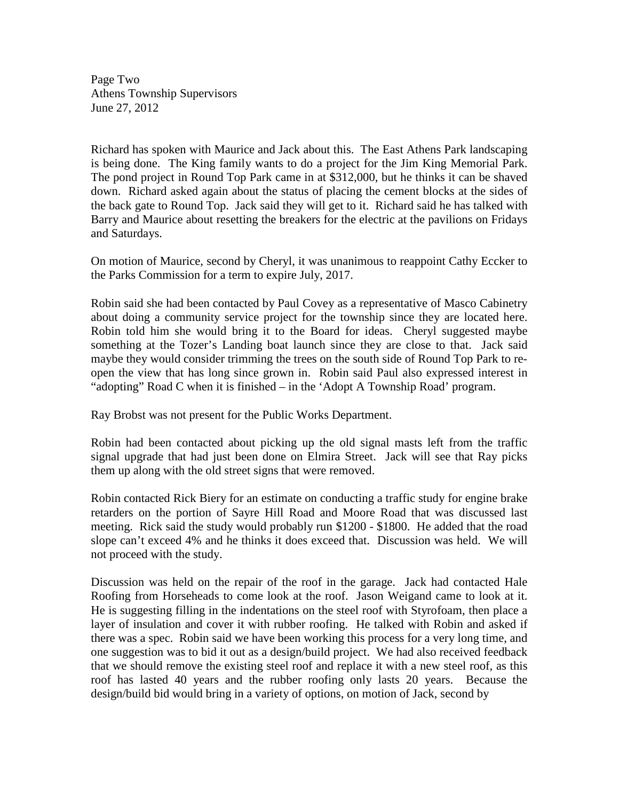Page Two Athens Township Supervisors June 27, 2012

Richard has spoken with Maurice and Jack about this. The East Athens Park landscaping is being done. The King family wants to do a project for the Jim King Memorial Park. The pond project in Round Top Park came in at \$312,000, but he thinks it can be shaved down. Richard asked again about the status of placing the cement blocks at the sides of the back gate to Round Top. Jack said they will get to it. Richard said he has talked with Barry and Maurice about resetting the breakers for the electric at the pavilions on Fridays and Saturdays.

On motion of Maurice, second by Cheryl, it was unanimous to reappoint Cathy Eccker to the Parks Commission for a term to expire July, 2017.

Robin said she had been contacted by Paul Covey as a representative of Masco Cabinetry about doing a community service project for the township since they are located here. Robin told him she would bring it to the Board for ideas. Cheryl suggested maybe something at the Tozer's Landing boat launch since they are close to that. Jack said maybe they would consider trimming the trees on the south side of Round Top Park to reopen the view that has long since grown in. Robin said Paul also expressed interest in "adopting" Road C when it is finished – in the 'Adopt A Township Road' program.

Ray Brobst was not present for the Public Works Department.

Robin had been contacted about picking up the old signal masts left from the traffic signal upgrade that had just been done on Elmira Street. Jack will see that Ray picks them up along with the old street signs that were removed.

Robin contacted Rick Biery for an estimate on conducting a traffic study for engine brake retarders on the portion of Sayre Hill Road and Moore Road that was discussed last meeting. Rick said the study would probably run \$1200 - \$1800. He added that the road slope can't exceed 4% and he thinks it does exceed that. Discussion was held. We will not proceed with the study.

Discussion was held on the repair of the roof in the garage. Jack had contacted Hale Roofing from Horseheads to come look at the roof. Jason Weigand came to look at it. He is suggesting filling in the indentations on the steel roof with Styrofoam, then place a layer of insulation and cover it with rubber roofing. He talked with Robin and asked if there was a spec. Robin said we have been working this process for a very long time, and one suggestion was to bid it out as a design/build project. We had also received feedback that we should remove the existing steel roof and replace it with a new steel roof, as this roof has lasted 40 years and the rubber roofing only lasts 20 years. Because the design/build bid would bring in a variety of options, on motion of Jack, second by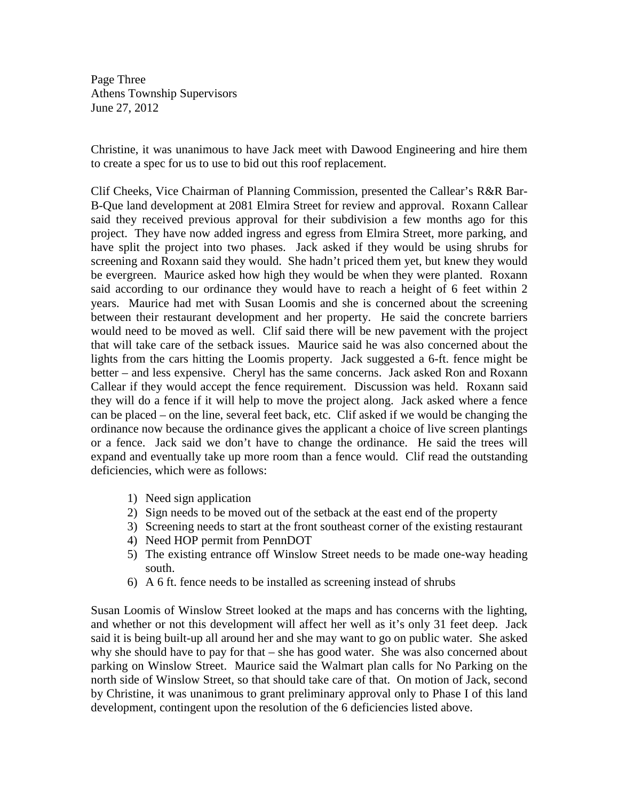Page Three Athens Township Supervisors June 27, 2012

Christine, it was unanimous to have Jack meet with Dawood Engineering and hire them to create a spec for us to use to bid out this roof replacement.

Clif Cheeks, Vice Chairman of Planning Commission, presented the Callear's R&R Bar-B-Que land development at 2081 Elmira Street for review and approval. Roxann Callear said they received previous approval for their subdivision a few months ago for this project. They have now added ingress and egress from Elmira Street, more parking, and have split the project into two phases. Jack asked if they would be using shrubs for screening and Roxann said they would. She hadn't priced them yet, but knew they would be evergreen. Maurice asked how high they would be when they were planted. Roxann said according to our ordinance they would have to reach a height of 6 feet within 2 years. Maurice had met with Susan Loomis and she is concerned about the screening between their restaurant development and her property. He said the concrete barriers would need to be moved as well. Clif said there will be new pavement with the project that will take care of the setback issues. Maurice said he was also concerned about the lights from the cars hitting the Loomis property. Jack suggested a 6-ft. fence might be better – and less expensive. Cheryl has the same concerns. Jack asked Ron and Roxann Callear if they would accept the fence requirement. Discussion was held. Roxann said they will do a fence if it will help to move the project along. Jack asked where a fence can be placed – on the line, several feet back, etc. Clif asked if we would be changing the ordinance now because the ordinance gives the applicant a choice of live screen plantings or a fence. Jack said we don't have to change the ordinance. He said the trees will expand and eventually take up more room than a fence would. Clif read the outstanding deficiencies, which were as follows:

- 1) Need sign application
- 2) Sign needs to be moved out of the setback at the east end of the property
- 3) Screening needs to start at the front southeast corner of the existing restaurant
- 4) Need HOP permit from PennDOT
- 5) The existing entrance off Winslow Street needs to be made one-way heading south.
- 6) A 6 ft. fence needs to be installed as screening instead of shrubs

Susan Loomis of Winslow Street looked at the maps and has concerns with the lighting, and whether or not this development will affect her well as it's only 31 feet deep. Jack said it is being built-up all around her and she may want to go on public water. She asked why she should have to pay for that – she has good water. She was also concerned about parking on Winslow Street. Maurice said the Walmart plan calls for No Parking on the north side of Winslow Street, so that should take care of that. On motion of Jack, second by Christine, it was unanimous to grant preliminary approval only to Phase I of this land development, contingent upon the resolution of the 6 deficiencies listed above.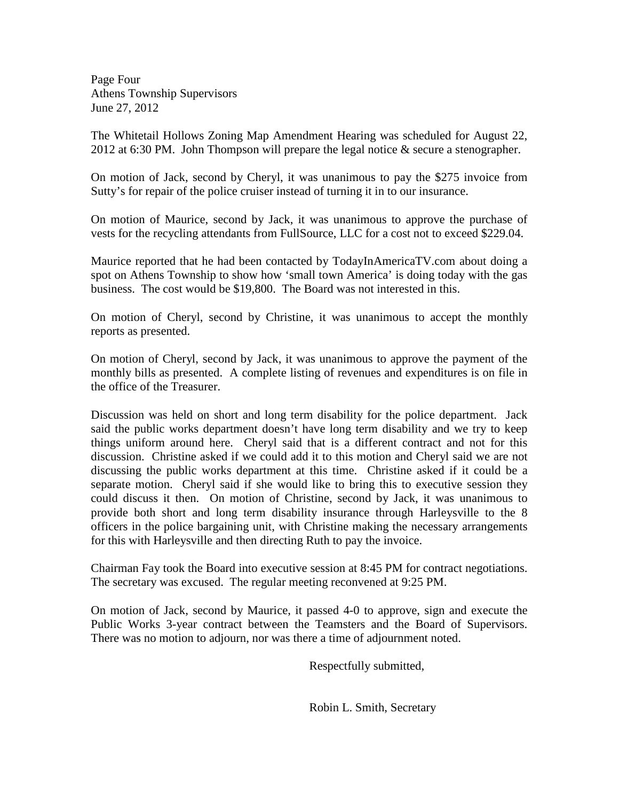Page Four Athens Township Supervisors June 27, 2012

The Whitetail Hollows Zoning Map Amendment Hearing was scheduled for August 22, 2012 at 6:30 PM. John Thompson will prepare the legal notice  $\&$  secure a stenographer.

On motion of Jack, second by Cheryl, it was unanimous to pay the \$275 invoice from Sutty's for repair of the police cruiser instead of turning it in to our insurance.

On motion of Maurice, second by Jack, it was unanimous to approve the purchase of vests for the recycling attendants from FullSource, LLC for a cost not to exceed \$229.04.

Maurice reported that he had been contacted by TodayInAmericaTV.com about doing a spot on Athens Township to show how 'small town America' is doing today with the gas business. The cost would be \$19,800. The Board was not interested in this.

On motion of Cheryl, second by Christine, it was unanimous to accept the monthly reports as presented.

On motion of Cheryl, second by Jack, it was unanimous to approve the payment of the monthly bills as presented. A complete listing of revenues and expenditures is on file in the office of the Treasurer.

Discussion was held on short and long term disability for the police department. Jack said the public works department doesn't have long term disability and we try to keep things uniform around here. Cheryl said that is a different contract and not for this discussion. Christine asked if we could add it to this motion and Cheryl said we are not discussing the public works department at this time. Christine asked if it could be a separate motion. Cheryl said if she would like to bring this to executive session they could discuss it then. On motion of Christine, second by Jack, it was unanimous to provide both short and long term disability insurance through Harleysville to the 8 officers in the police bargaining unit, with Christine making the necessary arrangements for this with Harleysville and then directing Ruth to pay the invoice.

Chairman Fay took the Board into executive session at 8:45 PM for contract negotiations. The secretary was excused. The regular meeting reconvened at 9:25 PM.

On motion of Jack, second by Maurice, it passed 4-0 to approve, sign and execute the Public Works 3-year contract between the Teamsters and the Board of Supervisors. There was no motion to adjourn, nor was there a time of adjournment noted.

Respectfully submitted,

Robin L. Smith, Secretary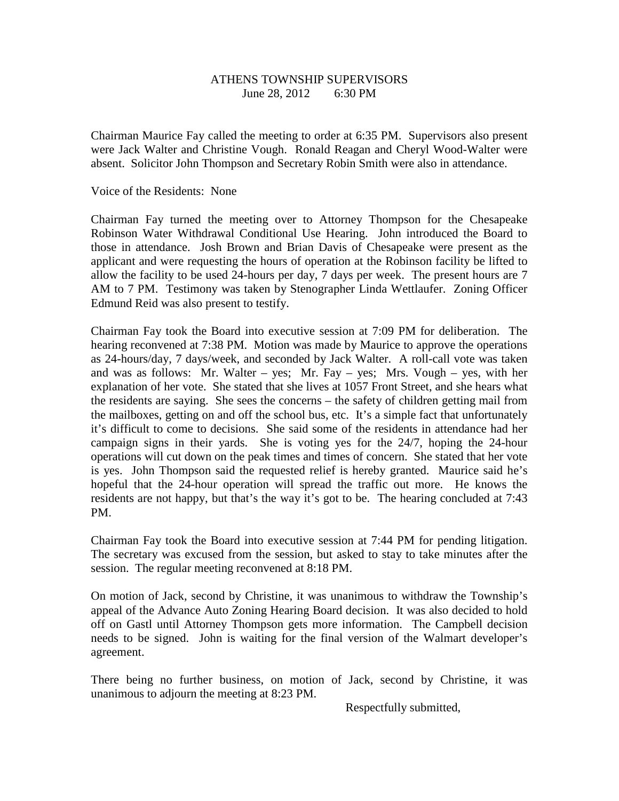## ATHENS TOWNSHIP SUPERVISORS June 28, 2012 6:30 PM

Chairman Maurice Fay called the meeting to order at 6:35 PM. Supervisors also present were Jack Walter and Christine Vough. Ronald Reagan and Cheryl Wood-Walter were absent. Solicitor John Thompson and Secretary Robin Smith were also in attendance.

Voice of the Residents: None

Chairman Fay turned the meeting over to Attorney Thompson for the Chesapeake Robinson Water Withdrawal Conditional Use Hearing. John introduced the Board to those in attendance. Josh Brown and Brian Davis of Chesapeake were present as the applicant and were requesting the hours of operation at the Robinson facility be lifted to allow the facility to be used 24-hours per day, 7 days per week. The present hours are 7 AM to 7 PM. Testimony was taken by Stenographer Linda Wettlaufer. Zoning Officer Edmund Reid was also present to testify.

Chairman Fay took the Board into executive session at 7:09 PM for deliberation. The hearing reconvened at 7:38 PM. Motion was made by Maurice to approve the operations as 24-hours/day, 7 days/week, and seconded by Jack Walter. A roll-call vote was taken and was as follows: Mr. Walter – yes; Mr. Fay – yes; Mrs. Vough – yes, with her explanation of her vote. She stated that she lives at 1057 Front Street, and she hears what the residents are saying. She sees the concerns – the safety of children getting mail from the mailboxes, getting on and off the school bus, etc. It's a simple fact that unfortunately it's difficult to come to decisions. She said some of the residents in attendance had her campaign signs in their yards. She is voting yes for the 24/7, hoping the 24-hour operations will cut down on the peak times and times of concern. She stated that her vote is yes. John Thompson said the requested relief is hereby granted. Maurice said he's hopeful that the 24-hour operation will spread the traffic out more. He knows the residents are not happy, but that's the way it's got to be. The hearing concluded at 7:43 PM.

Chairman Fay took the Board into executive session at 7:44 PM for pending litigation. The secretary was excused from the session, but asked to stay to take minutes after the session. The regular meeting reconvened at 8:18 PM.

On motion of Jack, second by Christine, it was unanimous to withdraw the Township's appeal of the Advance Auto Zoning Hearing Board decision. It was also decided to hold off on Gastl until Attorney Thompson gets more information. The Campbell decision needs to be signed. John is waiting for the final version of the Walmart developer's agreement.

There being no further business, on motion of Jack, second by Christine, it was unanimous to adjourn the meeting at 8:23 PM.

Respectfully submitted,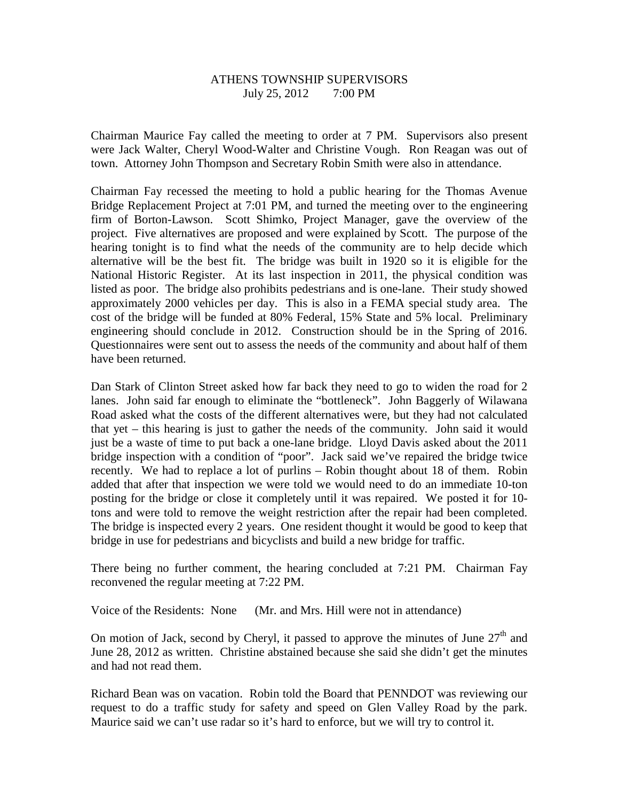## ATHENS TOWNSHIP SUPERVISORS July 25, 2012 7:00 PM

Chairman Maurice Fay called the meeting to order at 7 PM. Supervisors also present were Jack Walter, Cheryl Wood-Walter and Christine Vough. Ron Reagan was out of town. Attorney John Thompson and Secretary Robin Smith were also in attendance.

Chairman Fay recessed the meeting to hold a public hearing for the Thomas Avenue Bridge Replacement Project at 7:01 PM, and turned the meeting over to the engineering firm of Borton-Lawson. Scott Shimko, Project Manager, gave the overview of the project. Five alternatives are proposed and were explained by Scott. The purpose of the hearing tonight is to find what the needs of the community are to help decide which alternative will be the best fit. The bridge was built in 1920 so it is eligible for the National Historic Register. At its last inspection in 2011, the physical condition was listed as poor. The bridge also prohibits pedestrians and is one-lane. Their study showed approximately 2000 vehicles per day. This is also in a FEMA special study area. The cost of the bridge will be funded at 80% Federal, 15% State and 5% local. Preliminary engineering should conclude in 2012. Construction should be in the Spring of 2016. Questionnaires were sent out to assess the needs of the community and about half of them have been returned.

Dan Stark of Clinton Street asked how far back they need to go to widen the road for 2 lanes. John said far enough to eliminate the "bottleneck". John Baggerly of Wilawana Road asked what the costs of the different alternatives were, but they had not calculated that yet – this hearing is just to gather the needs of the community. John said it would just be a waste of time to put back a one-lane bridge. Lloyd Davis asked about the 2011 bridge inspection with a condition of "poor". Jack said we've repaired the bridge twice recently. We had to replace a lot of purlins – Robin thought about 18 of them. Robin added that after that inspection we were told we would need to do an immediate 10-ton posting for the bridge or close it completely until it was repaired. We posted it for 10 tons and were told to remove the weight restriction after the repair had been completed. The bridge is inspected every 2 years. One resident thought it would be good to keep that bridge in use for pedestrians and bicyclists and build a new bridge for traffic.

There being no further comment, the hearing concluded at 7:21 PM. Chairman Fay reconvened the regular meeting at 7:22 PM.

Voice of the Residents: None (Mr. and Mrs. Hill were not in attendance)

On motion of Jack, second by Cheryl, it passed to approve the minutes of June  $27<sup>th</sup>$  and June 28, 2012 as written. Christine abstained because she said she didn't get the minutes and had not read them.

Richard Bean was on vacation. Robin told the Board that PENNDOT was reviewing our request to do a traffic study for safety and speed on Glen Valley Road by the park. Maurice said we can't use radar so it's hard to enforce, but we will try to control it.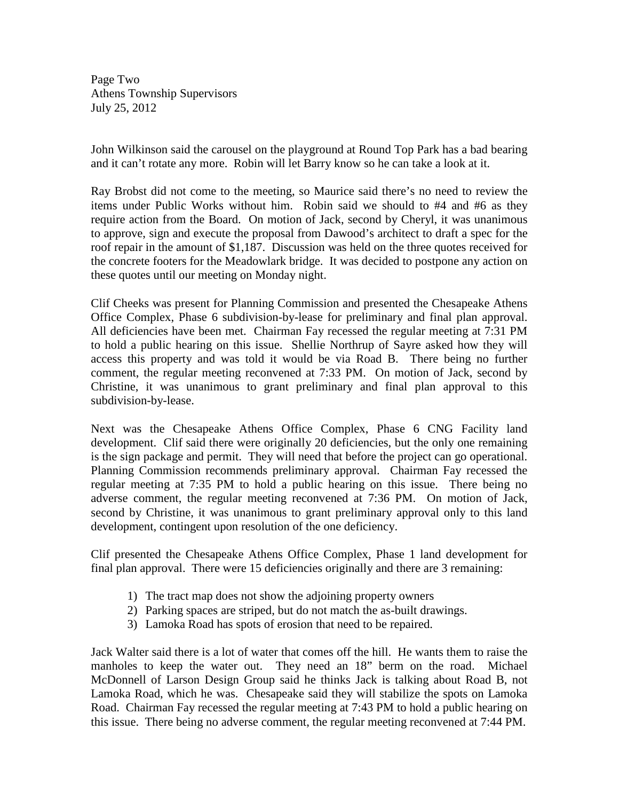Page Two Athens Township Supervisors July 25, 2012

John Wilkinson said the carousel on the playground at Round Top Park has a bad bearing and it can't rotate any more. Robin will let Barry know so he can take a look at it.

Ray Brobst did not come to the meeting, so Maurice said there's no need to review the items under Public Works without him. Robin said we should to #4 and #6 as they require action from the Board. On motion of Jack, second by Cheryl, it was unanimous to approve, sign and execute the proposal from Dawood's architect to draft a spec for the roof repair in the amount of \$1,187. Discussion was held on the three quotes received for the concrete footers for the Meadowlark bridge. It was decided to postpone any action on these quotes until our meeting on Monday night.

Clif Cheeks was present for Planning Commission and presented the Chesapeake Athens Office Complex, Phase 6 subdivision-by-lease for preliminary and final plan approval. All deficiencies have been met. Chairman Fay recessed the regular meeting at 7:31 PM to hold a public hearing on this issue. Shellie Northrup of Sayre asked how they will access this property and was told it would be via Road B. There being no further comment, the regular meeting reconvened at 7:33 PM. On motion of Jack, second by Christine, it was unanimous to grant preliminary and final plan approval to this subdivision-by-lease.

Next was the Chesapeake Athens Office Complex, Phase 6 CNG Facility land development. Clif said there were originally 20 deficiencies, but the only one remaining is the sign package and permit. They will need that before the project can go operational. Planning Commission recommends preliminary approval. Chairman Fay recessed the regular meeting at 7:35 PM to hold a public hearing on this issue. There being no adverse comment, the regular meeting reconvened at 7:36 PM. On motion of Jack, second by Christine, it was unanimous to grant preliminary approval only to this land development, contingent upon resolution of the one deficiency.

Clif presented the Chesapeake Athens Office Complex, Phase 1 land development for final plan approval. There were 15 deficiencies originally and there are 3 remaining:

- 1) The tract map does not show the adjoining property owners
- 2) Parking spaces are striped, but do not match the as-built drawings.
- 3) Lamoka Road has spots of erosion that need to be repaired.

Jack Walter said there is a lot of water that comes off the hill. He wants them to raise the manholes to keep the water out. They need an 18" berm on the road. Michael McDonnell of Larson Design Group said he thinks Jack is talking about Road B, not Lamoka Road, which he was. Chesapeake said they will stabilize the spots on Lamoka Road. Chairman Fay recessed the regular meeting at 7:43 PM to hold a public hearing on this issue. There being no adverse comment, the regular meeting reconvened at 7:44 PM.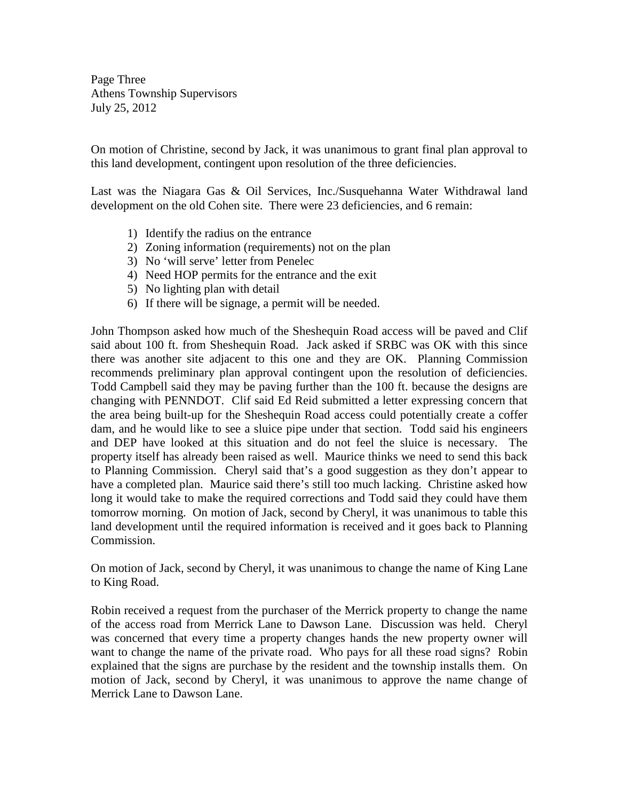Page Three Athens Township Supervisors July 25, 2012

On motion of Christine, second by Jack, it was unanimous to grant final plan approval to this land development, contingent upon resolution of the three deficiencies.

Last was the Niagara Gas & Oil Services, Inc./Susquehanna Water Withdrawal land development on the old Cohen site. There were 23 deficiencies, and 6 remain:

- 1) Identify the radius on the entrance
- 2) Zoning information (requirements) not on the plan
- 3) No 'will serve' letter from Penelec
- 4) Need HOP permits for the entrance and the exit
- 5) No lighting plan with detail
- 6) If there will be signage, a permit will be needed.

John Thompson asked how much of the Sheshequin Road access will be paved and Clif said about 100 ft. from Sheshequin Road. Jack asked if SRBC was OK with this since there was another site adjacent to this one and they are OK. Planning Commission recommends preliminary plan approval contingent upon the resolution of deficiencies. Todd Campbell said they may be paving further than the 100 ft. because the designs are changing with PENNDOT. Clif said Ed Reid submitted a letter expressing concern that the area being built-up for the Sheshequin Road access could potentially create a coffer dam, and he would like to see a sluice pipe under that section. Todd said his engineers and DEP have looked at this situation and do not feel the sluice is necessary. The property itself has already been raised as well. Maurice thinks we need to send this back to Planning Commission. Cheryl said that's a good suggestion as they don't appear to have a completed plan. Maurice said there's still too much lacking. Christine asked how long it would take to make the required corrections and Todd said they could have them tomorrow morning. On motion of Jack, second by Cheryl, it was unanimous to table this land development until the required information is received and it goes back to Planning Commission.

On motion of Jack, second by Cheryl, it was unanimous to change the name of King Lane to King Road.

Robin received a request from the purchaser of the Merrick property to change the name of the access road from Merrick Lane to Dawson Lane. Discussion was held. Cheryl was concerned that every time a property changes hands the new property owner will want to change the name of the private road. Who pays for all these road signs? Robin explained that the signs are purchase by the resident and the township installs them. On motion of Jack, second by Cheryl, it was unanimous to approve the name change of Merrick Lane to Dawson Lane.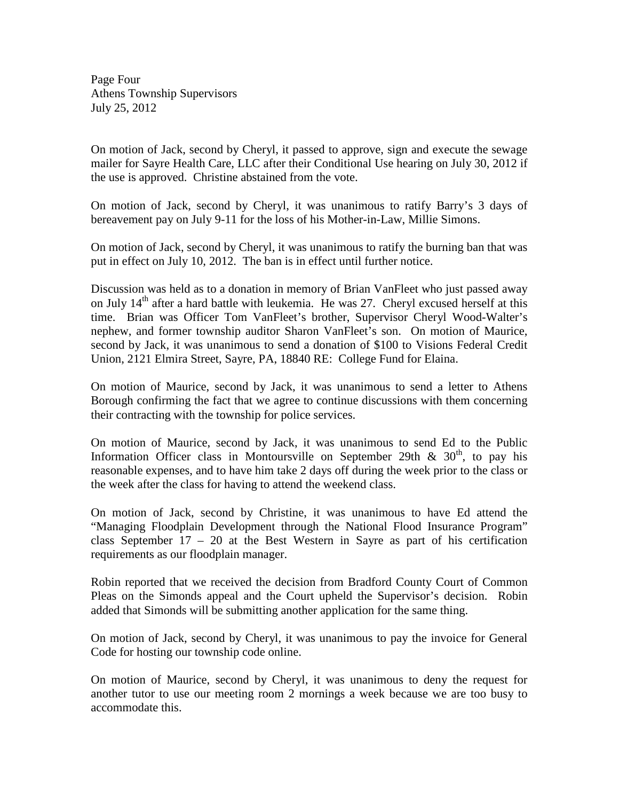Page Four Athens Township Supervisors July 25, 2012

On motion of Jack, second by Cheryl, it passed to approve, sign and execute the sewage mailer for Sayre Health Care, LLC after their Conditional Use hearing on July 30, 2012 if the use is approved. Christine abstained from the vote.

On motion of Jack, second by Cheryl, it was unanimous to ratify Barry's 3 days of bereavement pay on July 9-11 for the loss of his Mother-in-Law, Millie Simons.

On motion of Jack, second by Cheryl, it was unanimous to ratify the burning ban that was put in effect on July 10, 2012. The ban is in effect until further notice.

Discussion was held as to a donation in memory of Brian VanFleet who just passed away on July  $14<sup>th</sup>$  after a hard battle with leukemia. He was 27. Cheryl excused herself at this time. Brian was Officer Tom VanFleet's brother, Supervisor Cheryl Wood-Walter's nephew, and former township auditor Sharon VanFleet's son. On motion of Maurice, second by Jack, it was unanimous to send a donation of \$100 to Visions Federal Credit Union, 2121 Elmira Street, Sayre, PA, 18840 RE: College Fund for Elaina.

On motion of Maurice, second by Jack, it was unanimous to send a letter to Athens Borough confirming the fact that we agree to continue discussions with them concerning their contracting with the township for police services.

On motion of Maurice, second by Jack, it was unanimous to send Ed to the Public Information Officer class in Montoursville on September 29th  $\&$  30<sup>th</sup>, to pay his reasonable expenses, and to have him take 2 days off during the week prior to the class or the week after the class for having to attend the weekend class.

On motion of Jack, second by Christine, it was unanimous to have Ed attend the "Managing Floodplain Development through the National Flood Insurance Program" class September  $17 - 20$  at the Best Western in Sayre as part of his certification requirements as our floodplain manager.

Robin reported that we received the decision from Bradford County Court of Common Pleas on the Simonds appeal and the Court upheld the Supervisor's decision. Robin added that Simonds will be submitting another application for the same thing.

On motion of Jack, second by Cheryl, it was unanimous to pay the invoice for General Code for hosting our township code online.

On motion of Maurice, second by Cheryl, it was unanimous to deny the request for another tutor to use our meeting room 2 mornings a week because we are too busy to accommodate this.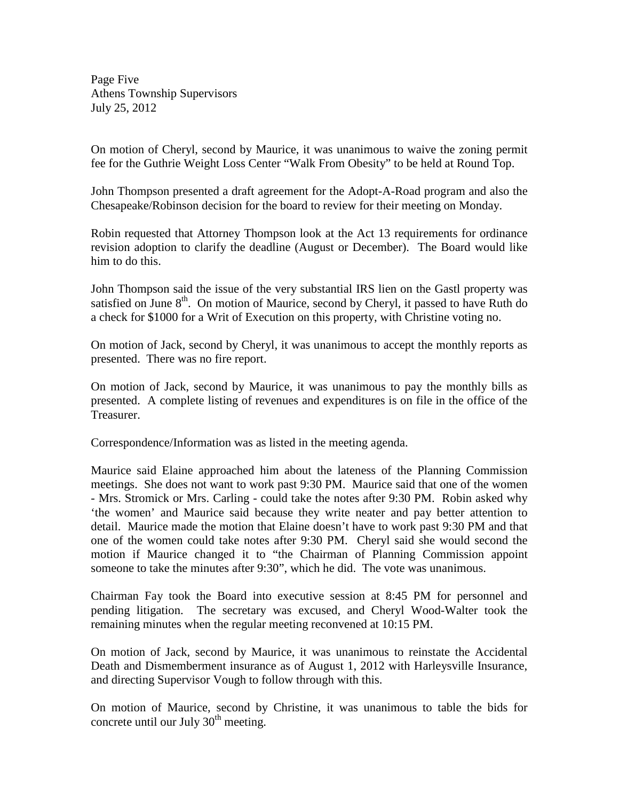Page Five Athens Township Supervisors July 25, 2012

On motion of Cheryl, second by Maurice, it was unanimous to waive the zoning permit fee for the Guthrie Weight Loss Center "Walk From Obesity" to be held at Round Top.

John Thompson presented a draft agreement for the Adopt-A-Road program and also the Chesapeake/Robinson decision for the board to review for their meeting on Monday.

Robin requested that Attorney Thompson look at the Act 13 requirements for ordinance revision adoption to clarify the deadline (August or December). The Board would like him to do this.

John Thompson said the issue of the very substantial IRS lien on the Gastl property was satisfied on June  $8<sup>th</sup>$ . On motion of Maurice, second by Cheryl, it passed to have Ruth do a check for \$1000 for a Writ of Execution on this property, with Christine voting no.

On motion of Jack, second by Cheryl, it was unanimous to accept the monthly reports as presented. There was no fire report.

On motion of Jack, second by Maurice, it was unanimous to pay the monthly bills as presented. A complete listing of revenues and expenditures is on file in the office of the Treasurer.

Correspondence/Information was as listed in the meeting agenda.

Maurice said Elaine approached him about the lateness of the Planning Commission meetings. She does not want to work past 9:30 PM. Maurice said that one of the women - Mrs. Stromick or Mrs. Carling - could take the notes after 9:30 PM. Robin asked why 'the women' and Maurice said because they write neater and pay better attention to detail. Maurice made the motion that Elaine doesn't have to work past 9:30 PM and that one of the women could take notes after 9:30 PM. Cheryl said she would second the motion if Maurice changed it to "the Chairman of Planning Commission appoint someone to take the minutes after 9:30", which he did. The vote was unanimous.

Chairman Fay took the Board into executive session at 8:45 PM for personnel and pending litigation. The secretary was excused, and Cheryl Wood-Walter took the remaining minutes when the regular meeting reconvened at 10:15 PM.

On motion of Jack, second by Maurice, it was unanimous to reinstate the Accidental Death and Dismemberment insurance as of August 1, 2012 with Harleysville Insurance, and directing Supervisor Vough to follow through with this.

On motion of Maurice, second by Christine, it was unanimous to table the bids for concrete until our July  $30<sup>th</sup>$  meeting.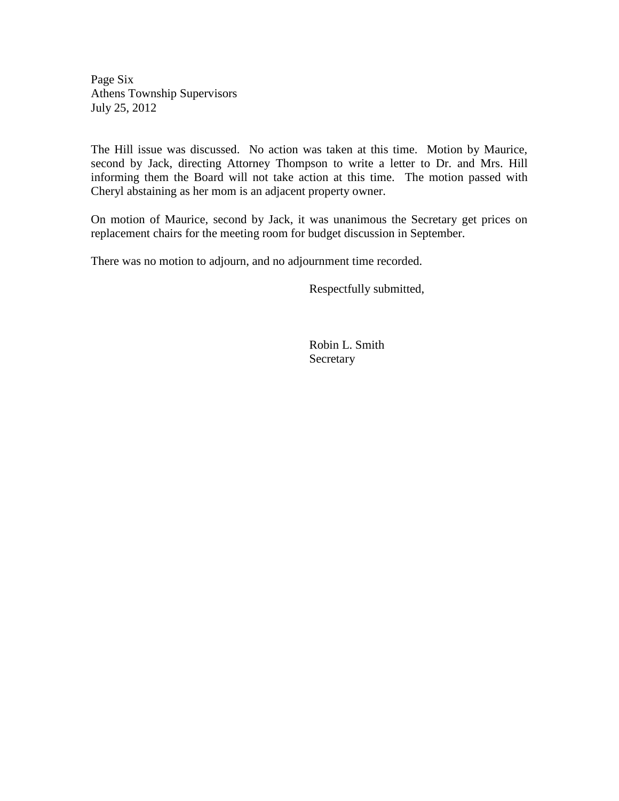Page Six Athens Township Supervisors July 25, 2012

The Hill issue was discussed. No action was taken at this time. Motion by Maurice, second by Jack, directing Attorney Thompson to write a letter to Dr. and Mrs. Hill informing them the Board will not take action at this time. The motion passed with Cheryl abstaining as her mom is an adjacent property owner.

On motion of Maurice, second by Jack, it was unanimous the Secretary get prices on replacement chairs for the meeting room for budget discussion in September.

There was no motion to adjourn, and no adjournment time recorded.

Respectfully submitted,

 Robin L. Smith **Secretary**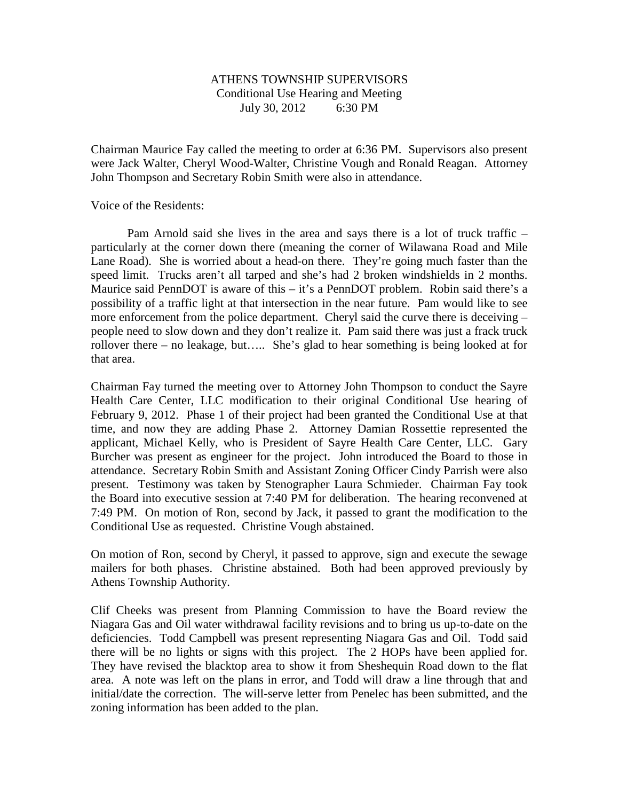#### ATHENS TOWNSHIP SUPERVISORS Conditional Use Hearing and Meeting July 30, 2012 6:30 PM

Chairman Maurice Fay called the meeting to order at 6:36 PM. Supervisors also present were Jack Walter, Cheryl Wood-Walter, Christine Vough and Ronald Reagan. Attorney John Thompson and Secretary Robin Smith were also in attendance.

Voice of the Residents:

 Pam Arnold said she lives in the area and says there is a lot of truck traffic – particularly at the corner down there (meaning the corner of Wilawana Road and Mile Lane Road). She is worried about a head-on there. They're going much faster than the speed limit. Trucks aren't all tarped and she's had 2 broken windshields in 2 months. Maurice said PennDOT is aware of this – it's a PennDOT problem. Robin said there's a possibility of a traffic light at that intersection in the near future. Pam would like to see more enforcement from the police department. Cheryl said the curve there is deceiving – people need to slow down and they don't realize it. Pam said there was just a frack truck rollover there – no leakage, but….. She's glad to hear something is being looked at for that area.

Chairman Fay turned the meeting over to Attorney John Thompson to conduct the Sayre Health Care Center, LLC modification to their original Conditional Use hearing of February 9, 2012. Phase 1 of their project had been granted the Conditional Use at that time, and now they are adding Phase 2. Attorney Damian Rossettie represented the applicant, Michael Kelly, who is President of Sayre Health Care Center, LLC. Gary Burcher was present as engineer for the project. John introduced the Board to those in attendance. Secretary Robin Smith and Assistant Zoning Officer Cindy Parrish were also present. Testimony was taken by Stenographer Laura Schmieder. Chairman Fay took the Board into executive session at 7:40 PM for deliberation. The hearing reconvened at 7:49 PM. On motion of Ron, second by Jack, it passed to grant the modification to the Conditional Use as requested. Christine Vough abstained.

On motion of Ron, second by Cheryl, it passed to approve, sign and execute the sewage mailers for both phases. Christine abstained. Both had been approved previously by Athens Township Authority.

Clif Cheeks was present from Planning Commission to have the Board review the Niagara Gas and Oil water withdrawal facility revisions and to bring us up-to-date on the deficiencies. Todd Campbell was present representing Niagara Gas and Oil. Todd said there will be no lights or signs with this project. The 2 HOPs have been applied for. They have revised the blacktop area to show it from Sheshequin Road down to the flat area. A note was left on the plans in error, and Todd will draw a line through that and initial/date the correction. The will-serve letter from Penelec has been submitted, and the zoning information has been added to the plan.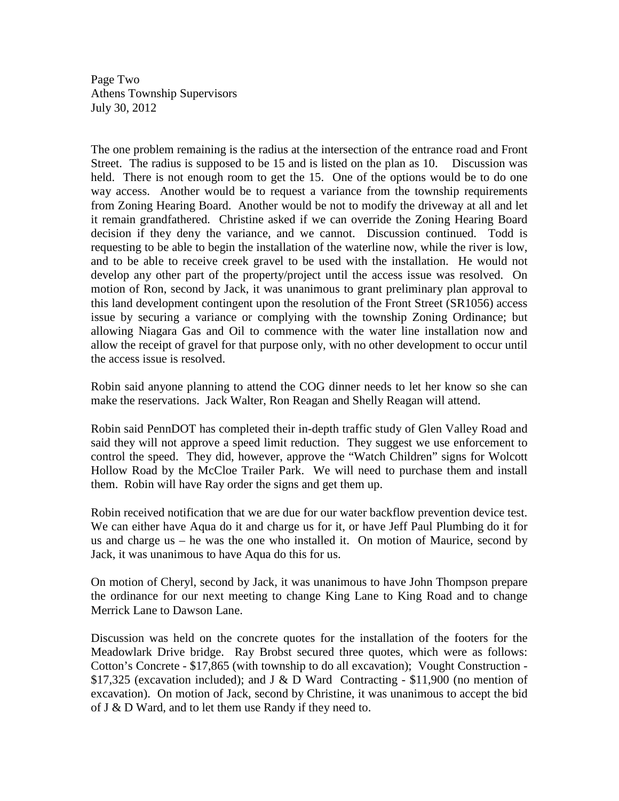Page Two Athens Township Supervisors July 30, 2012

The one problem remaining is the radius at the intersection of the entrance road and Front Street. The radius is supposed to be 15 and is listed on the plan as 10. Discussion was held. There is not enough room to get the 15. One of the options would be to do one way access. Another would be to request a variance from the township requirements from Zoning Hearing Board. Another would be not to modify the driveway at all and let it remain grandfathered. Christine asked if we can override the Zoning Hearing Board decision if they deny the variance, and we cannot. Discussion continued. Todd is requesting to be able to begin the installation of the waterline now, while the river is low, and to be able to receive creek gravel to be used with the installation. He would not develop any other part of the property/project until the access issue was resolved. On motion of Ron, second by Jack, it was unanimous to grant preliminary plan approval to this land development contingent upon the resolution of the Front Street (SR1056) access issue by securing a variance or complying with the township Zoning Ordinance; but allowing Niagara Gas and Oil to commence with the water line installation now and allow the receipt of gravel for that purpose only, with no other development to occur until the access issue is resolved.

Robin said anyone planning to attend the COG dinner needs to let her know so she can make the reservations. Jack Walter, Ron Reagan and Shelly Reagan will attend.

Robin said PennDOT has completed their in-depth traffic study of Glen Valley Road and said they will not approve a speed limit reduction. They suggest we use enforcement to control the speed. They did, however, approve the "Watch Children" signs for Wolcott Hollow Road by the McCloe Trailer Park. We will need to purchase them and install them. Robin will have Ray order the signs and get them up.

Robin received notification that we are due for our water backflow prevention device test. We can either have Aqua do it and charge us for it, or have Jeff Paul Plumbing do it for us and charge us – he was the one who installed it. On motion of Maurice, second by Jack, it was unanimous to have Aqua do this for us.

On motion of Cheryl, second by Jack, it was unanimous to have John Thompson prepare the ordinance for our next meeting to change King Lane to King Road and to change Merrick Lane to Dawson Lane.

Discussion was held on the concrete quotes for the installation of the footers for the Meadowlark Drive bridge. Ray Brobst secured three quotes, which were as follows: Cotton's Concrete - \$17,865 (with township to do all excavation); Vought Construction - \$17,325 (excavation included); and J & D Ward Contracting - \$11,900 (no mention of excavation). On motion of Jack, second by Christine, it was unanimous to accept the bid of J & D Ward, and to let them use Randy if they need to.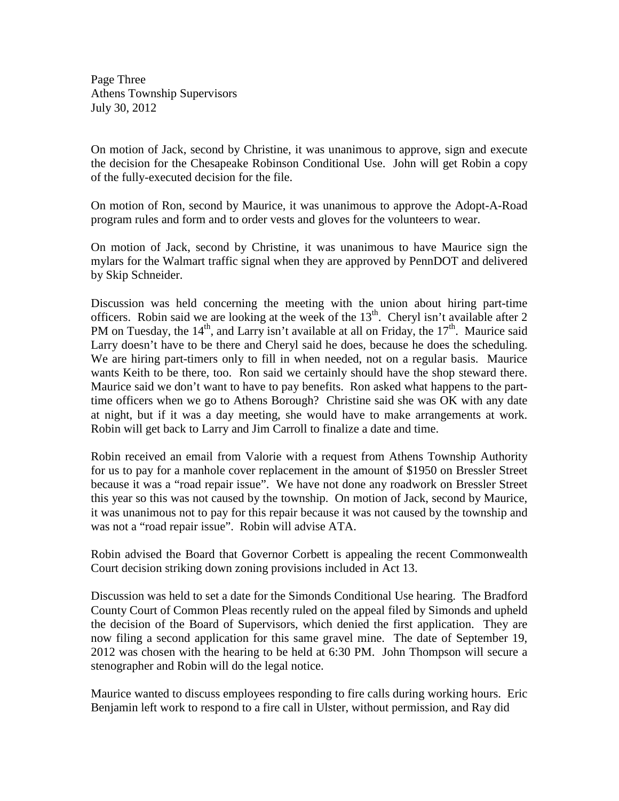Page Three Athens Township Supervisors July 30, 2012

On motion of Jack, second by Christine, it was unanimous to approve, sign and execute the decision for the Chesapeake Robinson Conditional Use. John will get Robin a copy of the fully-executed decision for the file.

On motion of Ron, second by Maurice, it was unanimous to approve the Adopt-A-Road program rules and form and to order vests and gloves for the volunteers to wear.

On motion of Jack, second by Christine, it was unanimous to have Maurice sign the mylars for the Walmart traffic signal when they are approved by PennDOT and delivered by Skip Schneider.

Discussion was held concerning the meeting with the union about hiring part-time officers. Robin said we are looking at the week of the  $13<sup>th</sup>$ . Cheryl isn't available after 2 PM on Tuesday, the  $14<sup>th</sup>$ , and Larry isn't available at all on Friday, the  $17<sup>th</sup>$ . Maurice said Larry doesn't have to be there and Cheryl said he does, because he does the scheduling. We are hiring part-timers only to fill in when needed, not on a regular basis. Maurice wants Keith to be there, too. Ron said we certainly should have the shop steward there. Maurice said we don't want to have to pay benefits. Ron asked what happens to the parttime officers when we go to Athens Borough? Christine said she was OK with any date at night, but if it was a day meeting, she would have to make arrangements at work. Robin will get back to Larry and Jim Carroll to finalize a date and time.

Robin received an email from Valorie with a request from Athens Township Authority for us to pay for a manhole cover replacement in the amount of \$1950 on Bressler Street because it was a "road repair issue". We have not done any roadwork on Bressler Street this year so this was not caused by the township. On motion of Jack, second by Maurice, it was unanimous not to pay for this repair because it was not caused by the township and was not a "road repair issue". Robin will advise ATA.

Robin advised the Board that Governor Corbett is appealing the recent Commonwealth Court decision striking down zoning provisions included in Act 13.

Discussion was held to set a date for the Simonds Conditional Use hearing. The Bradford County Court of Common Pleas recently ruled on the appeal filed by Simonds and upheld the decision of the Board of Supervisors, which denied the first application. They are now filing a second application for this same gravel mine. The date of September 19, 2012 was chosen with the hearing to be held at 6:30 PM. John Thompson will secure a stenographer and Robin will do the legal notice.

Maurice wanted to discuss employees responding to fire calls during working hours. Eric Benjamin left work to respond to a fire call in Ulster, without permission, and Ray did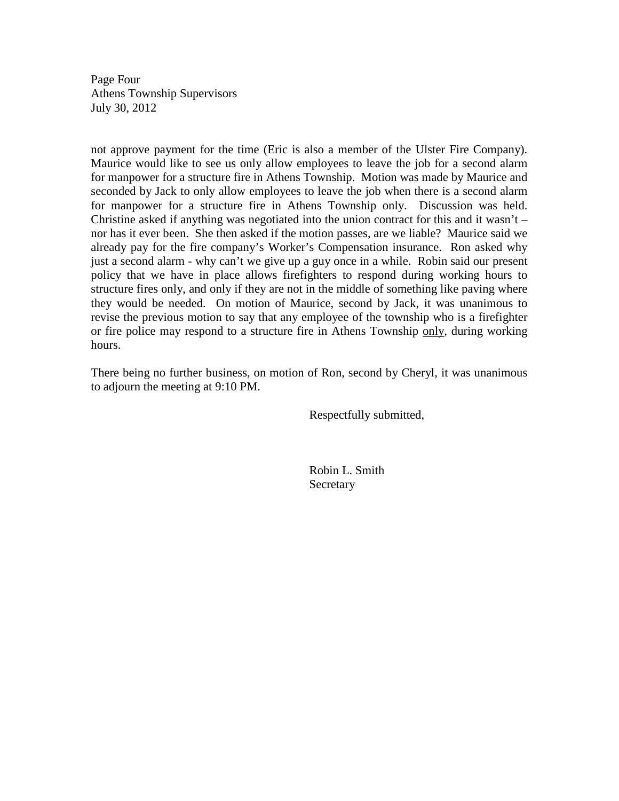Page Four Athens Township Supervisors July 30, 2012

not approve payment for the time (Eric is also a member of the Ulster Fire Company). Maurice would like to see us only allow employees to leave the job for a second alarm for manpower for a structure fire in Athens Township. Motion was made by Maurice and seconded by Jack to only allow employees to leave the job when there is a second alarm for manpower for a structure fire in Athens Township only. Discussion was held. Christine asked if anything was negotiated into the union contract for this and it wasn't  $$ nor has it ever been. She then asked if the motion passes, are we liable? Maurice said we already pay for the fire company's Worker's Compensation insurance. Ron asked why just a second alarm - why can't we give up a guy once in a while. Robin said our present policy that we have in place allows firefighters to respond during working hours to structure fires only, and only if they are not in the middle of something like paving where they would be needed. On motion of Maurice, second by Jack, it was unanimous to revise the previous motion to say that any employee of the township who is a firefighter or fire police may respond to a structure fire in Athens Township only, during working hours.

There being no further business, on motion of Ron, second by Cheryl, it was unanimous to adjourn the meeting at 9:10 PM.

Respectfully submitted,

 Robin L. Smith Secretary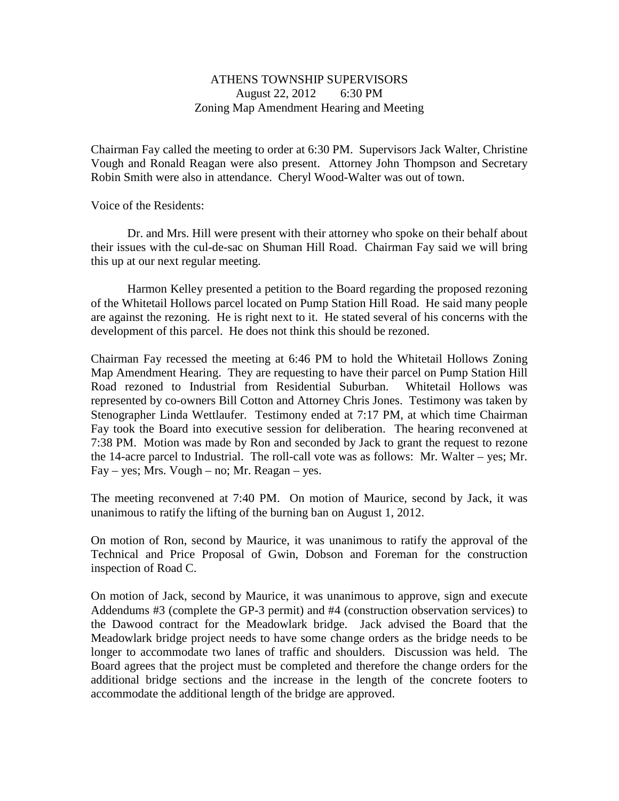#### ATHENS TOWNSHIP SUPERVISORS August 22, 2012 6:30 PM Zoning Map Amendment Hearing and Meeting

Chairman Fay called the meeting to order at 6:30 PM. Supervisors Jack Walter, Christine Vough and Ronald Reagan were also present. Attorney John Thompson and Secretary Robin Smith were also in attendance. Cheryl Wood-Walter was out of town.

Voice of the Residents:

 Dr. and Mrs. Hill were present with their attorney who spoke on their behalf about their issues with the cul-de-sac on Shuman Hill Road. Chairman Fay said we will bring this up at our next regular meeting.

Harmon Kelley presented a petition to the Board regarding the proposed rezoning of the Whitetail Hollows parcel located on Pump Station Hill Road. He said many people are against the rezoning. He is right next to it. He stated several of his concerns with the development of this parcel. He does not think this should be rezoned.

Chairman Fay recessed the meeting at 6:46 PM to hold the Whitetail Hollows Zoning Map Amendment Hearing. They are requesting to have their parcel on Pump Station Hill Road rezoned to Industrial from Residential Suburban. Whitetail Hollows was represented by co-owners Bill Cotton and Attorney Chris Jones. Testimony was taken by Stenographer Linda Wettlaufer. Testimony ended at 7:17 PM, at which time Chairman Fay took the Board into executive session for deliberation. The hearing reconvened at 7:38 PM. Motion was made by Ron and seconded by Jack to grant the request to rezone the 14-acre parcel to Industrial. The roll-call vote was as follows: Mr. Walter – yes; Mr.  $Fay - yes$ ; Mrs. Vough – no; Mr. Reagan – yes.

The meeting reconvened at 7:40 PM. On motion of Maurice, second by Jack, it was unanimous to ratify the lifting of the burning ban on August 1, 2012.

On motion of Ron, second by Maurice, it was unanimous to ratify the approval of the Technical and Price Proposal of Gwin, Dobson and Foreman for the construction inspection of Road C.

On motion of Jack, second by Maurice, it was unanimous to approve, sign and execute Addendums #3 (complete the GP-3 permit) and #4 (construction observation services) to the Dawood contract for the Meadowlark bridge. Jack advised the Board that the Meadowlark bridge project needs to have some change orders as the bridge needs to be longer to accommodate two lanes of traffic and shoulders. Discussion was held. The Board agrees that the project must be completed and therefore the change orders for the additional bridge sections and the increase in the length of the concrete footers to accommodate the additional length of the bridge are approved.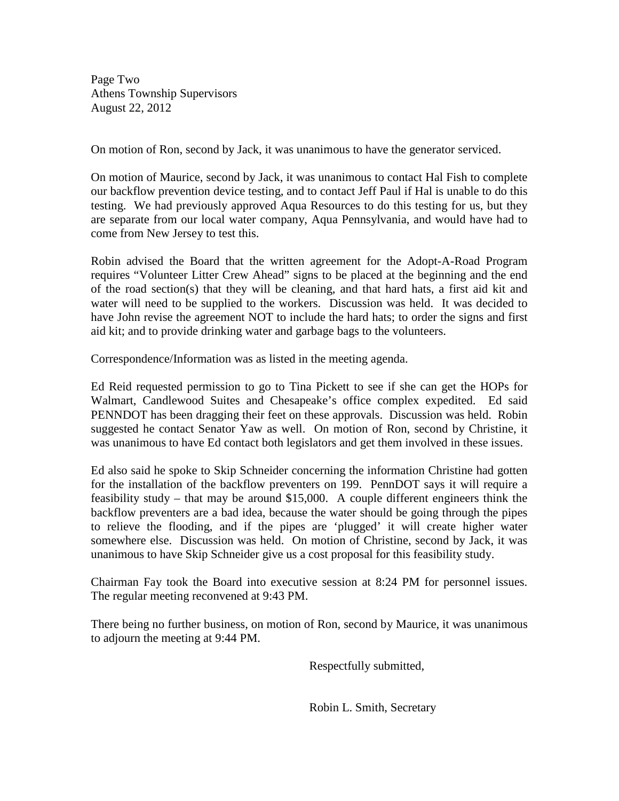Page Two Athens Township Supervisors August 22, 2012

On motion of Ron, second by Jack, it was unanimous to have the generator serviced.

On motion of Maurice, second by Jack, it was unanimous to contact Hal Fish to complete our backflow prevention device testing, and to contact Jeff Paul if Hal is unable to do this testing. We had previously approved Aqua Resources to do this testing for us, but they are separate from our local water company, Aqua Pennsylvania, and would have had to come from New Jersey to test this.

Robin advised the Board that the written agreement for the Adopt-A-Road Program requires "Volunteer Litter Crew Ahead" signs to be placed at the beginning and the end of the road section(s) that they will be cleaning, and that hard hats, a first aid kit and water will need to be supplied to the workers. Discussion was held. It was decided to have John revise the agreement NOT to include the hard hats; to order the signs and first aid kit; and to provide drinking water and garbage bags to the volunteers.

Correspondence/Information was as listed in the meeting agenda.

Ed Reid requested permission to go to Tina Pickett to see if she can get the HOPs for Walmart, Candlewood Suites and Chesapeake's office complex expedited. Ed said PENNDOT has been dragging their feet on these approvals. Discussion was held. Robin suggested he contact Senator Yaw as well. On motion of Ron, second by Christine, it was unanimous to have Ed contact both legislators and get them involved in these issues.

Ed also said he spoke to Skip Schneider concerning the information Christine had gotten for the installation of the backflow preventers on 199. PennDOT says it will require a feasibility study – that may be around \$15,000. A couple different engineers think the backflow preventers are a bad idea, because the water should be going through the pipes to relieve the flooding, and if the pipes are 'plugged' it will create higher water somewhere else. Discussion was held. On motion of Christine, second by Jack, it was unanimous to have Skip Schneider give us a cost proposal for this feasibility study.

Chairman Fay took the Board into executive session at 8:24 PM for personnel issues. The regular meeting reconvened at 9:43 PM.

There being no further business, on motion of Ron, second by Maurice, it was unanimous to adjourn the meeting at 9:44 PM.

Respectfully submitted,

Robin L. Smith, Secretary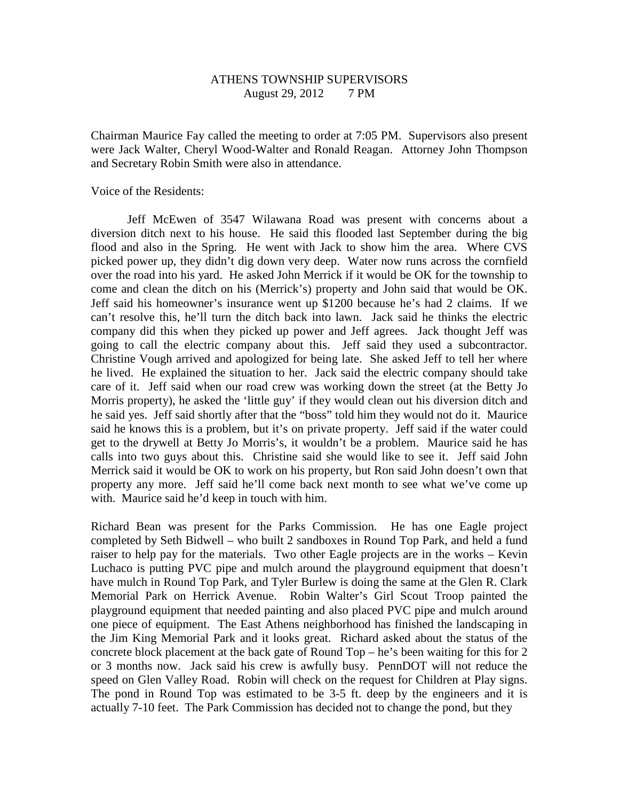# ATHENS TOWNSHIP SUPERVISORS August 29, 2012 7 PM

Chairman Maurice Fay called the meeting to order at 7:05 PM. Supervisors also present were Jack Walter, Cheryl Wood-Walter and Ronald Reagan. Attorney John Thompson and Secretary Robin Smith were also in attendance.

Voice of the Residents:

 Jeff McEwen of 3547 Wilawana Road was present with concerns about a diversion ditch next to his house. He said this flooded last September during the big flood and also in the Spring. He went with Jack to show him the area. Where CVS picked power up, they didn't dig down very deep. Water now runs across the cornfield over the road into his yard. He asked John Merrick if it would be OK for the township to come and clean the ditch on his (Merrick's) property and John said that would be OK. Jeff said his homeowner's insurance went up \$1200 because he's had 2 claims. If we can't resolve this, he'll turn the ditch back into lawn. Jack said he thinks the electric company did this when they picked up power and Jeff agrees. Jack thought Jeff was going to call the electric company about this. Jeff said they used a subcontractor. Christine Vough arrived and apologized for being late. She asked Jeff to tell her where he lived. He explained the situation to her. Jack said the electric company should take care of it. Jeff said when our road crew was working down the street (at the Betty Jo Morris property), he asked the 'little guy' if they would clean out his diversion ditch and he said yes. Jeff said shortly after that the "boss" told him they would not do it. Maurice said he knows this is a problem, but it's on private property. Jeff said if the water could get to the drywell at Betty Jo Morris's, it wouldn't be a problem. Maurice said he has calls into two guys about this. Christine said she would like to see it. Jeff said John Merrick said it would be OK to work on his property, but Ron said John doesn't own that property any more. Jeff said he'll come back next month to see what we've come up with. Maurice said he'd keep in touch with him.

Richard Bean was present for the Parks Commission. He has one Eagle project completed by Seth Bidwell – who built 2 sandboxes in Round Top Park, and held a fund raiser to help pay for the materials. Two other Eagle projects are in the works – Kevin Luchaco is putting PVC pipe and mulch around the playground equipment that doesn't have mulch in Round Top Park, and Tyler Burlew is doing the same at the Glen R. Clark Memorial Park on Herrick Avenue. Robin Walter's Girl Scout Troop painted the playground equipment that needed painting and also placed PVC pipe and mulch around one piece of equipment. The East Athens neighborhood has finished the landscaping in the Jim King Memorial Park and it looks great. Richard asked about the status of the concrete block placement at the back gate of Round Top – he's been waiting for this for 2 or 3 months now. Jack said his crew is awfully busy. PennDOT will not reduce the speed on Glen Valley Road. Robin will check on the request for Children at Play signs. The pond in Round Top was estimated to be 3-5 ft. deep by the engineers and it is actually 7-10 feet. The Park Commission has decided not to change the pond, but they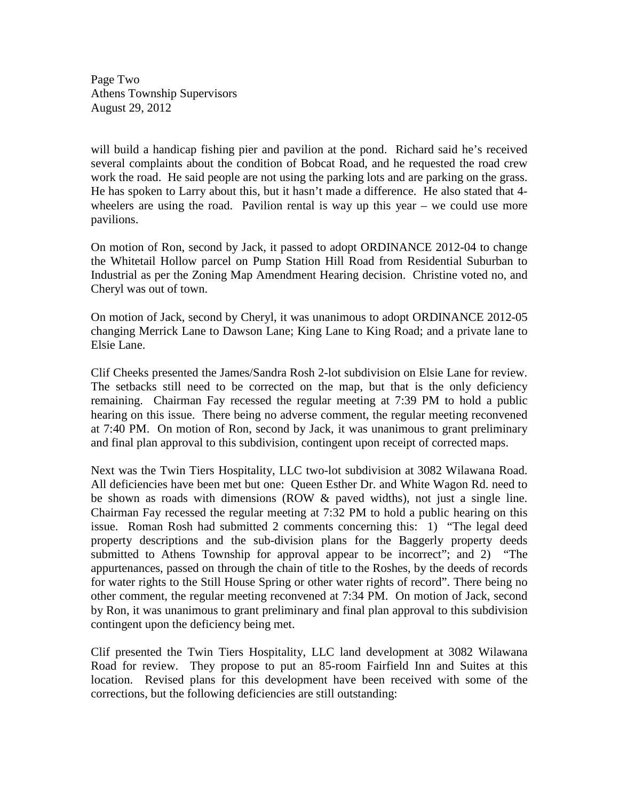Page Two Athens Township Supervisors August 29, 2012

will build a handicap fishing pier and pavilion at the pond. Richard said he's received several complaints about the condition of Bobcat Road, and he requested the road crew work the road. He said people are not using the parking lots and are parking on the grass. He has spoken to Larry about this, but it hasn't made a difference. He also stated that 4 wheelers are using the road. Pavilion rental is way up this year – we could use more pavilions.

On motion of Ron, second by Jack, it passed to adopt ORDINANCE 2012-04 to change the Whitetail Hollow parcel on Pump Station Hill Road from Residential Suburban to Industrial as per the Zoning Map Amendment Hearing decision. Christine voted no, and Cheryl was out of town.

On motion of Jack, second by Cheryl, it was unanimous to adopt ORDINANCE 2012-05 changing Merrick Lane to Dawson Lane; King Lane to King Road; and a private lane to Elsie Lane.

Clif Cheeks presented the James/Sandra Rosh 2-lot subdivision on Elsie Lane for review. The setbacks still need to be corrected on the map, but that is the only deficiency remaining. Chairman Fay recessed the regular meeting at 7:39 PM to hold a public hearing on this issue. There being no adverse comment, the regular meeting reconvened at 7:40 PM. On motion of Ron, second by Jack, it was unanimous to grant preliminary and final plan approval to this subdivision, contingent upon receipt of corrected maps.

Next was the Twin Tiers Hospitality, LLC two-lot subdivision at 3082 Wilawana Road. All deficiencies have been met but one: Queen Esther Dr. and White Wagon Rd. need to be shown as roads with dimensions (ROW & paved widths), not just a single line. Chairman Fay recessed the regular meeting at 7:32 PM to hold a public hearing on this issue. Roman Rosh had submitted 2 comments concerning this: 1) "The legal deed property descriptions and the sub-division plans for the Baggerly property deeds submitted to Athens Township for approval appear to be incorrect"; and 2) "The appurtenances, passed on through the chain of title to the Roshes, by the deeds of records for water rights to the Still House Spring or other water rights of record". There being no other comment, the regular meeting reconvened at 7:34 PM. On motion of Jack, second by Ron, it was unanimous to grant preliminary and final plan approval to this subdivision contingent upon the deficiency being met.

Clif presented the Twin Tiers Hospitality, LLC land development at 3082 Wilawana Road for review. They propose to put an 85-room Fairfield Inn and Suites at this location. Revised plans for this development have been received with some of the corrections, but the following deficiencies are still outstanding: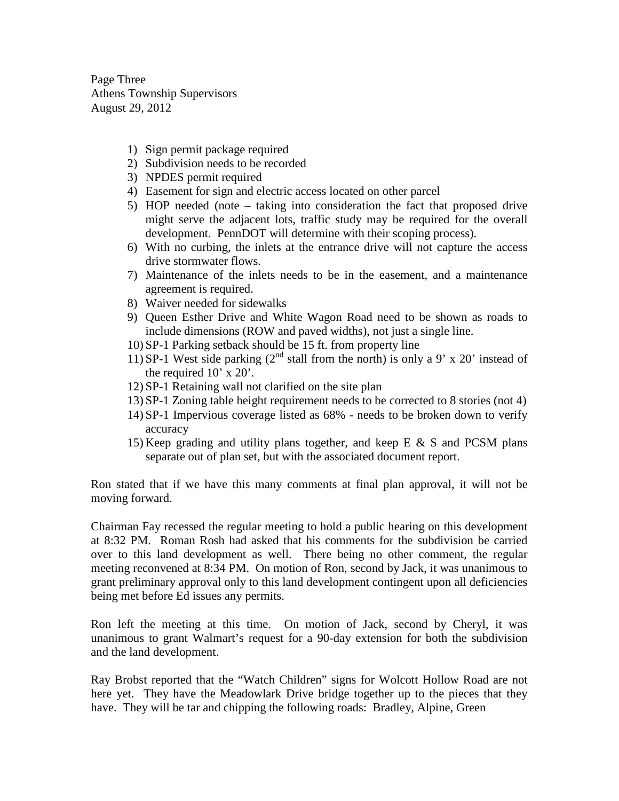Page Three Athens Township Supervisors August 29, 2012

- 1) Sign permit package required
- 2) Subdivision needs to be recorded
- 3) NPDES permit required
- 4) Easement for sign and electric access located on other parcel
- 5) HOP needed (note taking into consideration the fact that proposed drive might serve the adjacent lots, traffic study may be required for the overall development. PennDOT will determine with their scoping process).
- 6) With no curbing, the inlets at the entrance drive will not capture the access drive stormwater flows.
- 7) Maintenance of the inlets needs to be in the easement, and a maintenance agreement is required.
- 8) Waiver needed for sidewalks
- 9) Queen Esther Drive and White Wagon Road need to be shown as roads to include dimensions (ROW and paved widths), not just a single line.
- 10) SP-1 Parking setback should be 15 ft. from property line
- 11) SP-1 West side parking  $(2^{nd}$  stall from the north) is only a 9' x 20' instead of the required 10' x 20'.
- 12) SP-1 Retaining wall not clarified on the site plan
- 13) SP-1 Zoning table height requirement needs to be corrected to 8 stories (not 4)
- 14) SP-1 Impervious coverage listed as 68% needs to be broken down to verify accuracy
- 15) Keep grading and utility plans together, and keep E & S and PCSM plans separate out of plan set, but with the associated document report.

Ron stated that if we have this many comments at final plan approval, it will not be moving forward.

Chairman Fay recessed the regular meeting to hold a public hearing on this development at 8:32 PM. Roman Rosh had asked that his comments for the subdivision be carried over to this land development as well. There being no other comment, the regular meeting reconvened at 8:34 PM. On motion of Ron, second by Jack, it was unanimous to grant preliminary approval only to this land development contingent upon all deficiencies being met before Ed issues any permits.

Ron left the meeting at this time. On motion of Jack, second by Cheryl, it was unanimous to grant Walmart's request for a 90-day extension for both the subdivision and the land development.

Ray Brobst reported that the "Watch Children" signs for Wolcott Hollow Road are not here yet. They have the Meadowlark Drive bridge together up to the pieces that they have. They will be tar and chipping the following roads: Bradley, Alpine, Green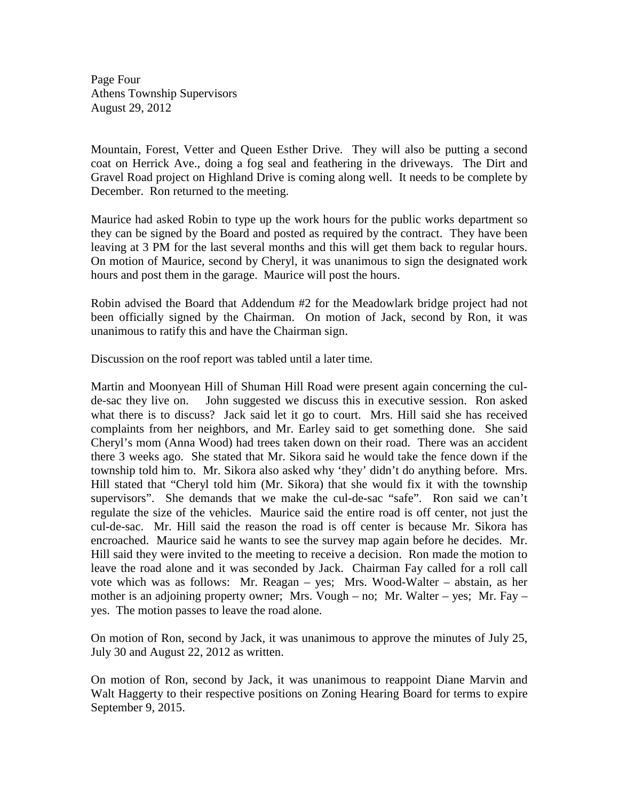Page Four Athens Township Supervisors August 29, 2012

Mountain, Forest, Vetter and Queen Esther Drive. They will also be putting a second coat on Herrick Ave., doing a fog seal and feathering in the driveways. The Dirt and Gravel Road project on Highland Drive is coming along well. It needs to be complete by December. Ron returned to the meeting.

Maurice had asked Robin to type up the work hours for the public works department so they can be signed by the Board and posted as required by the contract. They have been leaving at 3 PM for the last several months and this will get them back to regular hours. On motion of Maurice, second by Cheryl, it was unanimous to sign the designated work hours and post them in the garage. Maurice will post the hours.

Robin advised the Board that Addendum #2 for the Meadowlark bridge project had not been officially signed by the Chairman. On motion of Jack, second by Ron, it was unanimous to ratify this and have the Chairman sign.

Discussion on the roof report was tabled until a later time.

Martin and Moonyean Hill of Shuman Hill Road were present again concerning the culde-sac they live on. John suggested we discuss this in executive session. Ron asked what there is to discuss? Jack said let it go to court. Mrs. Hill said she has received complaints from her neighbors, and Mr. Earley said to get something done. She said Cheryl's mom (Anna Wood) had trees taken down on their road. There was an accident there 3 weeks ago. She stated that Mr. Sikora said he would take the fence down if the township told him to. Mr. Sikora also asked why 'they' didn't do anything before. Mrs. Hill stated that "Cheryl told him (Mr. Sikora) that she would fix it with the township supervisors". She demands that we make the cul-de-sac "safe". Ron said we can't regulate the size of the vehicles. Maurice said the entire road is off center, not just the cul-de-sac. Mr. Hill said the reason the road is off center is because Mr. Sikora has encroached. Maurice said he wants to see the survey map again before he decides. Mr. Hill said they were invited to the meeting to receive a decision. Ron made the motion to leave the road alone and it was seconded by Jack. Chairman Fay called for a roll call vote which was as follows: Mr. Reagan – yes; Mrs. Wood-Walter – abstain, as her mother is an adjoining property owner; Mrs. Vough – no; Mr. Walter – yes; Mr. Fay – yes. The motion passes to leave the road alone.

On motion of Ron, second by Jack, it was unanimous to approve the minutes of July 25, July 30 and August 22, 2012 as written.

On motion of Ron, second by Jack, it was unanimous to reappoint Diane Marvin and Walt Haggerty to their respective positions on Zoning Hearing Board for terms to expire September 9, 2015.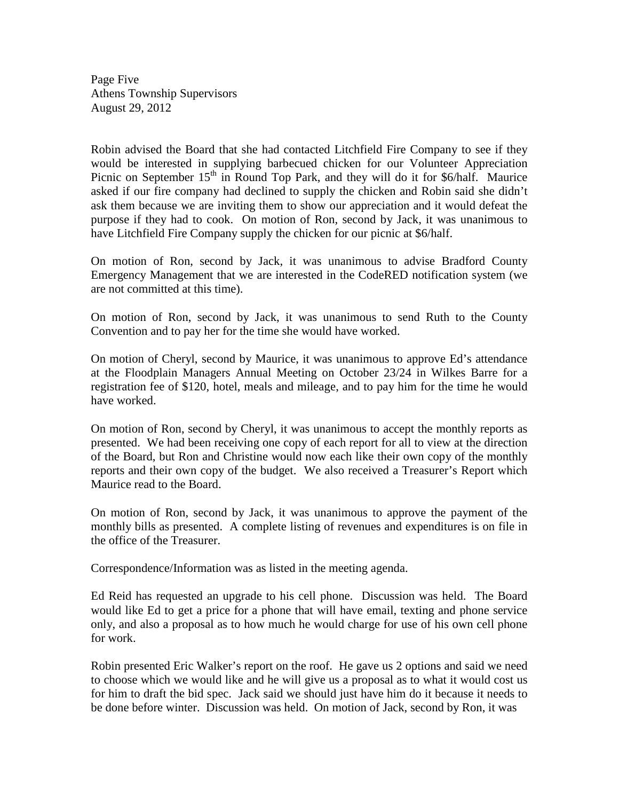Page Five Athens Township Supervisors August 29, 2012

Robin advised the Board that she had contacted Litchfield Fire Company to see if they would be interested in supplying barbecued chicken for our Volunteer Appreciation Picnic on September 15<sup>th</sup> in Round Top Park, and they will do it for \$6/half. Maurice asked if our fire company had declined to supply the chicken and Robin said she didn't ask them because we are inviting them to show our appreciation and it would defeat the purpose if they had to cook. On motion of Ron, second by Jack, it was unanimous to have Litchfield Fire Company supply the chicken for our picnic at \$6/half.

On motion of Ron, second by Jack, it was unanimous to advise Bradford County Emergency Management that we are interested in the CodeRED notification system (we are not committed at this time).

On motion of Ron, second by Jack, it was unanimous to send Ruth to the County Convention and to pay her for the time she would have worked.

On motion of Cheryl, second by Maurice, it was unanimous to approve Ed's attendance at the Floodplain Managers Annual Meeting on October 23/24 in Wilkes Barre for a registration fee of \$120, hotel, meals and mileage, and to pay him for the time he would have worked.

On motion of Ron, second by Cheryl, it was unanimous to accept the monthly reports as presented. We had been receiving one copy of each report for all to view at the direction of the Board, but Ron and Christine would now each like their own copy of the monthly reports and their own copy of the budget. We also received a Treasurer's Report which Maurice read to the Board.

On motion of Ron, second by Jack, it was unanimous to approve the payment of the monthly bills as presented. A complete listing of revenues and expenditures is on file in the office of the Treasurer.

Correspondence/Information was as listed in the meeting agenda.

Ed Reid has requested an upgrade to his cell phone. Discussion was held. The Board would like Ed to get a price for a phone that will have email, texting and phone service only, and also a proposal as to how much he would charge for use of his own cell phone for work.

Robin presented Eric Walker's report on the roof. He gave us 2 options and said we need to choose which we would like and he will give us a proposal as to what it would cost us for him to draft the bid spec. Jack said we should just have him do it because it needs to be done before winter. Discussion was held. On motion of Jack, second by Ron, it was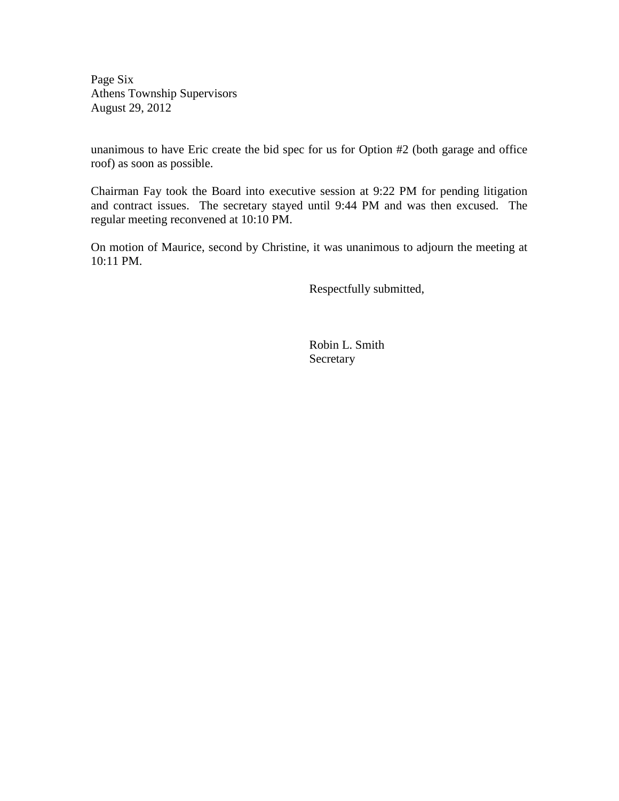Page Six Athens Township Supervisors August 29, 2012

unanimous to have Eric create the bid spec for us for Option #2 (both garage and office roof) as soon as possible.

Chairman Fay took the Board into executive session at 9:22 PM for pending litigation and contract issues. The secretary stayed until 9:44 PM and was then excused. The regular meeting reconvened at 10:10 PM.

On motion of Maurice, second by Christine, it was unanimous to adjourn the meeting at 10:11 PM.

Respectfully submitted,

 Robin L. Smith **Secretary**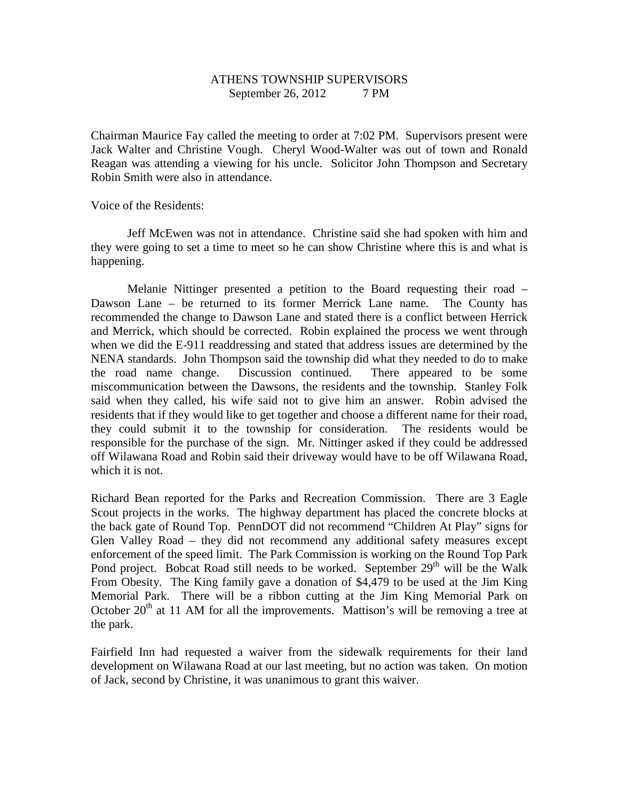# ATHENS TOWNSHIP SUPERVISORS September 26, 2012 7 PM

Chairman Maurice Fay called the meeting to order at 7:02 PM. Supervisors present were Jack Walter and Christine Vough. Cheryl Wood-Walter was out of town and Ronald Reagan was attending a viewing for his uncle. Solicitor John Thompson and Secretary Robin Smith were also in attendance.

Voice of the Residents:

 Jeff McEwen was not in attendance. Christine said she had spoken with him and they were going to set a time to meet so he can show Christine where this is and what is happening.

 Melanie Nittinger presented a petition to the Board requesting their road – Dawson Lane – be returned to its former Merrick Lane name. The County has recommended the change to Dawson Lane and stated there is a conflict between Herrick and Merrick, which should be corrected. Robin explained the process we went through when we did the E-911 readdressing and stated that address issues are determined by the NENA standards. John Thompson said the township did what they needed to do to make the road name change. Discussion continued. There appeared to be some miscommunication between the Dawsons, the residents and the township. Stanley Folk said when they called, his wife said not to give him an answer. Robin advised the residents that if they would like to get together and choose a different name for their road, they could submit it to the township for consideration. The residents would be responsible for the purchase of the sign. Mr. Nittinger asked if they could be addressed off Wilawana Road and Robin said their driveway would have to be off Wilawana Road, which it is not.

Richard Bean reported for the Parks and Recreation Commission. There are 3 Eagle Scout projects in the works. The highway department has placed the concrete blocks at the back gate of Round Top. PennDOT did not recommend "Children At Play" signs for Glen Valley Road – they did not recommend any additional safety measures except enforcement of the speed limit. The Park Commission is working on the Round Top Park Pond project. Bobcat Road still needs to be worked. September  $29<sup>th</sup>$  will be the Walk From Obesity. The King family gave a donation of \$4,479 to be used at the Jim King Memorial Park. There will be a ribbon cutting at the Jim King Memorial Park on October  $20<sup>th</sup>$  at 11 AM for all the improvements. Mattison's will be removing a tree at the park.

Fairfield Inn had requested a waiver from the sidewalk requirements for their land development on Wilawana Road at our last meeting, but no action was taken. On motion of Jack, second by Christine, it was unanimous to grant this waiver.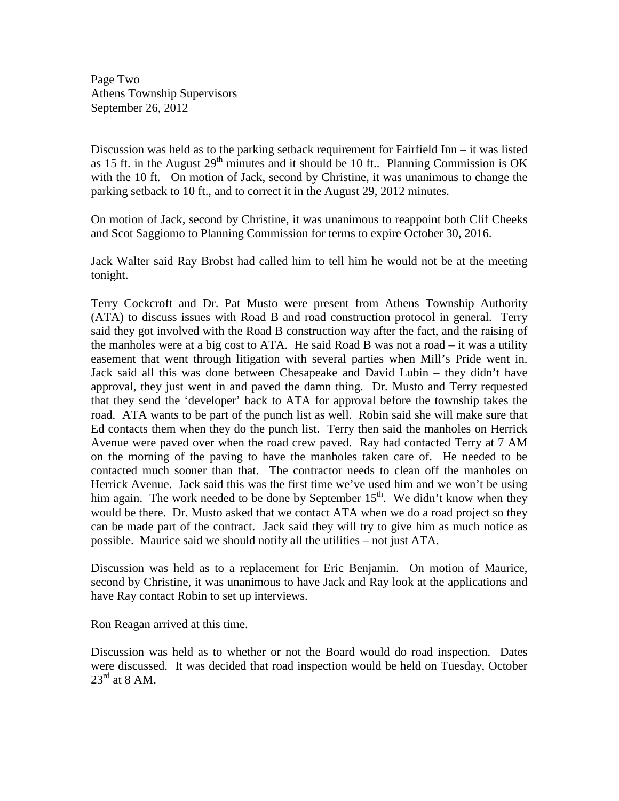Page Two Athens Township Supervisors September 26, 2012

Discussion was held as to the parking setback requirement for Fairfield Inn – it was listed as 15 ft. in the August  $29<sup>th</sup>$  minutes and it should be 10 ft.. Planning Commission is OK with the 10 ft. On motion of Jack, second by Christine, it was unanimous to change the parking setback to 10 ft., and to correct it in the August 29, 2012 minutes.

On motion of Jack, second by Christine, it was unanimous to reappoint both Clif Cheeks and Scot Saggiomo to Planning Commission for terms to expire October 30, 2016.

Jack Walter said Ray Brobst had called him to tell him he would not be at the meeting tonight.

Terry Cockcroft and Dr. Pat Musto were present from Athens Township Authority (ATA) to discuss issues with Road B and road construction protocol in general. Terry said they got involved with the Road B construction way after the fact, and the raising of the manholes were at a big cost to ATA. He said Road B was not a road – it was a utility easement that went through litigation with several parties when Mill's Pride went in. Jack said all this was done between Chesapeake and David Lubin – they didn't have approval, they just went in and paved the damn thing. Dr. Musto and Terry requested that they send the 'developer' back to ATA for approval before the township takes the road. ATA wants to be part of the punch list as well. Robin said she will make sure that Ed contacts them when they do the punch list. Terry then said the manholes on Herrick Avenue were paved over when the road crew paved. Ray had contacted Terry at 7 AM on the morning of the paving to have the manholes taken care of. He needed to be contacted much sooner than that. The contractor needs to clean off the manholes on Herrick Avenue. Jack said this was the first time we've used him and we won't be using him again. The work needed to be done by September  $15<sup>th</sup>$ . We didn't know when they would be there. Dr. Musto asked that we contact ATA when we do a road project so they can be made part of the contract. Jack said they will try to give him as much notice as possible. Maurice said we should notify all the utilities – not just ATA.

Discussion was held as to a replacement for Eric Benjamin. On motion of Maurice, second by Christine, it was unanimous to have Jack and Ray look at the applications and have Ray contact Robin to set up interviews.

Ron Reagan arrived at this time.

Discussion was held as to whether or not the Board would do road inspection. Dates were discussed. It was decided that road inspection would be held on Tuesday, October  $23^{\text{rd}}$  at 8 AM.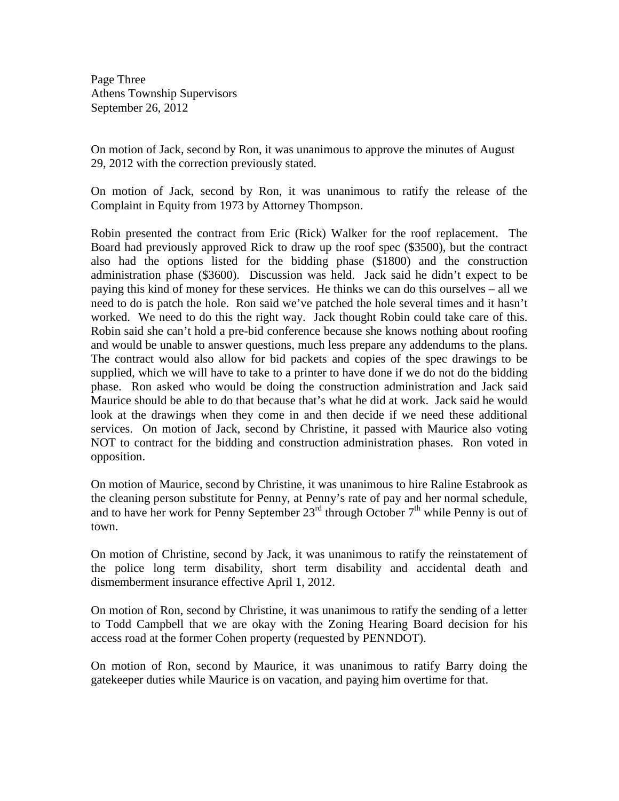Page Three Athens Township Supervisors September 26, 2012

On motion of Jack, second by Ron, it was unanimous to approve the minutes of August 29, 2012 with the correction previously stated.

On motion of Jack, second by Ron, it was unanimous to ratify the release of the Complaint in Equity from 1973 by Attorney Thompson.

Robin presented the contract from Eric (Rick) Walker for the roof replacement. The Board had previously approved Rick to draw up the roof spec (\$3500), but the contract also had the options listed for the bidding phase (\$1800) and the construction administration phase (\$3600). Discussion was held. Jack said he didn't expect to be paying this kind of money for these services. He thinks we can do this ourselves – all we need to do is patch the hole. Ron said we've patched the hole several times and it hasn't worked. We need to do this the right way. Jack thought Robin could take care of this. Robin said she can't hold a pre-bid conference because she knows nothing about roofing and would be unable to answer questions, much less prepare any addendums to the plans. The contract would also allow for bid packets and copies of the spec drawings to be supplied, which we will have to take to a printer to have done if we do not do the bidding phase. Ron asked who would be doing the construction administration and Jack said Maurice should be able to do that because that's what he did at work. Jack said he would look at the drawings when they come in and then decide if we need these additional services. On motion of Jack, second by Christine, it passed with Maurice also voting NOT to contract for the bidding and construction administration phases. Ron voted in opposition.

On motion of Maurice, second by Christine, it was unanimous to hire Raline Estabrook as the cleaning person substitute for Penny, at Penny's rate of pay and her normal schedule, and to have her work for Penny September 23<sup>rd</sup> through October 7<sup>th</sup> while Penny is out of town.

On motion of Christine, second by Jack, it was unanimous to ratify the reinstatement of the police long term disability, short term disability and accidental death and dismemberment insurance effective April 1, 2012.

On motion of Ron, second by Christine, it was unanimous to ratify the sending of a letter to Todd Campbell that we are okay with the Zoning Hearing Board decision for his access road at the former Cohen property (requested by PENNDOT).

On motion of Ron, second by Maurice, it was unanimous to ratify Barry doing the gatekeeper duties while Maurice is on vacation, and paying him overtime for that.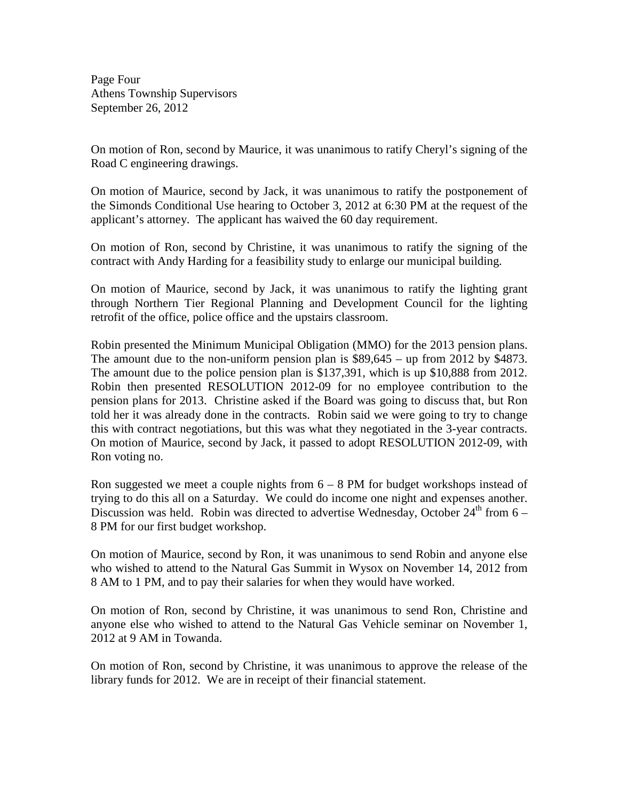Page Four Athens Township Supervisors September 26, 2012

On motion of Ron, second by Maurice, it was unanimous to ratify Cheryl's signing of the Road C engineering drawings.

On motion of Maurice, second by Jack, it was unanimous to ratify the postponement of the Simonds Conditional Use hearing to October 3, 2012 at 6:30 PM at the request of the applicant's attorney. The applicant has waived the 60 day requirement.

On motion of Ron, second by Christine, it was unanimous to ratify the signing of the contract with Andy Harding for a feasibility study to enlarge our municipal building.

On motion of Maurice, second by Jack, it was unanimous to ratify the lighting grant through Northern Tier Regional Planning and Development Council for the lighting retrofit of the office, police office and the upstairs classroom.

Robin presented the Minimum Municipal Obligation (MMO) for the 2013 pension plans. The amount due to the non-uniform pension plan is \$89,645 – up from 2012 by \$4873. The amount due to the police pension plan is \$137,391, which is up \$10,888 from 2012. Robin then presented RESOLUTION 2012-09 for no employee contribution to the pension plans for 2013. Christine asked if the Board was going to discuss that, but Ron told her it was already done in the contracts. Robin said we were going to try to change this with contract negotiations, but this was what they negotiated in the 3-year contracts. On motion of Maurice, second by Jack, it passed to adopt RESOLUTION 2012-09, with Ron voting no.

Ron suggested we meet a couple nights from  $6 - 8$  PM for budget workshops instead of trying to do this all on a Saturday. We could do income one night and expenses another. Discussion was held. Robin was directed to advertise Wednesday, October  $24<sup>th</sup>$  from 6 – 8 PM for our first budget workshop.

On motion of Maurice, second by Ron, it was unanimous to send Robin and anyone else who wished to attend to the Natural Gas Summit in Wysox on November 14, 2012 from 8 AM to 1 PM, and to pay their salaries for when they would have worked.

On motion of Ron, second by Christine, it was unanimous to send Ron, Christine and anyone else who wished to attend to the Natural Gas Vehicle seminar on November 1, 2012 at 9 AM in Towanda.

On motion of Ron, second by Christine, it was unanimous to approve the release of the library funds for 2012. We are in receipt of their financial statement.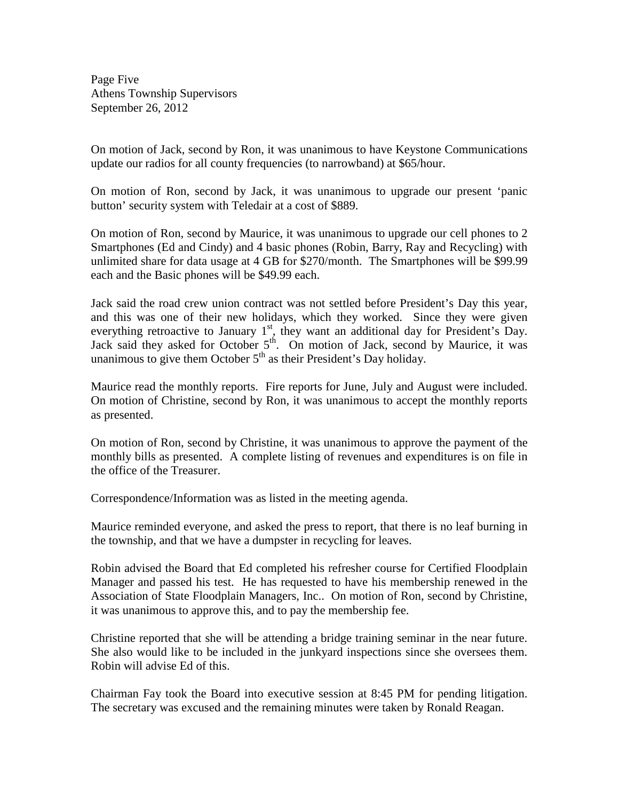Page Five Athens Township Supervisors September 26, 2012

On motion of Jack, second by Ron, it was unanimous to have Keystone Communications update our radios for all county frequencies (to narrowband) at \$65/hour.

On motion of Ron, second by Jack, it was unanimous to upgrade our present 'panic button' security system with Teledair at a cost of \$889.

On motion of Ron, second by Maurice, it was unanimous to upgrade our cell phones to 2 Smartphones (Ed and Cindy) and 4 basic phones (Robin, Barry, Ray and Recycling) with unlimited share for data usage at 4 GB for \$270/month. The Smartphones will be \$99.99 each and the Basic phones will be \$49.99 each.

Jack said the road crew union contract was not settled before President's Day this year, and this was one of their new holidays, which they worked. Since they were given everything retroactive to January  $1<sup>st</sup>$ , they want an additional day for President's Day. Jack said they asked for October 5<sup>th</sup>. On motion of Jack, second by Maurice, it was unanimous to give them October  $5<sup>th</sup>$  as their President's Day holiday.

Maurice read the monthly reports. Fire reports for June, July and August were included. On motion of Christine, second by Ron, it was unanimous to accept the monthly reports as presented.

On motion of Ron, second by Christine, it was unanimous to approve the payment of the monthly bills as presented. A complete listing of revenues and expenditures is on file in the office of the Treasurer.

Correspondence/Information was as listed in the meeting agenda.

Maurice reminded everyone, and asked the press to report, that there is no leaf burning in the township, and that we have a dumpster in recycling for leaves.

Robin advised the Board that Ed completed his refresher course for Certified Floodplain Manager and passed his test. He has requested to have his membership renewed in the Association of State Floodplain Managers, Inc.. On motion of Ron, second by Christine, it was unanimous to approve this, and to pay the membership fee.

Christine reported that she will be attending a bridge training seminar in the near future. She also would like to be included in the junkyard inspections since she oversees them. Robin will advise Ed of this.

Chairman Fay took the Board into executive session at 8:45 PM for pending litigation. The secretary was excused and the remaining minutes were taken by Ronald Reagan.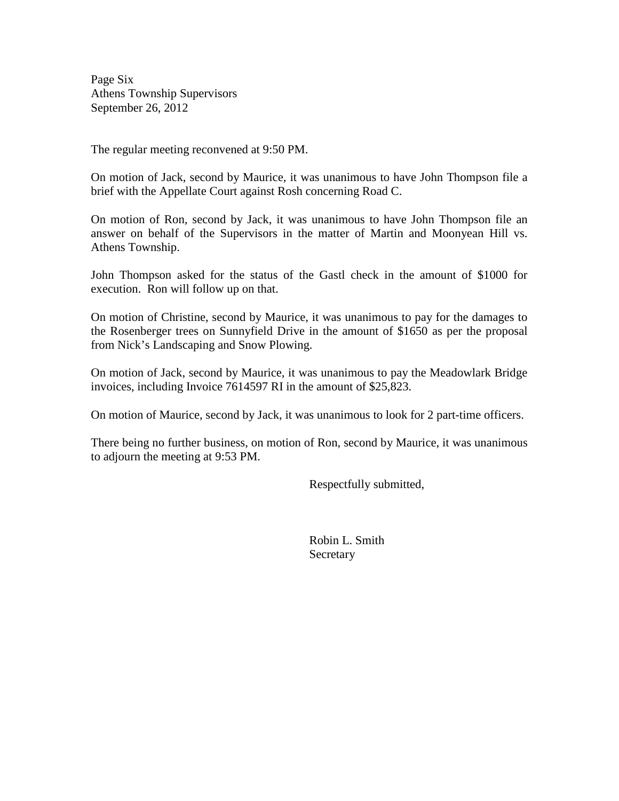Page Six Athens Township Supervisors September 26, 2012

The regular meeting reconvened at 9:50 PM.

On motion of Jack, second by Maurice, it was unanimous to have John Thompson file a brief with the Appellate Court against Rosh concerning Road C.

On motion of Ron, second by Jack, it was unanimous to have John Thompson file an answer on behalf of the Supervisors in the matter of Martin and Moonyean Hill vs. Athens Township.

John Thompson asked for the status of the Gastl check in the amount of \$1000 for execution. Ron will follow up on that.

On motion of Christine, second by Maurice, it was unanimous to pay for the damages to the Rosenberger trees on Sunnyfield Drive in the amount of \$1650 as per the proposal from Nick's Landscaping and Snow Plowing.

On motion of Jack, second by Maurice, it was unanimous to pay the Meadowlark Bridge invoices, including Invoice 7614597 RI in the amount of \$25,823.

On motion of Maurice, second by Jack, it was unanimous to look for 2 part-time officers.

There being no further business, on motion of Ron, second by Maurice, it was unanimous to adjourn the meeting at 9:53 PM.

Respectfully submitted,

 Robin L. Smith Secretary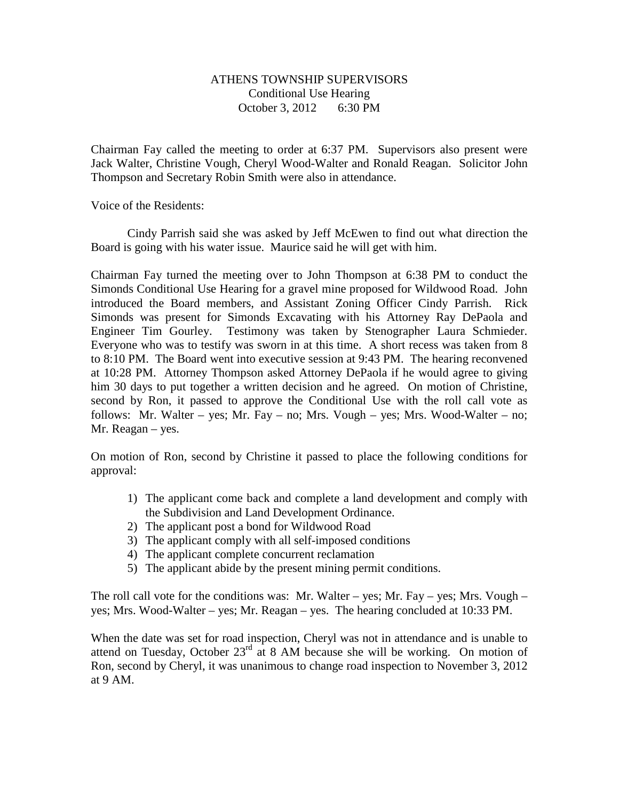### ATHENS TOWNSHIP SUPERVISORS Conditional Use Hearing October 3, 2012 6:30 PM

Chairman Fay called the meeting to order at 6:37 PM. Supervisors also present were Jack Walter, Christine Vough, Cheryl Wood-Walter and Ronald Reagan. Solicitor John Thompson and Secretary Robin Smith were also in attendance.

Voice of the Residents:

 Cindy Parrish said she was asked by Jeff McEwen to find out what direction the Board is going with his water issue. Maurice said he will get with him.

Chairman Fay turned the meeting over to John Thompson at 6:38 PM to conduct the Simonds Conditional Use Hearing for a gravel mine proposed for Wildwood Road. John introduced the Board members, and Assistant Zoning Officer Cindy Parrish. Rick Simonds was present for Simonds Excavating with his Attorney Ray DePaola and Engineer Tim Gourley. Testimony was taken by Stenographer Laura Schmieder. Everyone who was to testify was sworn in at this time. A short recess was taken from 8 to 8:10 PM. The Board went into executive session at 9:43 PM. The hearing reconvened at 10:28 PM. Attorney Thompson asked Attorney DePaola if he would agree to giving him 30 days to put together a written decision and he agreed. On motion of Christine, second by Ron, it passed to approve the Conditional Use with the roll call vote as follows: Mr. Walter – yes; Mr. Fay – no; Mrs. Vough – yes; Mrs. Wood-Walter – no; Mr. Reagan – yes.

On motion of Ron, second by Christine it passed to place the following conditions for approval:

- 1) The applicant come back and complete a land development and comply with the Subdivision and Land Development Ordinance.
- 2) The applicant post a bond for Wildwood Road
- 3) The applicant comply with all self-imposed conditions
- 4) The applicant complete concurrent reclamation
- 5) The applicant abide by the present mining permit conditions.

The roll call vote for the conditions was: Mr. Walter – yes; Mr. Fay – yes; Mrs. Vough – yes; Mrs. Wood-Walter – yes; Mr. Reagan – yes. The hearing concluded at 10:33 PM.

When the date was set for road inspection, Cheryl was not in attendance and is unable to attend on Tuesday, October  $23<sup>rd</sup>$  at 8 AM because she will be working. On motion of Ron, second by Cheryl, it was unanimous to change road inspection to November 3, 2012 at 9 AM.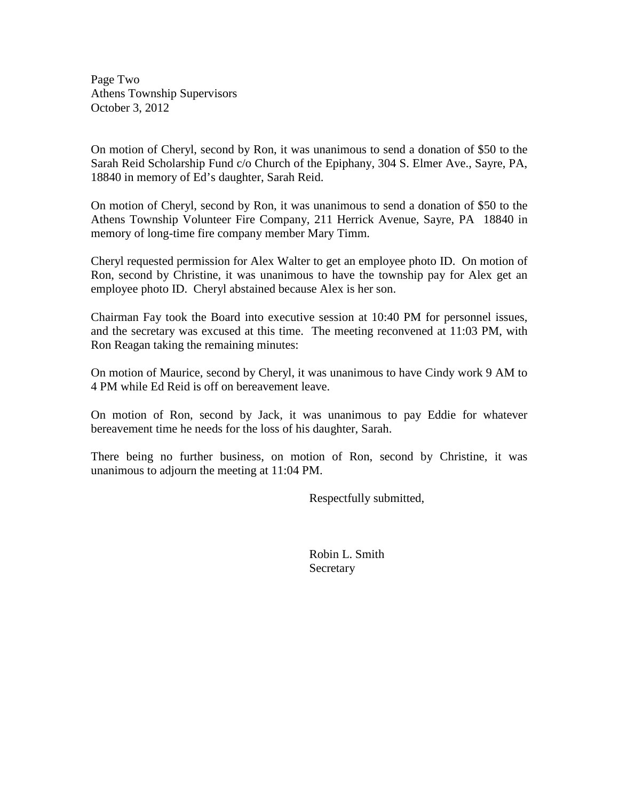Page Two Athens Township Supervisors October 3, 2012

On motion of Cheryl, second by Ron, it was unanimous to send a donation of \$50 to the Sarah Reid Scholarship Fund c/o Church of the Epiphany, 304 S. Elmer Ave., Sayre, PA, 18840 in memory of Ed's daughter, Sarah Reid.

On motion of Cheryl, second by Ron, it was unanimous to send a donation of \$50 to the Athens Township Volunteer Fire Company, 211 Herrick Avenue, Sayre, PA 18840 in memory of long-time fire company member Mary Timm.

Cheryl requested permission for Alex Walter to get an employee photo ID. On motion of Ron, second by Christine, it was unanimous to have the township pay for Alex get an employee photo ID. Cheryl abstained because Alex is her son.

Chairman Fay took the Board into executive session at 10:40 PM for personnel issues, and the secretary was excused at this time. The meeting reconvened at 11:03 PM, with Ron Reagan taking the remaining minutes:

On motion of Maurice, second by Cheryl, it was unanimous to have Cindy work 9 AM to 4 PM while Ed Reid is off on bereavement leave.

On motion of Ron, second by Jack, it was unanimous to pay Eddie for whatever bereavement time he needs for the loss of his daughter, Sarah.

There being no further business, on motion of Ron, second by Christine, it was unanimous to adjourn the meeting at 11:04 PM.

Respectfully submitted,

 Robin L. Smith **Secretary**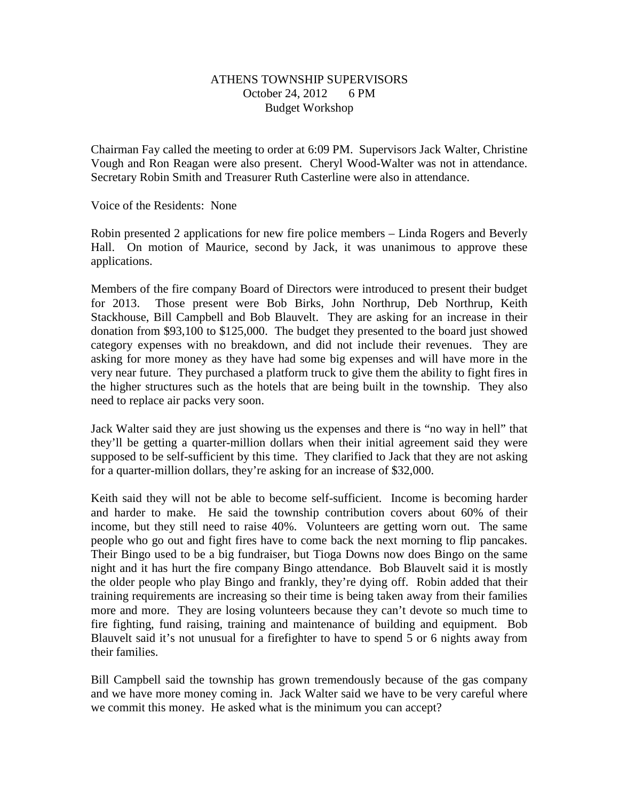### ATHENS TOWNSHIP SUPERVISORS October 24, 2012 6 PM Budget Workshop

Chairman Fay called the meeting to order at 6:09 PM. Supervisors Jack Walter, Christine Vough and Ron Reagan were also present. Cheryl Wood-Walter was not in attendance. Secretary Robin Smith and Treasurer Ruth Casterline were also in attendance.

Voice of the Residents: None

Robin presented 2 applications for new fire police members – Linda Rogers and Beverly Hall. On motion of Maurice, second by Jack, it was unanimous to approve these applications.

Members of the fire company Board of Directors were introduced to present their budget for 2013. Those present were Bob Birks, John Northrup, Deb Northrup, Keith Stackhouse, Bill Campbell and Bob Blauvelt. They are asking for an increase in their donation from \$93,100 to \$125,000. The budget they presented to the board just showed category expenses with no breakdown, and did not include their revenues. They are asking for more money as they have had some big expenses and will have more in the very near future. They purchased a platform truck to give them the ability to fight fires in the higher structures such as the hotels that are being built in the township. They also need to replace air packs very soon.

Jack Walter said they are just showing us the expenses and there is "no way in hell" that they'll be getting a quarter-million dollars when their initial agreement said they were supposed to be self-sufficient by this time. They clarified to Jack that they are not asking for a quarter-million dollars, they're asking for an increase of \$32,000.

Keith said they will not be able to become self-sufficient. Income is becoming harder and harder to make. He said the township contribution covers about 60% of their income, but they still need to raise 40%. Volunteers are getting worn out. The same people who go out and fight fires have to come back the next morning to flip pancakes. Their Bingo used to be a big fundraiser, but Tioga Downs now does Bingo on the same night and it has hurt the fire company Bingo attendance. Bob Blauvelt said it is mostly the older people who play Bingo and frankly, they're dying off. Robin added that their training requirements are increasing so their time is being taken away from their families more and more. They are losing volunteers because they can't devote so much time to fire fighting, fund raising, training and maintenance of building and equipment. Bob Blauvelt said it's not unusual for a firefighter to have to spend 5 or 6 nights away from their families.

Bill Campbell said the township has grown tremendously because of the gas company and we have more money coming in. Jack Walter said we have to be very careful where we commit this money. He asked what is the minimum you can accept?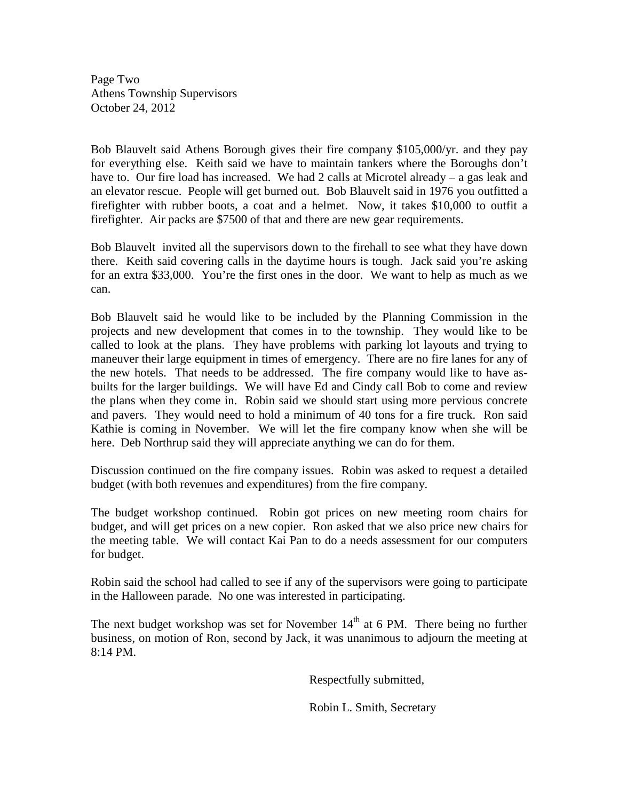Page Two Athens Township Supervisors October 24, 2012

Bob Blauvelt said Athens Borough gives their fire company \$105,000/yr. and they pay for everything else. Keith said we have to maintain tankers where the Boroughs don't have to. Our fire load has increased. We had 2 calls at Microtel already – a gas leak and an elevator rescue. People will get burned out. Bob Blauvelt said in 1976 you outfitted a firefighter with rubber boots, a coat and a helmet. Now, it takes \$10,000 to outfit a firefighter. Air packs are \$7500 of that and there are new gear requirements.

Bob Blauvelt invited all the supervisors down to the firehall to see what they have down there. Keith said covering calls in the daytime hours is tough. Jack said you're asking for an extra \$33,000. You're the first ones in the door. We want to help as much as we can.

Bob Blauvelt said he would like to be included by the Planning Commission in the projects and new development that comes in to the township. They would like to be called to look at the plans. They have problems with parking lot layouts and trying to maneuver their large equipment in times of emergency. There are no fire lanes for any of the new hotels. That needs to be addressed. The fire company would like to have asbuilts for the larger buildings. We will have Ed and Cindy call Bob to come and review the plans when they come in. Robin said we should start using more pervious concrete and pavers. They would need to hold a minimum of 40 tons for a fire truck. Ron said Kathie is coming in November. We will let the fire company know when she will be here. Deb Northrup said they will appreciate anything we can do for them.

Discussion continued on the fire company issues. Robin was asked to request a detailed budget (with both revenues and expenditures) from the fire company.

The budget workshop continued. Robin got prices on new meeting room chairs for budget, and will get prices on a new copier. Ron asked that we also price new chairs for the meeting table. We will contact Kai Pan to do a needs assessment for our computers for budget.

Robin said the school had called to see if any of the supervisors were going to participate in the Halloween parade. No one was interested in participating.

The next budget workshop was set for November  $14<sup>th</sup>$  at 6 PM. There being no further business, on motion of Ron, second by Jack, it was unanimous to adjourn the meeting at 8:14 PM.

Respectfully submitted,

Robin L. Smith, Secretary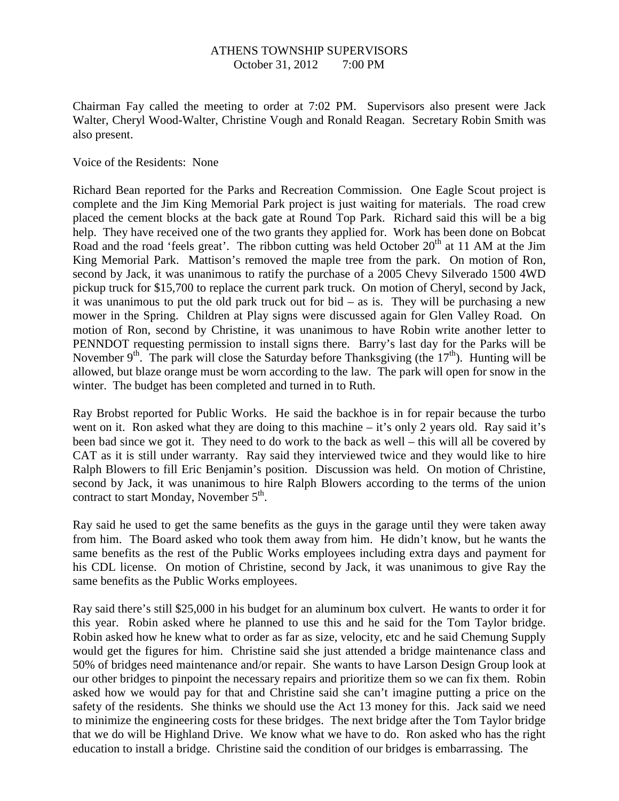#### ATHENS TOWNSHIP SUPERVISORS October 31, 2012 7:00 PM

Chairman Fay called the meeting to order at 7:02 PM. Supervisors also present were Jack Walter, Cheryl Wood-Walter, Christine Vough and Ronald Reagan. Secretary Robin Smith was also present.

Voice of the Residents: None

Richard Bean reported for the Parks and Recreation Commission. One Eagle Scout project is complete and the Jim King Memorial Park project is just waiting for materials. The road crew placed the cement blocks at the back gate at Round Top Park. Richard said this will be a big help. They have received one of the two grants they applied for. Work has been done on Bobcat Road and the road 'feels great'. The ribbon cutting was held October  $20<sup>th</sup>$  at 11 AM at the Jim King Memorial Park. Mattison's removed the maple tree from the park. On motion of Ron, second by Jack, it was unanimous to ratify the purchase of a 2005 Chevy Silverado 1500 4WD pickup truck for \$15,700 to replace the current park truck. On motion of Cheryl, second by Jack, it was unanimous to put the old park truck out for bid – as is. They will be purchasing a new mower in the Spring. Children at Play signs were discussed again for Glen Valley Road. On motion of Ron, second by Christine, it was unanimous to have Robin write another letter to PENNDOT requesting permission to install signs there. Barry's last day for the Parks will be November 9<sup>th</sup>. The park will close the Saturday before Thanksgiving (the  $17<sup>th</sup>$ ). Hunting will be allowed, but blaze orange must be worn according to the law. The park will open for snow in the winter. The budget has been completed and turned in to Ruth.

Ray Brobst reported for Public Works. He said the backhoe is in for repair because the turbo went on it. Ron asked what they are doing to this machine – it's only 2 years old. Ray said it's been bad since we got it. They need to do work to the back as well – this will all be covered by CAT as it is still under warranty. Ray said they interviewed twice and they would like to hire Ralph Blowers to fill Eric Benjamin's position. Discussion was held. On motion of Christine, second by Jack, it was unanimous to hire Ralph Blowers according to the terms of the union contract to start Monday, November  $5<sup>th</sup>$ .

Ray said he used to get the same benefits as the guys in the garage until they were taken away from him. The Board asked who took them away from him. He didn't know, but he wants the same benefits as the rest of the Public Works employees including extra days and payment for his CDL license. On motion of Christine, second by Jack, it was unanimous to give Ray the same benefits as the Public Works employees.

Ray said there's still \$25,000 in his budget for an aluminum box culvert. He wants to order it for this year. Robin asked where he planned to use this and he said for the Tom Taylor bridge. Robin asked how he knew what to order as far as size, velocity, etc and he said Chemung Supply would get the figures for him. Christine said she just attended a bridge maintenance class and 50% of bridges need maintenance and/or repair. She wants to have Larson Design Group look at our other bridges to pinpoint the necessary repairs and prioritize them so we can fix them. Robin asked how we would pay for that and Christine said she can't imagine putting a price on the safety of the residents. She thinks we should use the Act 13 money for this. Jack said we need to minimize the engineering costs for these bridges. The next bridge after the Tom Taylor bridge that we do will be Highland Drive. We know what we have to do. Ron asked who has the right education to install a bridge. Christine said the condition of our bridges is embarrassing. The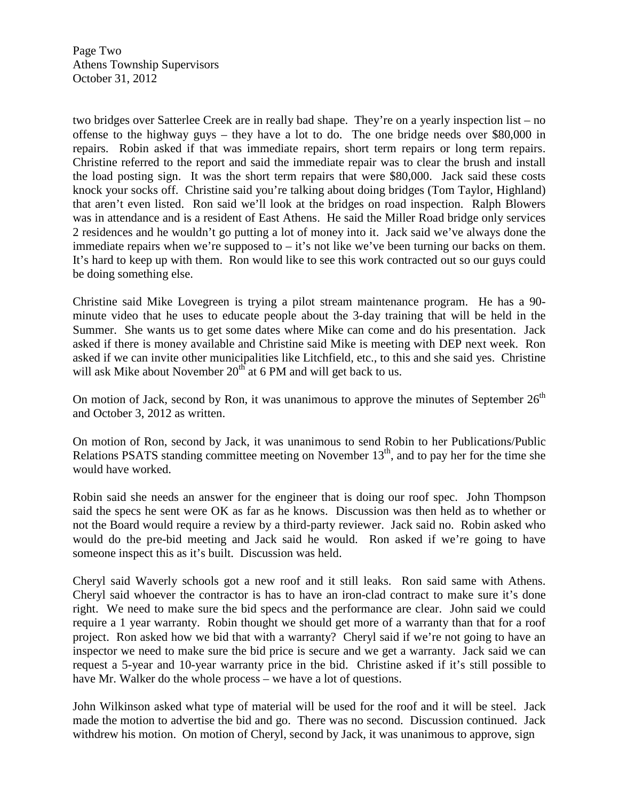Page Two Athens Township Supervisors October 31, 2012

two bridges over Satterlee Creek are in really bad shape. They're on a yearly inspection list – no offense to the highway guys – they have a lot to do. The one bridge needs over \$80,000 in repairs. Robin asked if that was immediate repairs, short term repairs or long term repairs. Christine referred to the report and said the immediate repair was to clear the brush and install the load posting sign. It was the short term repairs that were \$80,000. Jack said these costs knock your socks off. Christine said you're talking about doing bridges (Tom Taylor, Highland) that aren't even listed. Ron said we'll look at the bridges on road inspection. Ralph Blowers was in attendance and is a resident of East Athens. He said the Miller Road bridge only services 2 residences and he wouldn't go putting a lot of money into it. Jack said we've always done the immediate repairs when we're supposed to  $-$  it's not like we've been turning our backs on them. It's hard to keep up with them. Ron would like to see this work contracted out so our guys could be doing something else.

Christine said Mike Lovegreen is trying a pilot stream maintenance program. He has a 90 minute video that he uses to educate people about the 3-day training that will be held in the Summer. She wants us to get some dates where Mike can come and do his presentation. Jack asked if there is money available and Christine said Mike is meeting with DEP next week. Ron asked if we can invite other municipalities like Litchfield, etc., to this and she said yes. Christine will ask Mike about November  $20<sup>th</sup>$  at 6 PM and will get back to us.

On motion of Jack, second by Ron, it was unanimous to approve the minutes of September  $26<sup>th</sup>$ and October 3, 2012 as written.

On motion of Ron, second by Jack, it was unanimous to send Robin to her Publications/Public Relations PSATS standing committee meeting on November  $13<sup>th</sup>$ , and to pay her for the time she would have worked.

Robin said she needs an answer for the engineer that is doing our roof spec. John Thompson said the specs he sent were OK as far as he knows. Discussion was then held as to whether or not the Board would require a review by a third-party reviewer. Jack said no. Robin asked who would do the pre-bid meeting and Jack said he would. Ron asked if we're going to have someone inspect this as it's built. Discussion was held.

Cheryl said Waverly schools got a new roof and it still leaks. Ron said same with Athens. Cheryl said whoever the contractor is has to have an iron-clad contract to make sure it's done right. We need to make sure the bid specs and the performance are clear. John said we could require a 1 year warranty. Robin thought we should get more of a warranty than that for a roof project. Ron asked how we bid that with a warranty? Cheryl said if we're not going to have an inspector we need to make sure the bid price is secure and we get a warranty. Jack said we can request a 5-year and 10-year warranty price in the bid. Christine asked if it's still possible to have Mr. Walker do the whole process – we have a lot of questions.

John Wilkinson asked what type of material will be used for the roof and it will be steel. Jack made the motion to advertise the bid and go. There was no second. Discussion continued. Jack withdrew his motion. On motion of Cheryl, second by Jack, it was unanimous to approve, sign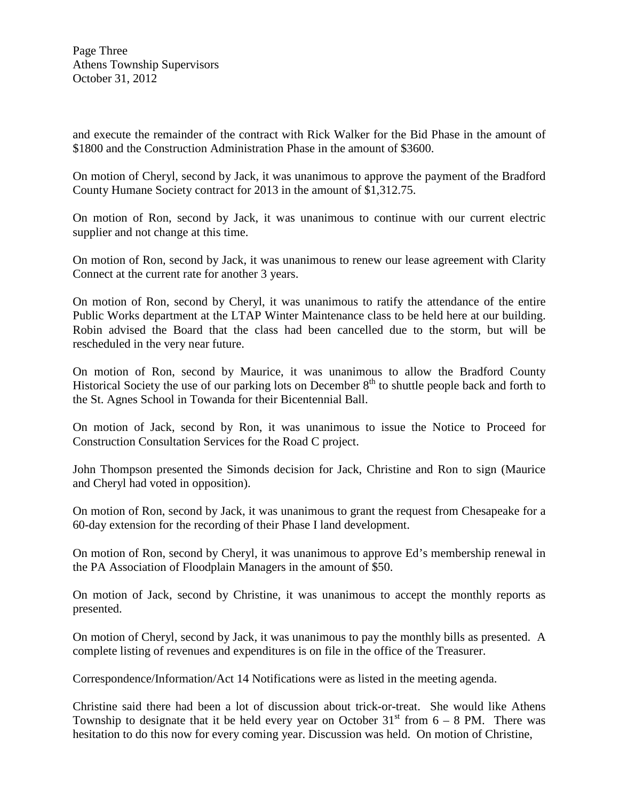Page Three Athens Township Supervisors October 31, 2012

and execute the remainder of the contract with Rick Walker for the Bid Phase in the amount of \$1800 and the Construction Administration Phase in the amount of \$3600.

On motion of Cheryl, second by Jack, it was unanimous to approve the payment of the Bradford County Humane Society contract for 2013 in the amount of \$1,312.75.

On motion of Ron, second by Jack, it was unanimous to continue with our current electric supplier and not change at this time.

On motion of Ron, second by Jack, it was unanimous to renew our lease agreement with Clarity Connect at the current rate for another 3 years.

On motion of Ron, second by Cheryl, it was unanimous to ratify the attendance of the entire Public Works department at the LTAP Winter Maintenance class to be held here at our building. Robin advised the Board that the class had been cancelled due to the storm, but will be rescheduled in the very near future.

On motion of Ron, second by Maurice, it was unanimous to allow the Bradford County Historical Society the use of our parking lots on December  $8<sup>th</sup>$  to shuttle people back and forth to the St. Agnes School in Towanda for their Bicentennial Ball.

On motion of Jack, second by Ron, it was unanimous to issue the Notice to Proceed for Construction Consultation Services for the Road C project.

John Thompson presented the Simonds decision for Jack, Christine and Ron to sign (Maurice and Cheryl had voted in opposition).

On motion of Ron, second by Jack, it was unanimous to grant the request from Chesapeake for a 60-day extension for the recording of their Phase I land development.

On motion of Ron, second by Cheryl, it was unanimous to approve Ed's membership renewal in the PA Association of Floodplain Managers in the amount of \$50.

On motion of Jack, second by Christine, it was unanimous to accept the monthly reports as presented.

On motion of Cheryl, second by Jack, it was unanimous to pay the monthly bills as presented. A complete listing of revenues and expenditures is on file in the office of the Treasurer.

Correspondence/Information/Act 14 Notifications were as listed in the meeting agenda.

Christine said there had been a lot of discussion about trick-or-treat. She would like Athens Township to designate that it be held every year on October  $31<sup>st</sup>$  from 6 – 8 PM. There was hesitation to do this now for every coming year. Discussion was held. On motion of Christine,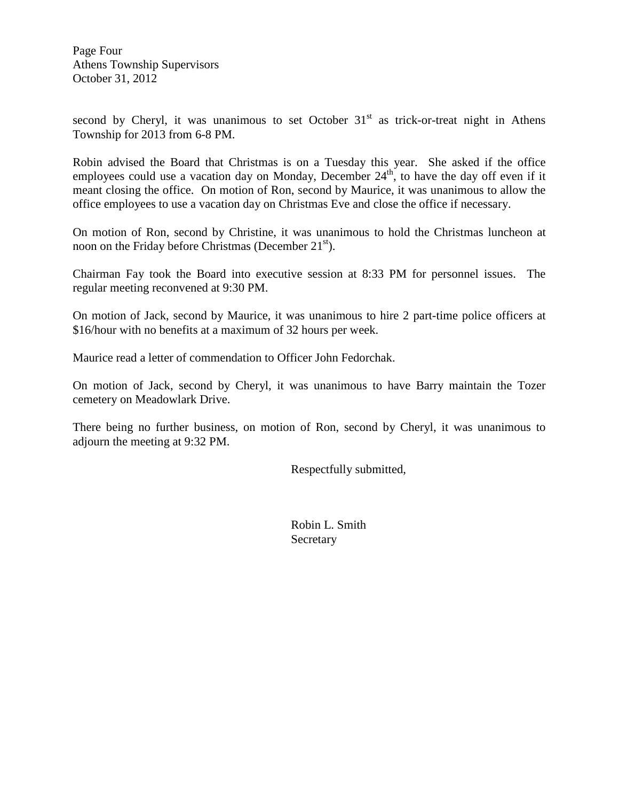Page Four Athens Township Supervisors October 31, 2012

second by Cheryl, it was unanimous to set October  $31<sup>st</sup>$  as trick-or-treat night in Athens Township for 2013 from 6-8 PM.

Robin advised the Board that Christmas is on a Tuesday this year. She asked if the office employees could use a vacation day on Monday, December  $24<sup>th</sup>$ , to have the day off even if it meant closing the office. On motion of Ron, second by Maurice, it was unanimous to allow the office employees to use a vacation day on Christmas Eve and close the office if necessary.

On motion of Ron, second by Christine, it was unanimous to hold the Christmas luncheon at noon on the Friday before Christmas (December  $21<sup>st</sup>$ ).

Chairman Fay took the Board into executive session at 8:33 PM for personnel issues. The regular meeting reconvened at 9:30 PM.

On motion of Jack, second by Maurice, it was unanimous to hire 2 part-time police officers at \$16/hour with no benefits at a maximum of 32 hours per week.

Maurice read a letter of commendation to Officer John Fedorchak.

On motion of Jack, second by Cheryl, it was unanimous to have Barry maintain the Tozer cemetery on Meadowlark Drive.

There being no further business, on motion of Ron, second by Cheryl, it was unanimous to adjourn the meeting at 9:32 PM.

Respectfully submitted,

 Robin L. Smith Secretary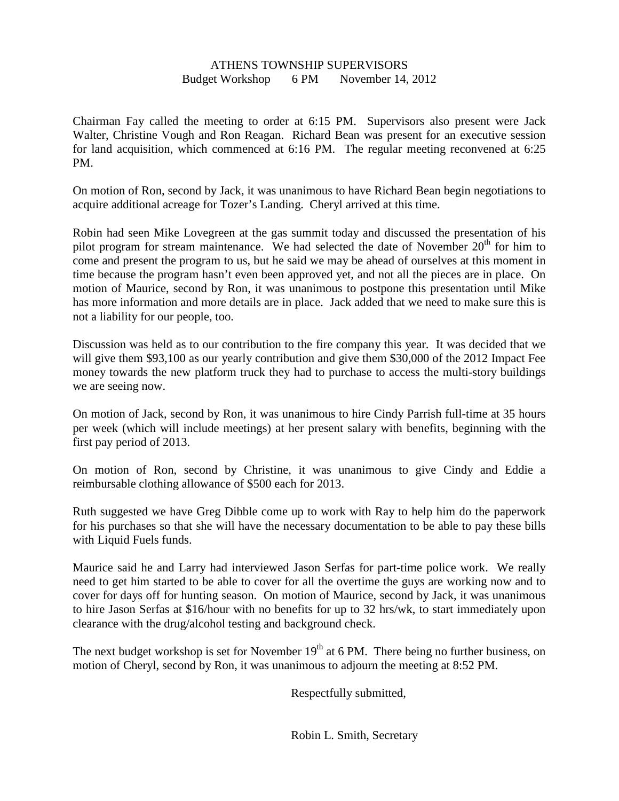#### ATHENS TOWNSHIP SUPERVISORS Budget Workshop 6 PM November 14, 2012

Chairman Fay called the meeting to order at 6:15 PM. Supervisors also present were Jack Walter, Christine Vough and Ron Reagan. Richard Bean was present for an executive session for land acquisition, which commenced at 6:16 PM. The regular meeting reconvened at 6:25 PM.

On motion of Ron, second by Jack, it was unanimous to have Richard Bean begin negotiations to acquire additional acreage for Tozer's Landing. Cheryl arrived at this time.

Robin had seen Mike Lovegreen at the gas summit today and discussed the presentation of his pilot program for stream maintenance. We had selected the date of November  $20<sup>th</sup>$  for him to come and present the program to us, but he said we may be ahead of ourselves at this moment in time because the program hasn't even been approved yet, and not all the pieces are in place. On motion of Maurice, second by Ron, it was unanimous to postpone this presentation until Mike has more information and more details are in place. Jack added that we need to make sure this is not a liability for our people, too.

Discussion was held as to our contribution to the fire company this year. It was decided that we will give them \$93,100 as our yearly contribution and give them \$30,000 of the 2012 Impact Fee money towards the new platform truck they had to purchase to access the multi-story buildings we are seeing now.

On motion of Jack, second by Ron, it was unanimous to hire Cindy Parrish full-time at 35 hours per week (which will include meetings) at her present salary with benefits, beginning with the first pay period of 2013.

On motion of Ron, second by Christine, it was unanimous to give Cindy and Eddie a reimbursable clothing allowance of \$500 each for 2013.

Ruth suggested we have Greg Dibble come up to work with Ray to help him do the paperwork for his purchases so that she will have the necessary documentation to be able to pay these bills with Liquid Fuels funds.

Maurice said he and Larry had interviewed Jason Serfas for part-time police work. We really need to get him started to be able to cover for all the overtime the guys are working now and to cover for days off for hunting season. On motion of Maurice, second by Jack, it was unanimous to hire Jason Serfas at \$16/hour with no benefits for up to 32 hrs/wk, to start immediately upon clearance with the drug/alcohol testing and background check.

The next budget workshop is set for November  $19<sup>th</sup>$  at 6 PM. There being no further business, on motion of Cheryl, second by Ron, it was unanimous to adjourn the meeting at 8:52 PM.

Respectfully submitted,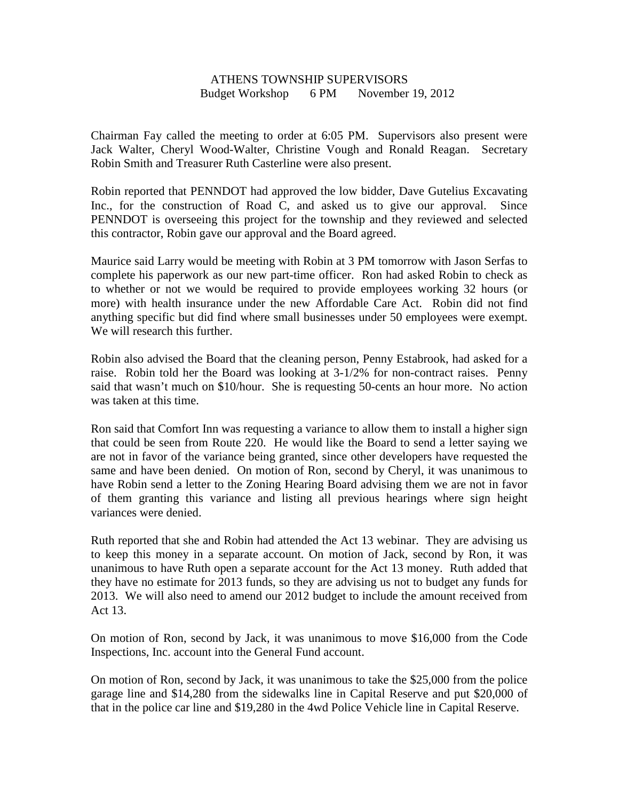### ATHENS TOWNSHIP SUPERVISORS Budget Workshop 6 PM November 19, 2012

Chairman Fay called the meeting to order at 6:05 PM. Supervisors also present were Jack Walter, Cheryl Wood-Walter, Christine Vough and Ronald Reagan. Secretary Robin Smith and Treasurer Ruth Casterline were also present.

Robin reported that PENNDOT had approved the low bidder, Dave Gutelius Excavating Inc., for the construction of Road C, and asked us to give our approval. Since PENNDOT is overseeing this project for the township and they reviewed and selected this contractor, Robin gave our approval and the Board agreed.

Maurice said Larry would be meeting with Robin at 3 PM tomorrow with Jason Serfas to complete his paperwork as our new part-time officer. Ron had asked Robin to check as to whether or not we would be required to provide employees working 32 hours (or more) with health insurance under the new Affordable Care Act. Robin did not find anything specific but did find where small businesses under 50 employees were exempt. We will research this further.

Robin also advised the Board that the cleaning person, Penny Estabrook, had asked for a raise. Robin told her the Board was looking at 3-1/2% for non-contract raises. Penny said that wasn't much on \$10/hour. She is requesting 50-cents an hour more. No action was taken at this time.

Ron said that Comfort Inn was requesting a variance to allow them to install a higher sign that could be seen from Route 220. He would like the Board to send a letter saying we are not in favor of the variance being granted, since other developers have requested the same and have been denied. On motion of Ron, second by Cheryl, it was unanimous to have Robin send a letter to the Zoning Hearing Board advising them we are not in favor of them granting this variance and listing all previous hearings where sign height variances were denied.

Ruth reported that she and Robin had attended the Act 13 webinar. They are advising us to keep this money in a separate account. On motion of Jack, second by Ron, it was unanimous to have Ruth open a separate account for the Act 13 money. Ruth added that they have no estimate for 2013 funds, so they are advising us not to budget any funds for 2013. We will also need to amend our 2012 budget to include the amount received from Act 13.

On motion of Ron, second by Jack, it was unanimous to move \$16,000 from the Code Inspections, Inc. account into the General Fund account.

On motion of Ron, second by Jack, it was unanimous to take the \$25,000 from the police garage line and \$14,280 from the sidewalks line in Capital Reserve and put \$20,000 of that in the police car line and \$19,280 in the 4wd Police Vehicle line in Capital Reserve.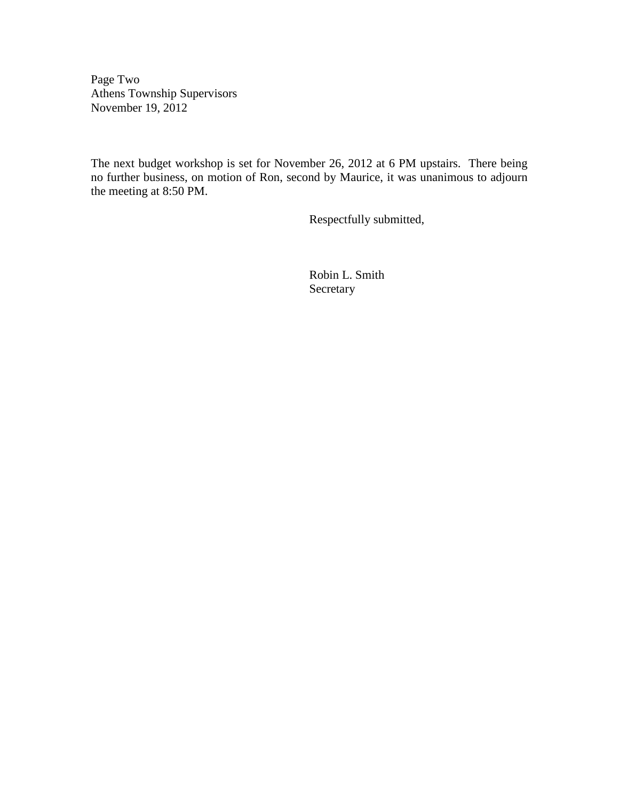Page Two Athens Township Supervisors November 19, 2012

The next budget workshop is set for November 26, 2012 at 6 PM upstairs. There being no further business, on motion of Ron, second by Maurice, it was unanimous to adjourn the meeting at 8:50 PM.

Respectfully submitted,

 Robin L. Smith Secretary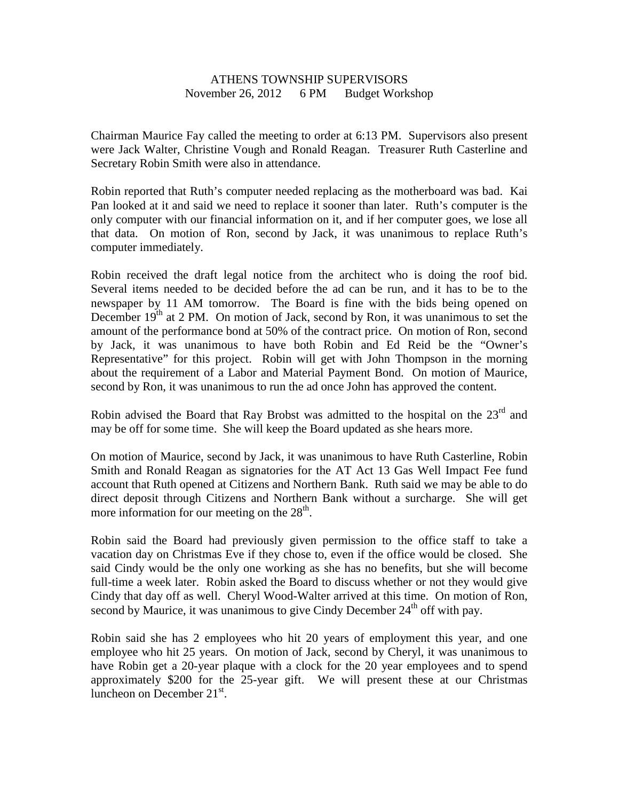# ATHENS TOWNSHIP SUPERVISORS November 26, 2012 6 PM Budget Workshop

Chairman Maurice Fay called the meeting to order at 6:13 PM. Supervisors also present were Jack Walter, Christine Vough and Ronald Reagan. Treasurer Ruth Casterline and Secretary Robin Smith were also in attendance.

Robin reported that Ruth's computer needed replacing as the motherboard was bad. Kai Pan looked at it and said we need to replace it sooner than later. Ruth's computer is the only computer with our financial information on it, and if her computer goes, we lose all that data. On motion of Ron, second by Jack, it was unanimous to replace Ruth's computer immediately.

Robin received the draft legal notice from the architect who is doing the roof bid. Several items needed to be decided before the ad can be run, and it has to be to the newspaper by 11 AM tomorrow. The Board is fine with the bids being opened on December 19<sup>th</sup> at 2 PM. On motion of Jack, second by Ron, it was unanimous to set the amount of the performance bond at 50% of the contract price. On motion of Ron, second by Jack, it was unanimous to have both Robin and Ed Reid be the "Owner's Representative" for this project. Robin will get with John Thompson in the morning about the requirement of a Labor and Material Payment Bond. On motion of Maurice, second by Ron, it was unanimous to run the ad once John has approved the content.

Robin advised the Board that Ray Brobst was admitted to the hospital on the 23<sup>rd</sup> and may be off for some time. She will keep the Board updated as she hears more.

On motion of Maurice, second by Jack, it was unanimous to have Ruth Casterline, Robin Smith and Ronald Reagan as signatories for the AT Act 13 Gas Well Impact Fee fund account that Ruth opened at Citizens and Northern Bank. Ruth said we may be able to do direct deposit through Citizens and Northern Bank without a surcharge. She will get more information for our meeting on the  $28<sup>th</sup>$ .

Robin said the Board had previously given permission to the office staff to take a vacation day on Christmas Eve if they chose to, even if the office would be closed. She said Cindy would be the only one working as she has no benefits, but she will become full-time a week later. Robin asked the Board to discuss whether or not they would give Cindy that day off as well. Cheryl Wood-Walter arrived at this time. On motion of Ron, second by Maurice, it was unanimous to give Cindy December 24<sup>th</sup> off with pay.

Robin said she has 2 employees who hit 20 years of employment this year, and one employee who hit 25 years. On motion of Jack, second by Cheryl, it was unanimous to have Robin get a 20-year plaque with a clock for the 20 year employees and to spend approximately \$200 for the 25-year gift. We will present these at our Christmas luncheon on December  $21<sup>st</sup>$ .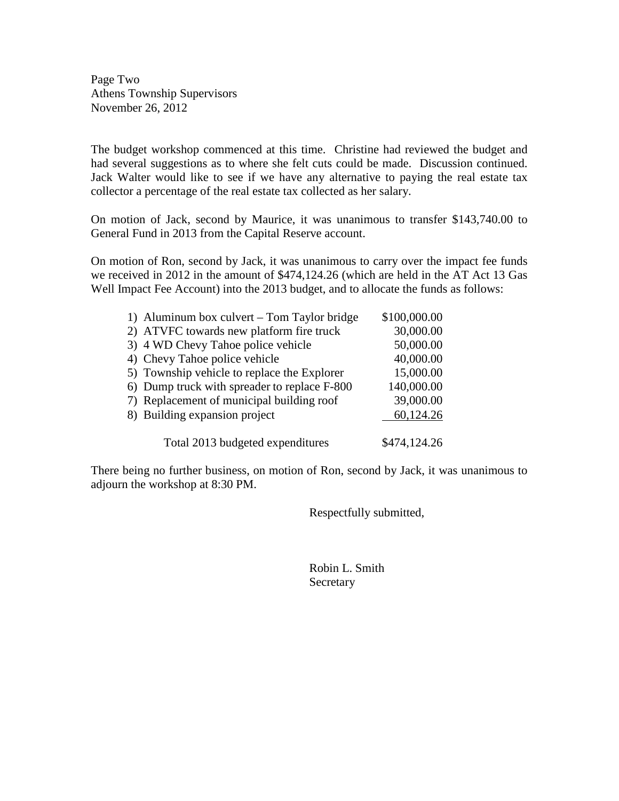Page Two Athens Township Supervisors November 26, 2012

The budget workshop commenced at this time. Christine had reviewed the budget and had several suggestions as to where she felt cuts could be made. Discussion continued. Jack Walter would like to see if we have any alternative to paying the real estate tax collector a percentage of the real estate tax collected as her salary.

On motion of Jack, second by Maurice, it was unanimous to transfer \$143,740.00 to General Fund in 2013 from the Capital Reserve account.

On motion of Ron, second by Jack, it was unanimous to carry over the impact fee funds we received in 2012 in the amount of \$474,124.26 (which are held in the AT Act 13 Gas Well Impact Fee Account) into the 2013 budget, and to allocate the funds as follows:

| 1) Aluminum box culvert – Tom Taylor bridge  | \$100,000.00 |
|----------------------------------------------|--------------|
| 2) ATVFC towards new platform fire truck     | 30,000.00    |
| 3) 4 WD Chevy Tahoe police vehicle           | 50,000.00    |
| 4) Chevy Tahoe police vehicle                | 40,000.00    |
| 5) Township vehicle to replace the Explorer  | 15,000.00    |
| 6) Dump truck with spreader to replace F-800 | 140,000.00   |
| 7) Replacement of municipal building roof    | 39,000.00    |
| 8) Building expansion project                | 60,124.26    |
|                                              |              |
| Total 2013 budgeted expenditures             | \$474,124.26 |

There being no further business, on motion of Ron, second by Jack, it was unanimous to adjourn the workshop at 8:30 PM.

Respectfully submitted,

 Robin L. Smith Secretary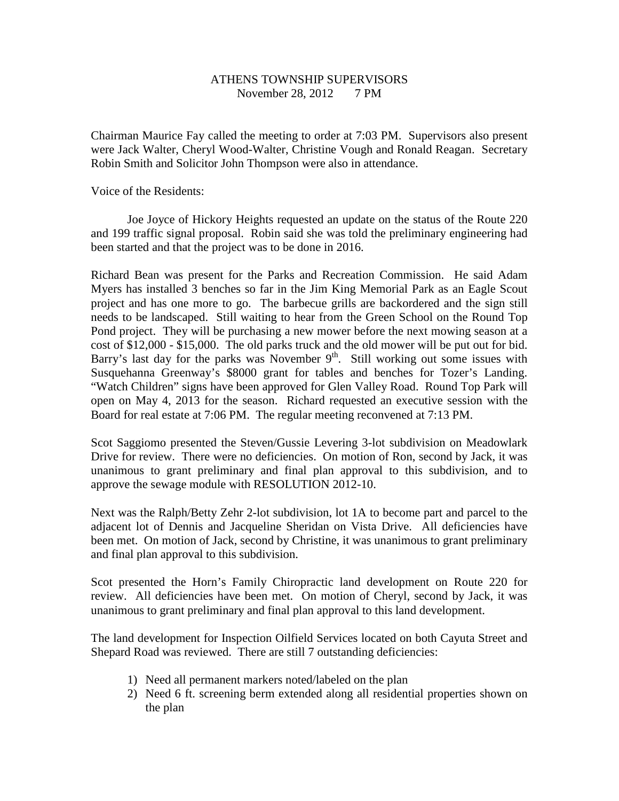# ATHENS TOWNSHIP SUPERVISORS November 28, 2012 7 PM

Chairman Maurice Fay called the meeting to order at 7:03 PM. Supervisors also present were Jack Walter, Cheryl Wood-Walter, Christine Vough and Ronald Reagan. Secretary Robin Smith and Solicitor John Thompson were also in attendance.

Voice of the Residents:

 Joe Joyce of Hickory Heights requested an update on the status of the Route 220 and 199 traffic signal proposal. Robin said she was told the preliminary engineering had been started and that the project was to be done in 2016.

Richard Bean was present for the Parks and Recreation Commission. He said Adam Myers has installed 3 benches so far in the Jim King Memorial Park as an Eagle Scout project and has one more to go. The barbecue grills are backordered and the sign still needs to be landscaped. Still waiting to hear from the Green School on the Round Top Pond project. They will be purchasing a new mower before the next mowing season at a cost of \$12,000 - \$15,000. The old parks truck and the old mower will be put out for bid. Barry's last day for the parks was November  $9<sup>th</sup>$ . Still working out some issues with Susquehanna Greenway's \$8000 grant for tables and benches for Tozer's Landing. "Watch Children" signs have been approved for Glen Valley Road. Round Top Park will open on May 4, 2013 for the season. Richard requested an executive session with the Board for real estate at 7:06 PM. The regular meeting reconvened at 7:13 PM.

Scot Saggiomo presented the Steven/Gussie Levering 3-lot subdivision on Meadowlark Drive for review. There were no deficiencies. On motion of Ron, second by Jack, it was unanimous to grant preliminary and final plan approval to this subdivision, and to approve the sewage module with RESOLUTION 2012-10.

Next was the Ralph/Betty Zehr 2-lot subdivision, lot 1A to become part and parcel to the adjacent lot of Dennis and Jacqueline Sheridan on Vista Drive. All deficiencies have been met. On motion of Jack, second by Christine, it was unanimous to grant preliminary and final plan approval to this subdivision.

Scot presented the Horn's Family Chiropractic land development on Route 220 for review. All deficiencies have been met. On motion of Cheryl, second by Jack, it was unanimous to grant preliminary and final plan approval to this land development.

The land development for Inspection Oilfield Services located on both Cayuta Street and Shepard Road was reviewed. There are still 7 outstanding deficiencies:

- 1) Need all permanent markers noted/labeled on the plan
- 2) Need 6 ft. screening berm extended along all residential properties shown on the plan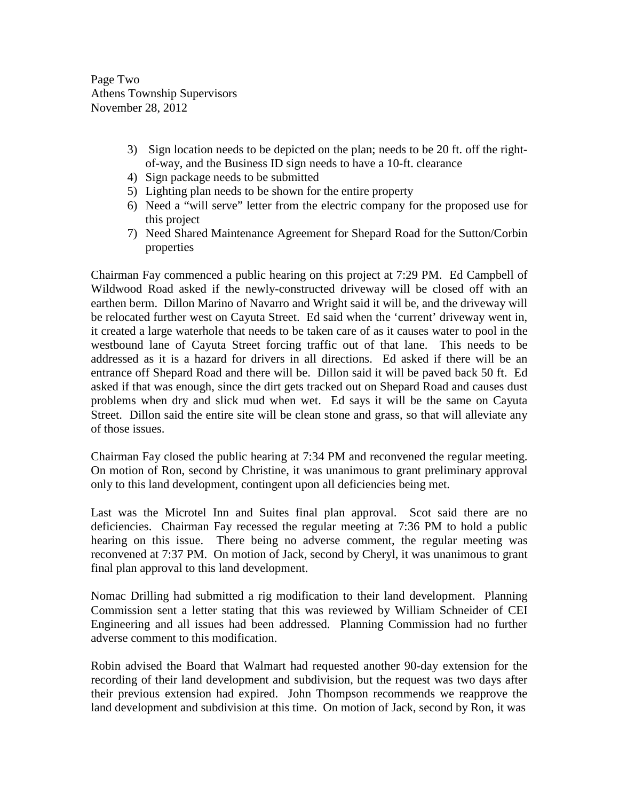Page Two Athens Township Supervisors November 28, 2012

- 3) Sign location needs to be depicted on the plan; needs to be 20 ft. off the rightof-way, and the Business ID sign needs to have a 10-ft. clearance
- 4) Sign package needs to be submitted
- 5) Lighting plan needs to be shown for the entire property
- 6) Need a "will serve" letter from the electric company for the proposed use for this project
- 7) Need Shared Maintenance Agreement for Shepard Road for the Sutton/Corbin properties

Chairman Fay commenced a public hearing on this project at 7:29 PM. Ed Campbell of Wildwood Road asked if the newly-constructed driveway will be closed off with an earthen berm. Dillon Marino of Navarro and Wright said it will be, and the driveway will be relocated further west on Cayuta Street. Ed said when the 'current' driveway went in, it created a large waterhole that needs to be taken care of as it causes water to pool in the westbound lane of Cayuta Street forcing traffic out of that lane. This needs to be addressed as it is a hazard for drivers in all directions. Ed asked if there will be an entrance off Shepard Road and there will be. Dillon said it will be paved back 50 ft. Ed asked if that was enough, since the dirt gets tracked out on Shepard Road and causes dust problems when dry and slick mud when wet. Ed says it will be the same on Cayuta Street. Dillon said the entire site will be clean stone and grass, so that will alleviate any of those issues.

Chairman Fay closed the public hearing at 7:34 PM and reconvened the regular meeting. On motion of Ron, second by Christine, it was unanimous to grant preliminary approval only to this land development, contingent upon all deficiencies being met.

Last was the Microtel Inn and Suites final plan approval. Scot said there are no deficiencies. Chairman Fay recessed the regular meeting at 7:36 PM to hold a public hearing on this issue. There being no adverse comment, the regular meeting was reconvened at 7:37 PM. On motion of Jack, second by Cheryl, it was unanimous to grant final plan approval to this land development.

Nomac Drilling had submitted a rig modification to their land development. Planning Commission sent a letter stating that this was reviewed by William Schneider of CEI Engineering and all issues had been addressed. Planning Commission had no further adverse comment to this modification.

Robin advised the Board that Walmart had requested another 90-day extension for the recording of their land development and subdivision, but the request was two days after their previous extension had expired. John Thompson recommends we reapprove the land development and subdivision at this time. On motion of Jack, second by Ron, it was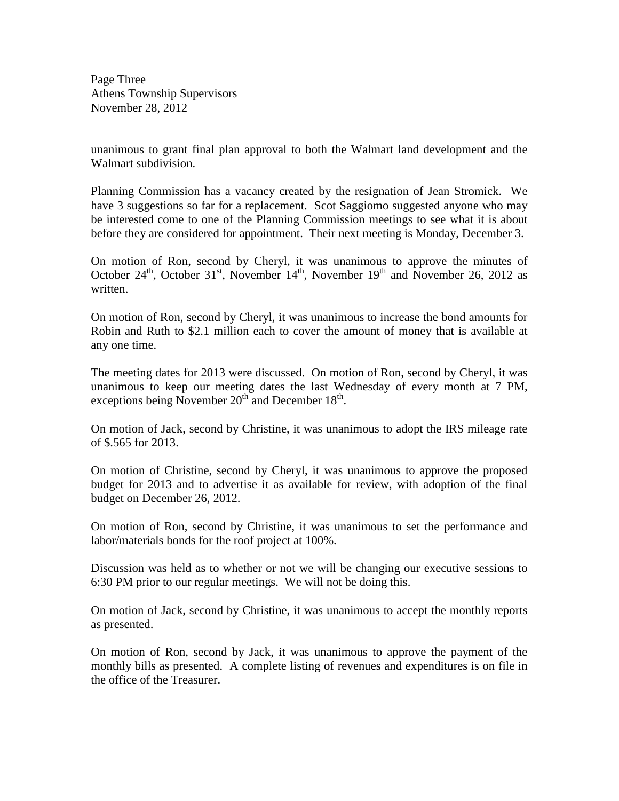Page Three Athens Township Supervisors November 28, 2012

unanimous to grant final plan approval to both the Walmart land development and the Walmart subdivision.

Planning Commission has a vacancy created by the resignation of Jean Stromick. We have 3 suggestions so far for a replacement. Scot Saggiomo suggested anyone who may be interested come to one of the Planning Commission meetings to see what it is about before they are considered for appointment. Their next meeting is Monday, December 3.

On motion of Ron, second by Cheryl, it was unanimous to approve the minutes of October 24<sup>th</sup>, October 31<sup>st</sup>, November 14<sup>th</sup>, November 19<sup>th</sup> and November 26, 2012 as written.

On motion of Ron, second by Cheryl, it was unanimous to increase the bond amounts for Robin and Ruth to \$2.1 million each to cover the amount of money that is available at any one time.

The meeting dates for 2013 were discussed. On motion of Ron, second by Cheryl, it was unanimous to keep our meeting dates the last Wednesday of every month at 7 PM, exceptions being November  $20^{th}$  and December  $18^{th}$ .

On motion of Jack, second by Christine, it was unanimous to adopt the IRS mileage rate of \$.565 for 2013.

On motion of Christine, second by Cheryl, it was unanimous to approve the proposed budget for 2013 and to advertise it as available for review, with adoption of the final budget on December 26, 2012.

On motion of Ron, second by Christine, it was unanimous to set the performance and labor/materials bonds for the roof project at 100%.

Discussion was held as to whether or not we will be changing our executive sessions to 6:30 PM prior to our regular meetings. We will not be doing this.

On motion of Jack, second by Christine, it was unanimous to accept the monthly reports as presented.

On motion of Ron, second by Jack, it was unanimous to approve the payment of the monthly bills as presented. A complete listing of revenues and expenditures is on file in the office of the Treasurer.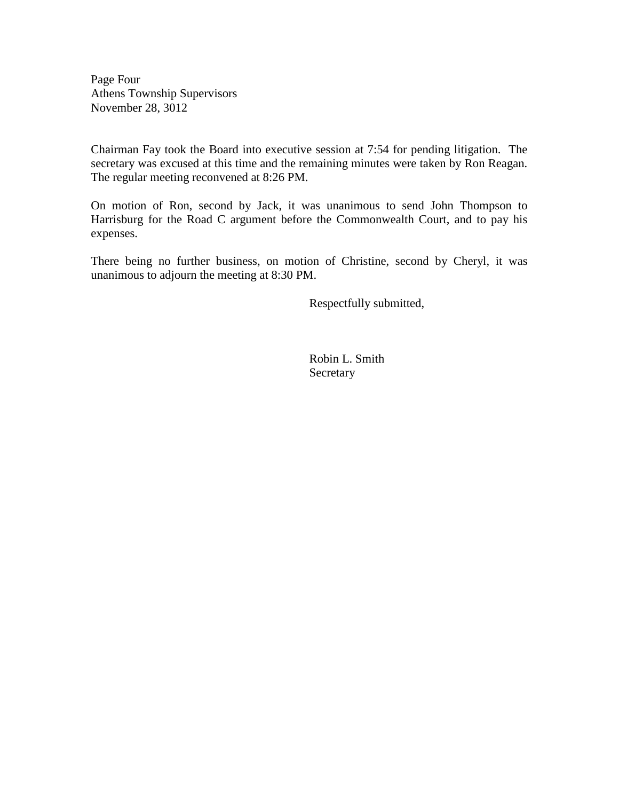Page Four Athens Township Supervisors November 28, 3012

Chairman Fay took the Board into executive session at 7:54 for pending litigation. The secretary was excused at this time and the remaining minutes were taken by Ron Reagan. The regular meeting reconvened at 8:26 PM.

On motion of Ron, second by Jack, it was unanimous to send John Thompson to Harrisburg for the Road C argument before the Commonwealth Court, and to pay his expenses.

There being no further business, on motion of Christine, second by Cheryl, it was unanimous to adjourn the meeting at 8:30 PM.

Respectfully submitted,

 Robin L. Smith **Secretary**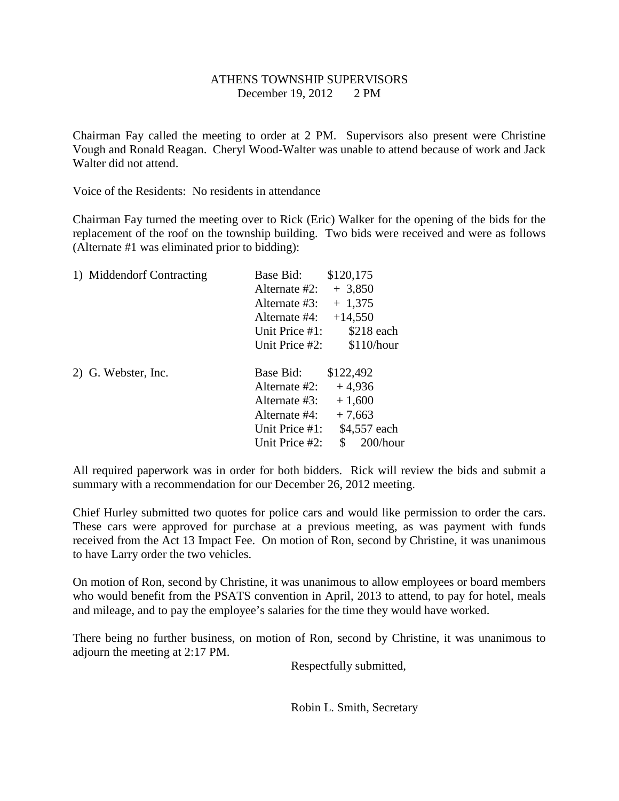# ATHENS TOWNSHIP SUPERVISORS December 19, 2012 2 PM

Chairman Fay called the meeting to order at 2 PM. Supervisors also present were Christine Vough and Ronald Reagan. Cheryl Wood-Walter was unable to attend because of work and Jack Walter did not attend.

Voice of the Residents: No residents in attendance

Chairman Fay turned the meeting over to Rick (Eric) Walker for the opening of the bids for the replacement of the roof on the township building. Two bids were received and were as follows (Alternate #1 was eliminated prior to bidding):

| 1) Middendorf Contracting | Base Bid:         | \$120,175 |              |
|---------------------------|-------------------|-----------|--------------|
|                           | Alternate #2:     | $+3,850$  |              |
|                           | Alternate #3:     | $+1,375$  |              |
|                           | Alternate #4:     | $+14,550$ |              |
|                           | Unit Price #1:    |           | $$218$ each  |
|                           | Unit Price #2:    |           | \$110/hour   |
| 2) G. Webster, Inc.       | Base Bid:         | \$122,492 |              |
|                           | Alternate #2:     | $+4,936$  |              |
|                           | Alternate #3:     | $+1,600$  |              |
|                           | Alternate #4:     | $+7,663$  |              |
|                           | Unit Price $#1$ : |           | \$4,557 each |
|                           | Unit Price #2:    | S         | $200/h$ our  |

All required paperwork was in order for both bidders. Rick will review the bids and submit a summary with a recommendation for our December 26, 2012 meeting.

Chief Hurley submitted two quotes for police cars and would like permission to order the cars. These cars were approved for purchase at a previous meeting, as was payment with funds received from the Act 13 Impact Fee. On motion of Ron, second by Christine, it was unanimous to have Larry order the two vehicles.

On motion of Ron, second by Christine, it was unanimous to allow employees or board members who would benefit from the PSATS convention in April, 2013 to attend, to pay for hotel, meals and mileage, and to pay the employee's salaries for the time they would have worked.

There being no further business, on motion of Ron, second by Christine, it was unanimous to adjourn the meeting at 2:17 PM.

Respectfully submitted,

Robin L. Smith, Secretary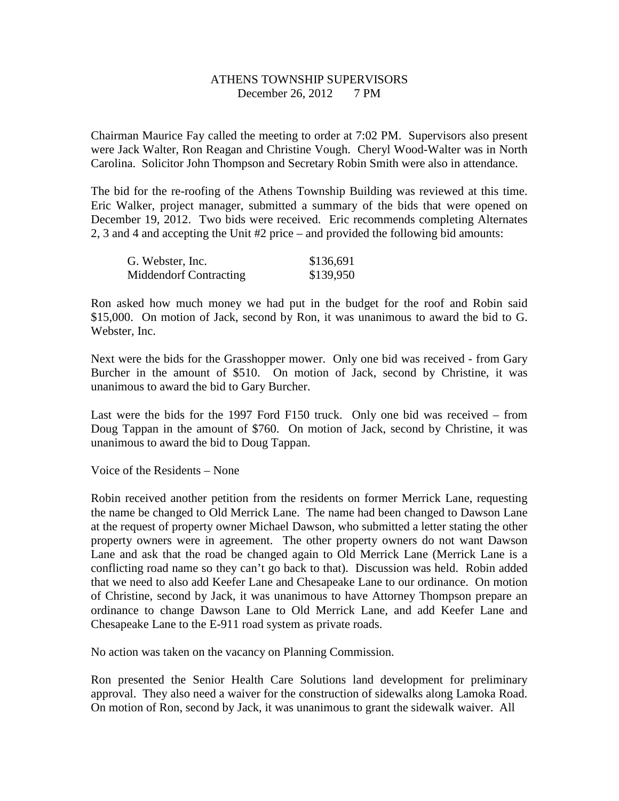# ATHENS TOWNSHIP SUPERVISORS December 26, 2012 7 PM

Chairman Maurice Fay called the meeting to order at 7:02 PM. Supervisors also present were Jack Walter, Ron Reagan and Christine Vough. Cheryl Wood-Walter was in North Carolina. Solicitor John Thompson and Secretary Robin Smith were also in attendance.

The bid for the re-roofing of the Athens Township Building was reviewed at this time. Eric Walker, project manager, submitted a summary of the bids that were opened on December 19, 2012. Two bids were received. Eric recommends completing Alternates 2, 3 and 4 and accepting the Unit #2 price – and provided the following bid amounts:

| G. Webster, Inc.       | \$136,691 |
|------------------------|-----------|
| Middendorf Contracting | \$139,950 |

Ron asked how much money we had put in the budget for the roof and Robin said \$15,000. On motion of Jack, second by Ron, it was unanimous to award the bid to G. Webster, Inc.

Next were the bids for the Grasshopper mower. Only one bid was received - from Gary Burcher in the amount of \$510. On motion of Jack, second by Christine, it was unanimous to award the bid to Gary Burcher.

Last were the bids for the 1997 Ford F150 truck. Only one bid was received – from Doug Tappan in the amount of \$760. On motion of Jack, second by Christine, it was unanimous to award the bid to Doug Tappan.

Voice of the Residents – None

Robin received another petition from the residents on former Merrick Lane, requesting the name be changed to Old Merrick Lane. The name had been changed to Dawson Lane at the request of property owner Michael Dawson, who submitted a letter stating the other property owners were in agreement. The other property owners do not want Dawson Lane and ask that the road be changed again to Old Merrick Lane (Merrick Lane is a conflicting road name so they can't go back to that). Discussion was held. Robin added that we need to also add Keefer Lane and Chesapeake Lane to our ordinance. On motion of Christine, second by Jack, it was unanimous to have Attorney Thompson prepare an ordinance to change Dawson Lane to Old Merrick Lane, and add Keefer Lane and Chesapeake Lane to the E-911 road system as private roads.

No action was taken on the vacancy on Planning Commission.

Ron presented the Senior Health Care Solutions land development for preliminary approval. They also need a waiver for the construction of sidewalks along Lamoka Road. On motion of Ron, second by Jack, it was unanimous to grant the sidewalk waiver. All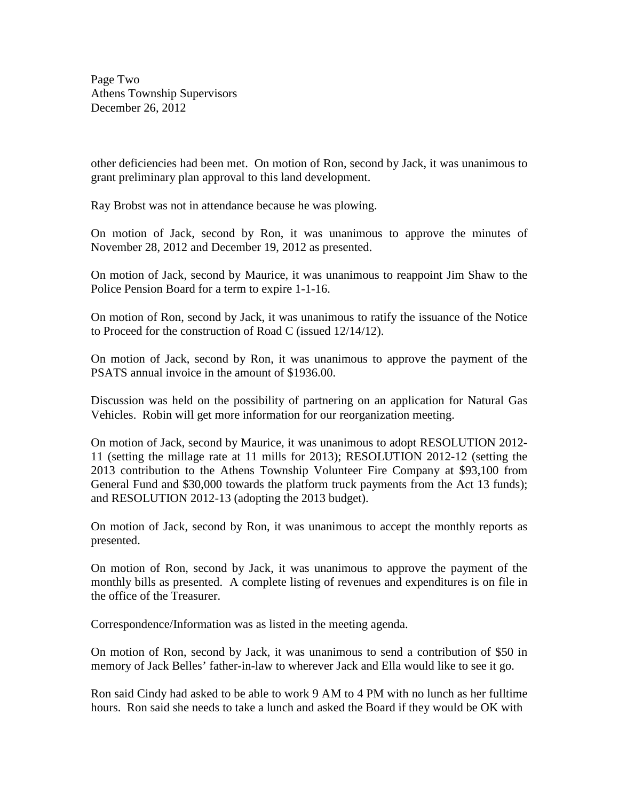Page Two Athens Township Supervisors December 26, 2012

other deficiencies had been met. On motion of Ron, second by Jack, it was unanimous to grant preliminary plan approval to this land development.

Ray Brobst was not in attendance because he was plowing.

On motion of Jack, second by Ron, it was unanimous to approve the minutes of November 28, 2012 and December 19, 2012 as presented.

On motion of Jack, second by Maurice, it was unanimous to reappoint Jim Shaw to the Police Pension Board for a term to expire 1-1-16.

On motion of Ron, second by Jack, it was unanimous to ratify the issuance of the Notice to Proceed for the construction of Road C (issued 12/14/12).

On motion of Jack, second by Ron, it was unanimous to approve the payment of the PSATS annual invoice in the amount of \$1936.00.

Discussion was held on the possibility of partnering on an application for Natural Gas Vehicles. Robin will get more information for our reorganization meeting.

On motion of Jack, second by Maurice, it was unanimous to adopt RESOLUTION 2012- 11 (setting the millage rate at 11 mills for 2013); RESOLUTION 2012-12 (setting the 2013 contribution to the Athens Township Volunteer Fire Company at \$93,100 from General Fund and \$30,000 towards the platform truck payments from the Act 13 funds); and RESOLUTION 2012-13 (adopting the 2013 budget).

On motion of Jack, second by Ron, it was unanimous to accept the monthly reports as presented.

On motion of Ron, second by Jack, it was unanimous to approve the payment of the monthly bills as presented. A complete listing of revenues and expenditures is on file in the office of the Treasurer.

Correspondence/Information was as listed in the meeting agenda.

On motion of Ron, second by Jack, it was unanimous to send a contribution of \$50 in memory of Jack Belles' father-in-law to wherever Jack and Ella would like to see it go.

Ron said Cindy had asked to be able to work 9 AM to 4 PM with no lunch as her fulltime hours. Ron said she needs to take a lunch and asked the Board if they would be OK with